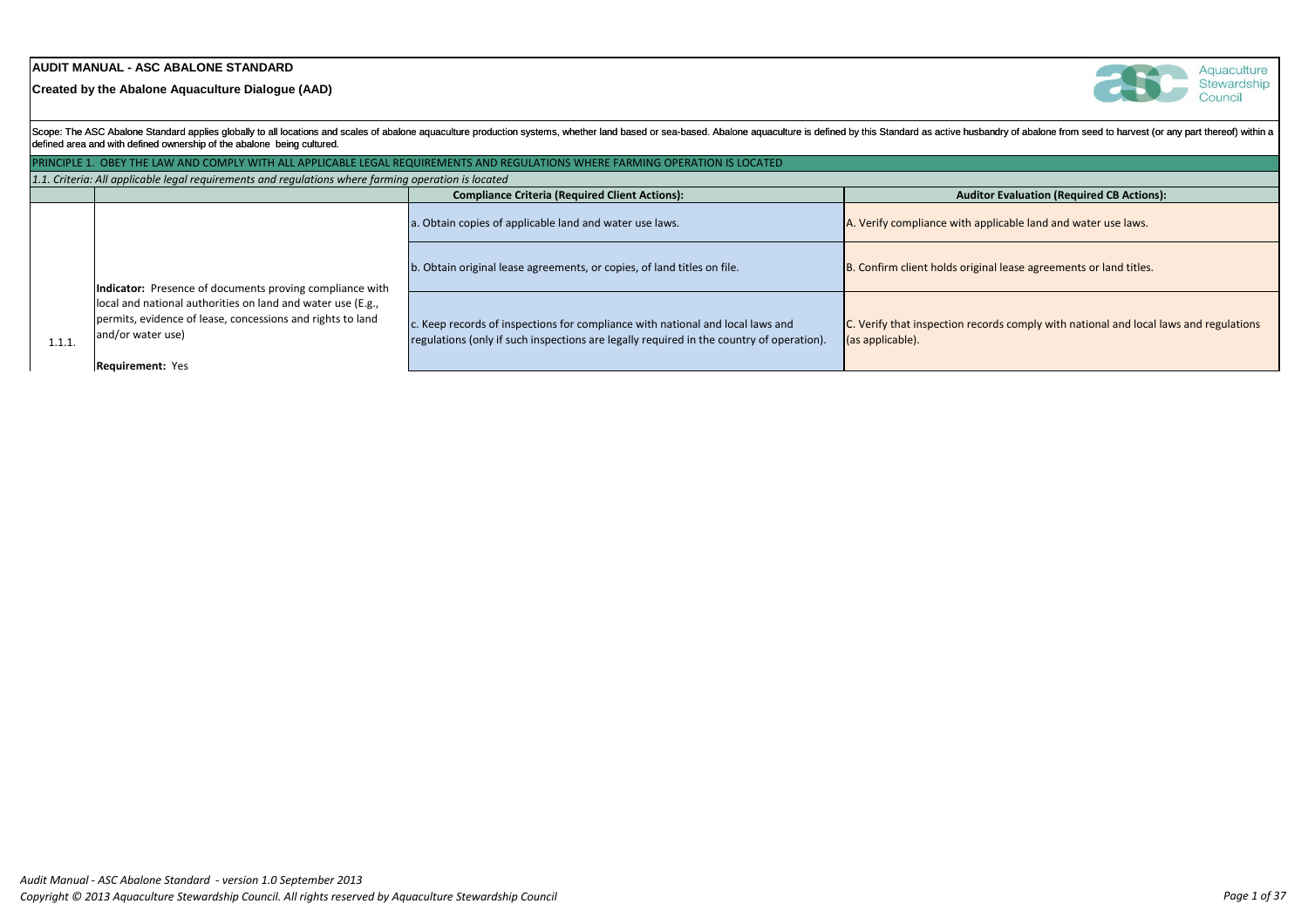# **AUDIT MANUAL - ASC ABALONE STANDARD**

**Created by the Abalone Aquaculture Dialogue (AAD)**

|        | defined area and with defined ownership of the abalone being cultured.                                                                         | Scope: The ASC Abalone Standard applies globally to all locations and scales of abalone aquaculture production systems, whether land based or sea-based. Abalone aquaculture is defined by this Standard as active husbar |                                                             |
|--------|------------------------------------------------------------------------------------------------------------------------------------------------|---------------------------------------------------------------------------------------------------------------------------------------------------------------------------------------------------------------------------|-------------------------------------------------------------|
|        |                                                                                                                                                | PRINCIPLE 1. OBEY THE LAW AND COMPLY WITH ALL APPLICABLE LEGAL REQUIREMENTS AND REGULATIONS WHERE FARMING OPERATION IS LOCATED                                                                                            |                                                             |
|        | 1.1. Criteria: All applicable legal requirements and requlations where farming operation is located                                            |                                                                                                                                                                                                                           |                                                             |
|        |                                                                                                                                                | <b>Compliance Criteria (Required Client Actions):</b>                                                                                                                                                                     | <b>Auditor</b>                                              |
|        |                                                                                                                                                | a. Obtain copies of applicable land and water use laws.                                                                                                                                                                   | A. Verify compliance with app                               |
|        | Indicator: Presence of documents proving compliance with                                                                                       | b. Obtain original lease agreements, or copies, of land titles on file.                                                                                                                                                   | B. Confirm client holds origina                             |
| 1.1.1. | local and national authorities on land and water use (E.g.,<br>permits, evidence of lease, concessions and rights to land<br>and/or water use) | c. Keep records of inspections for compliance with national and local laws and<br>regulations (only if such inspections are legally required in the country of operation).                                                | C. Verify that inspection recor<br>$\vert$ (as applicable). |
|        | <b>Requirement: Yes</b>                                                                                                                        |                                                                                                                                                                                                                           |                                                             |



Aquaculture Stewardship Council

ndry of abalone from seed to harvest (or any part thereof) within a

# **Complianation (Required CB Actions):**

licable land and water use laws.

al lease agreements or land titles.

 $\alpha$  comply with national and local laws and regulations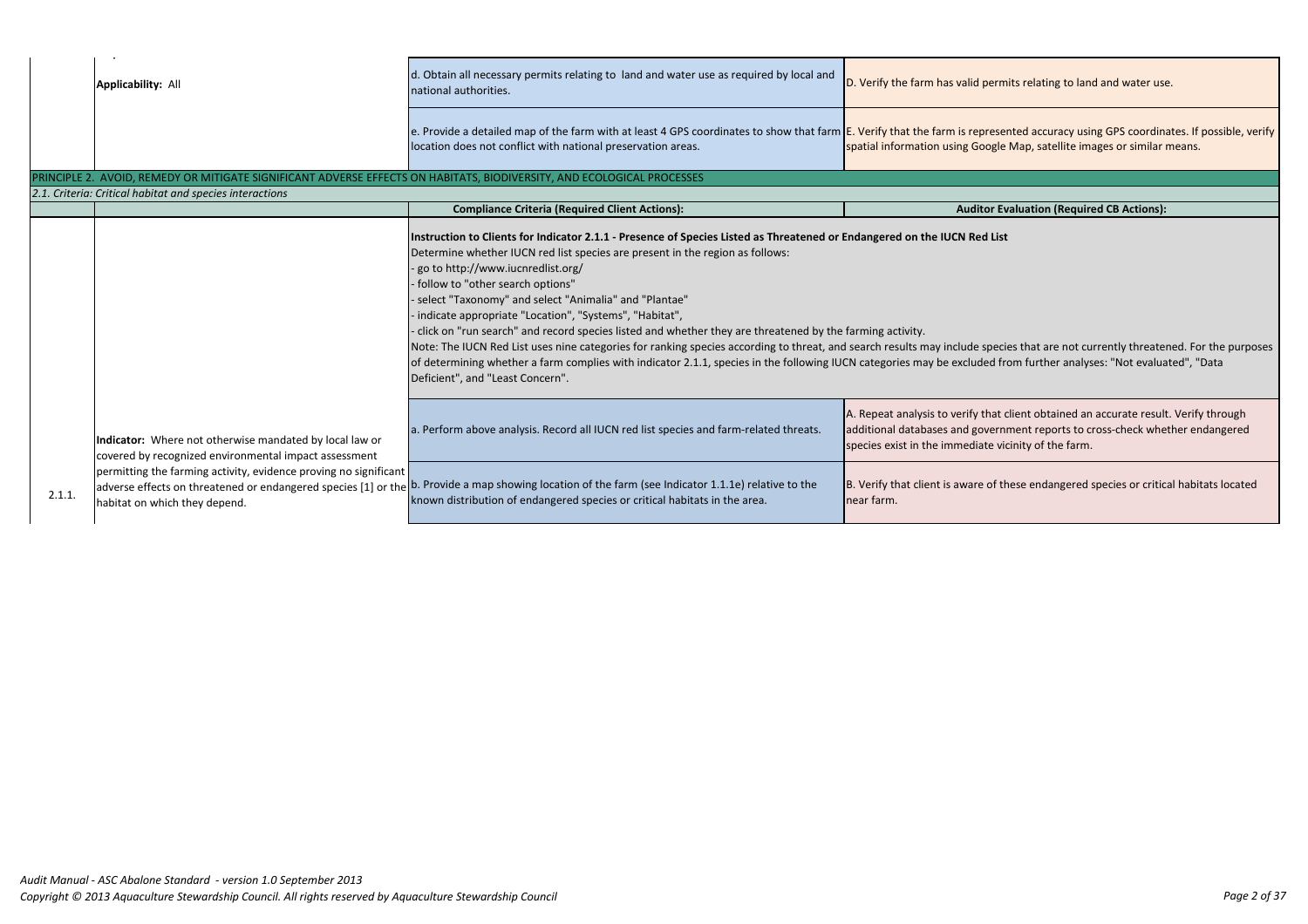|        | <b>Applicability: All</b>                                                                                              | d. Obtain all necessary permits relating to land and water use as required by local and<br>national authorities.                                                                                                                                                                                                                                                                                                                                                                                                                                                                                                                                                                                                                                                                                                      | D. Verify the farm has valid perm                                                                             |
|--------|------------------------------------------------------------------------------------------------------------------------|-----------------------------------------------------------------------------------------------------------------------------------------------------------------------------------------------------------------------------------------------------------------------------------------------------------------------------------------------------------------------------------------------------------------------------------------------------------------------------------------------------------------------------------------------------------------------------------------------------------------------------------------------------------------------------------------------------------------------------------------------------------------------------------------------------------------------|---------------------------------------------------------------------------------------------------------------|
|        |                                                                                                                        | e. Provide a detailed map of the farm with at least 4 GPS coordinates to show that farm <b>E. Verify that the farm is represe</b><br>location does not conflict with national preservation areas.                                                                                                                                                                                                                                                                                                                                                                                                                                                                                                                                                                                                                     | spatial information using Google                                                                              |
|        | PRINCIPLE 2. AVOID, REMEDY OR MITIGATE SIGNIFICANT ADVERSE EFFECTS ON HABITATS, BIODIVERSITY, AND ECOLOGICAL PROCESSES |                                                                                                                                                                                                                                                                                                                                                                                                                                                                                                                                                                                                                                                                                                                                                                                                                       |                                                                                                               |
|        | 2.1. Criteria: Critical habitat and species interactions                                                               |                                                                                                                                                                                                                                                                                                                                                                                                                                                                                                                                                                                                                                                                                                                                                                                                                       |                                                                                                               |
|        |                                                                                                                        | <b>Compliance Criteria (Required Client Actions):</b>                                                                                                                                                                                                                                                                                                                                                                                                                                                                                                                                                                                                                                                                                                                                                                 | <b>Auditor Ev</b>                                                                                             |
|        |                                                                                                                        | Instruction to Clients for Indicator 2.1.1 - Presence of Species Listed as Threatened or Endangered on the IUCN Red List<br>Determine whether IUCN red list species are present in the region as follows:<br>go to http://www.iucnredlist.org/<br>follow to "other search options"<br>· select "Taxonomy" and select "Animalia" and "Plantae"<br>· indicate appropriate "Location", "Systems", "Habitat",<br>click on "run search" and record species listed and whether they are threatened by the farming activity.<br>Note: The IUCN Red List uses nine categories for ranking species according to threat, and search results may include speci<br>of determining whether a farm complies with indicator 2.1.1, species in the following IUCN categories may be excluded free<br>Deficient", and "Least Concern". |                                                                                                               |
|        | Indicator: Where not otherwise mandated by local law or<br>covered by recognized environmental impact assessment       | a. Perform above analysis. Record all IUCN red list species and farm-related threats.                                                                                                                                                                                                                                                                                                                                                                                                                                                                                                                                                                                                                                                                                                                                 | A. Repeat analysis to verify that o<br>additional databases and governi<br>species exist in the immediate vid |
| 2.1.1. | permitting the farming activity, evidence proving no significant<br>habitat on which they depend.                      | adverse effects on threatened or endangered species [1] or the b. Provide a map showing location of the farm (see Indicator 1.1.1e) relative to the<br>known distribution of endangered species or critical habitats in the area.                                                                                                                                                                                                                                                                                                                                                                                                                                                                                                                                                                                     | B. Verify that client is aware of th<br>near farm.                                                            |
|        |                                                                                                                        |                                                                                                                                                                                                                                                                                                                                                                                                                                                                                                                                                                                                                                                                                                                                                                                                                       |                                                                                                               |

ermits relating to land and water use.

esented accuracy using GPS coordinates. If possible, verify gle Map, satellite images or similar means.

**Compliance CR Actions CR Actions C** 

ecies that are not currently threatened. For the purposes d from further analyses: "Not evaluated", "Data

at client obtained an accurate result. Verify through ernment reports to cross-check whether endangered vicinity of the farm.

If these endangered species or critical habitats located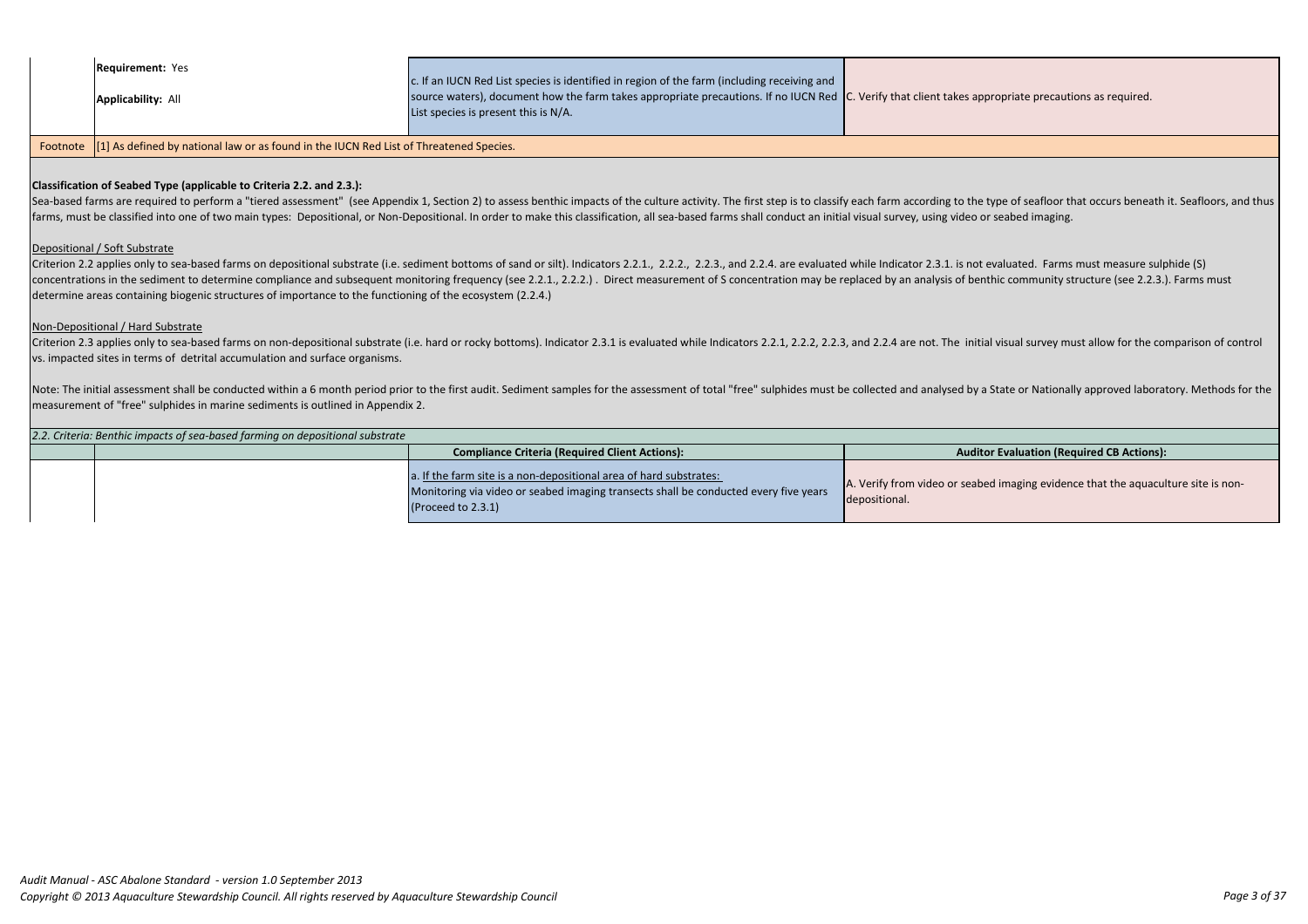| 2.2. Criteria: Benthic impacts of sea-based farming on depositional substrate |                                                                                                                                                                                  |                                                 |  |  |
|-------------------------------------------------------------------------------|----------------------------------------------------------------------------------------------------------------------------------------------------------------------------------|-------------------------------------------------|--|--|
|                                                                               | <b>Compliance Criteria (Required Client Actions):</b>                                                                                                                            | <b>Auditor</b>                                  |  |  |
|                                                                               | a. If the farm site is a non-depositional area of hard substrates:<br>Monitoring via video or seabed imaging transects shall be conducted every five years<br>(Proceed to 2.3.1) | A. Verify from video or seabed<br>depositional. |  |  |

### **Classification of Seabed Type (applicable to Criteria 2.2. and 2.3.):**

Sea-based farms are required to perform a "tiered assessment" (see Appendix 1, Section 2) to assess benthic impacts of the culture activity. The first step is to classify each farm according to the type of seafloor that oc farms, must be classified into one of two main types: Depositional, or Non-Depositional. In order to make this classification, all sea-based farms shall conduct an initial visual survey, using video or seabed imaging.

Criterion 2.2 applies only to sea-based farms on depositional substrate (i.e. sediment bottoms of sand or silt). Indicators 2.2.1., 2.2.2., 2.2.3., and 2.2.4. are evaluated while Indicator 2.3.1. is not evaluated. Farms mu concentrations in the sediment to determine compliance and subsequent monitoring frequency (see 2.2.1., 2.2.2.). Direct measurement of S concentration may be replaced by an analysis of benthic community structure (see 2.2. determine areas containing biogenic structures of importance to the functioning of the ecosystem (2.2.4.)

Criterion 2.3 applies only to sea-based farms on non-depositional substrate (i.e. hard or rocky bottoms). Indicator 2.3.1 is evaluated while Indicators 2.2.1, 2.2.2, 2.2.3, and 2.2.4 are not. The initial visual survey must vs. impacted sites in terms of detrital accumulation and surface organisms.

Note: The initial assessment shall be conducted within a 6 month period prior to the first audit. Sediment samples for the assessment of total "free" sulphides must be collected and analysed by a State or Nationally approv measurement of "free" sulphides in marine sediments is outlined in Appendix 2.

### Depositional / Soft Substrate

| <b>Requirement: Yes</b><br><b>Applicability: All</b>                                                            | c. If an IUCN Red List species is identified in region of the farm (including receiving and<br>source waters), document how the farm takes appropriate precautions. If no IUCN Red C. Verify that client takes app<br>List species is present this is $N/A$ . |  |
|-----------------------------------------------------------------------------------------------------------------|---------------------------------------------------------------------------------------------------------------------------------------------------------------------------------------------------------------------------------------------------------------|--|
| the contract of the contract of the contract of the contract of the contract of the contract of the contract of |                                                                                                                                                                                                                                                               |  |

Footnote | [1] As defined by national law or as found in the IUCN Red List of Threatened Species.

### Non-Depositional / Hard Substrate

ropriate precautions as required.

**Evaluation (Required CB Actions):** 

imaging evidence that the aquaculture site is non-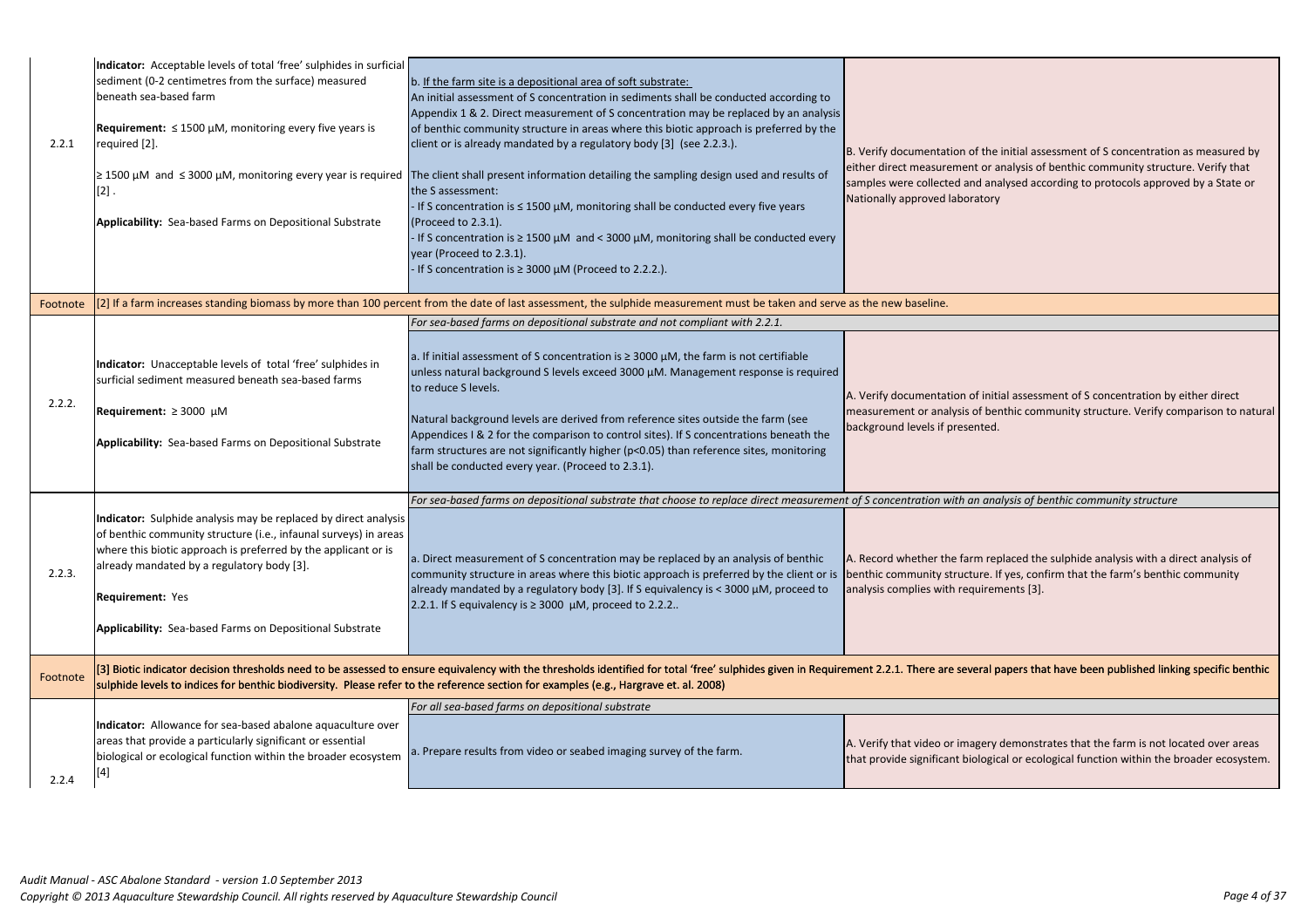| sediment (0-2 centimetres from the surface) measured<br>beneath sea-based farm<br><b>Requirement:</b> $\leq$ 1500 $\mu$ M, monitoring every five years is<br>required [2].<br>$\geq$ 1500 µM and $\leq$ 3000 µM, monitoring every year is required<br>$[2]$ .<br><b>Applicability:</b> Sea-based Farms on Depositional Substrate | Appendix 1 & 2. Direct measurement of S concentration may be replaced by an analysis<br>of benthic community structure in areas where this biotic approach is preferred by the<br>client or is already mandated by a regulatory body [3] (see 2.2.3.).<br>If S concentration is $\leq 1500 \mu M$ , monitoring shall be conducted every five years<br>(Proceed to 2.3.1).<br>If S concentration is $\geq 1500 \mu M$ and < 3000 $\mu M$ , monitoring shall be conducted every<br>year (Proceed to 2.3.1).<br>If S concentration is $\geq 3000 \mu M$ (Proceed to 2.2.2.). | B. Verify documentation of the<br>either direct measurement or a<br>samples were collected and ana<br>Nationally approved laboratory                                                                                                                                                                                                                                                                                                                                                                                                                                                                                                                                                                                                                                                                                                                                                                                                                                                                                                                                                                                                                                                                                                                                                                                                                                                                                                                                                                                                                                                                                                                                                       |
|----------------------------------------------------------------------------------------------------------------------------------------------------------------------------------------------------------------------------------------------------------------------------------------------------------------------------------|---------------------------------------------------------------------------------------------------------------------------------------------------------------------------------------------------------------------------------------------------------------------------------------------------------------------------------------------------------------------------------------------------------------------------------------------------------------------------------------------------------------------------------------------------------------------------|--------------------------------------------------------------------------------------------------------------------------------------------------------------------------------------------------------------------------------------------------------------------------------------------------------------------------------------------------------------------------------------------------------------------------------------------------------------------------------------------------------------------------------------------------------------------------------------------------------------------------------------------------------------------------------------------------------------------------------------------------------------------------------------------------------------------------------------------------------------------------------------------------------------------------------------------------------------------------------------------------------------------------------------------------------------------------------------------------------------------------------------------------------------------------------------------------------------------------------------------------------------------------------------------------------------------------------------------------------------------------------------------------------------------------------------------------------------------------------------------------------------------------------------------------------------------------------------------------------------------------------------------------------------------------------------------|
|                                                                                                                                                                                                                                                                                                                                  |                                                                                                                                                                                                                                                                                                                                                                                                                                                                                                                                                                           |                                                                                                                                                                                                                                                                                                                                                                                                                                                                                                                                                                                                                                                                                                                                                                                                                                                                                                                                                                                                                                                                                                                                                                                                                                                                                                                                                                                                                                                                                                                                                                                                                                                                                            |
|                                                                                                                                                                                                                                                                                                                                  | For sea-based farms on depositional substrate and not compliant with 2.2.1.                                                                                                                                                                                                                                                                                                                                                                                                                                                                                               |                                                                                                                                                                                                                                                                                                                                                                                                                                                                                                                                                                                                                                                                                                                                                                                                                                                                                                                                                                                                                                                                                                                                                                                                                                                                                                                                                                                                                                                                                                                                                                                                                                                                                            |
| Indicator: Unacceptable levels of total 'free' sulphides in<br>surficial sediment measured beneath sea-based farms<br>Requirement: $\geq 3000 \mu M$<br><b>Applicability:</b> Sea-based Farms on Depositional Substrate                                                                                                          | unless natural background S levels exceed 3000 µM. Management response is required<br>to reduce S levels.<br>shall be conducted every year. (Proceed to 2.3.1).                                                                                                                                                                                                                                                                                                                                                                                                           | A. Verify documentation of initi-<br>measurement or analysis of ber<br>background levels if presented.                                                                                                                                                                                                                                                                                                                                                                                                                                                                                                                                                                                                                                                                                                                                                                                                                                                                                                                                                                                                                                                                                                                                                                                                                                                                                                                                                                                                                                                                                                                                                                                     |
|                                                                                                                                                                                                                                                                                                                                  | For sea-based farms on depositional substrate that choose to replace direct measurement of S concentration with an ana                                                                                                                                                                                                                                                                                                                                                                                                                                                    |                                                                                                                                                                                                                                                                                                                                                                                                                                                                                                                                                                                                                                                                                                                                                                                                                                                                                                                                                                                                                                                                                                                                                                                                                                                                                                                                                                                                                                                                                                                                                                                                                                                                                            |
| where this biotic approach is preferred by the applicant or is<br>already mandated by a regulatory body [3].<br><b>Requirement: Yes</b><br><b>Applicability:</b> Sea-based Farms on Depositional Substrate                                                                                                                       | community structure in areas where this biotic approach is preferred by the client or is                                                                                                                                                                                                                                                                                                                                                                                                                                                                                  | A. Record whether the farm rep<br>benthic community structure. If<br>analysis complies with requirem                                                                                                                                                                                                                                                                                                                                                                                                                                                                                                                                                                                                                                                                                                                                                                                                                                                                                                                                                                                                                                                                                                                                                                                                                                                                                                                                                                                                                                                                                                                                                                                       |
|                                                                                                                                                                                                                                                                                                                                  |                                                                                                                                                                                                                                                                                                                                                                                                                                                                                                                                                                           |                                                                                                                                                                                                                                                                                                                                                                                                                                                                                                                                                                                                                                                                                                                                                                                                                                                                                                                                                                                                                                                                                                                                                                                                                                                                                                                                                                                                                                                                                                                                                                                                                                                                                            |
|                                                                                                                                                                                                                                                                                                                                  |                                                                                                                                                                                                                                                                                                                                                                                                                                                                                                                                                                           |                                                                                                                                                                                                                                                                                                                                                                                                                                                                                                                                                                                                                                                                                                                                                                                                                                                                                                                                                                                                                                                                                                                                                                                                                                                                                                                                                                                                                                                                                                                                                                                                                                                                                            |
| Indicator: Allowance for sea-based abalone aquaculture over<br>areas that provide a particularly significant or essential<br>biological or ecological function within the broader ecosystem<br>[4]                                                                                                                               |                                                                                                                                                                                                                                                                                                                                                                                                                                                                                                                                                                           | A. Verify that video or imagery o<br>that provide significant biologic                                                                                                                                                                                                                                                                                                                                                                                                                                                                                                                                                                                                                                                                                                                                                                                                                                                                                                                                                                                                                                                                                                                                                                                                                                                                                                                                                                                                                                                                                                                                                                                                                     |
|                                                                                                                                                                                                                                                                                                                                  |                                                                                                                                                                                                                                                                                                                                                                                                                                                                                                                                                                           | b. If the farm site is a depositional area of soft substrate:<br>An initial assessment of S concentration in sediments shall be conducted according to<br>The client shall present information detailing the sampling design used and results of<br>the S assessment:<br>[2] If a farm increases standing biomass by more than 100 percent from the date of last assessment, the sulphide measurement must be taken and serve as the new baseline.<br>a. If initial assessment of S concentration is $\geq 3000 \mu M$ , the farm is not certifiable<br>Natural background levels are derived from reference sites outside the farm (see<br>Appendices I & 2 for the comparison to control sites). If S concentrations beneath the<br>farm structures are not significantly higher (p<0.05) than reference sites, monitoring<br>Indicator: Sulphide analysis may be replaced by direct analysis<br>of benthic community structure (i.e., infaunal surveys) in areas<br>a. Direct measurement of S concentration may be replaced by an analysis of benthic<br>already mandated by a regulatory body [3]. If S equivalency is < 3000 $\mu$ M, proceed to<br>2.2.1. If S equivalency is $\geq$ 3000 µM, proceed to 2.2.2<br>[3] Biotic indicator decision thresholds need to be assessed to ensure equivalency with the thresholds identified for total 'free' sulphides given in Requirement 2.2.1. There are several p<br>sulphide levels to indices for benthic biodiversity. Please refer to the reference section for examples (e.g., Hargrave et. al. 2008)<br>For all sea-based farms on depositional substrate<br>a. Prepare results from video or seabed imaging survey of the farm. |

*For sea-based farms on depositional substrate that choose to replace direct measurement of S concentration with an analysis of benthic community structure*

replaced the sulphide analysis with a direct analysis of . If yes, confirm that the farm's benthic community ements [3].

papers that have been published linking specific benthic

y demonstrates that the farm is not located over areas tical or ecological function within the broader ecosystem.

he initial assessment of S concentration as measured by analysis of benthic community structure. Verify that analysed according to protocols approved by a State or

hitial assessment of S concentration by either direct penthic community structure. Verify comparison to natural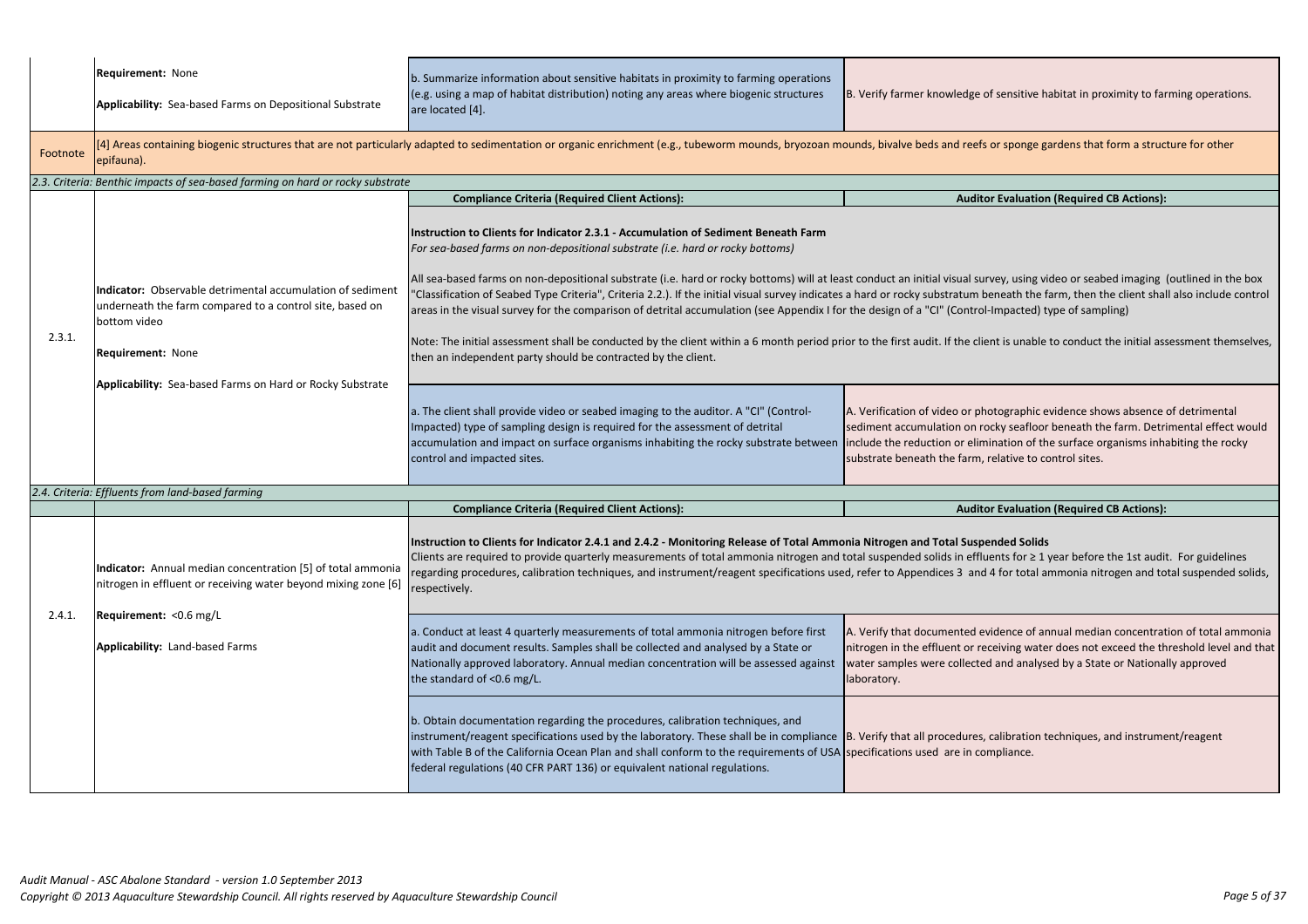|          | <b>Requirement: None</b><br><b>Applicability:</b> Sea-based Farms on Depositional Substrate                                                                                                                                     | b. Summarize information about sensitive habitats in proximity to farming operations<br>(e.g. using a map of habitat distribution) noting any areas where biogenic structures<br>are located [4].                                                                                                                                                                                                                                                                                                                                                                                                                                                                                                                                                                                                                                                                                                                                                                                                                                                                                                              | B. Verify farmer knowledge of sensitive h                                                                                                                                         |
|----------|---------------------------------------------------------------------------------------------------------------------------------------------------------------------------------------------------------------------------------|----------------------------------------------------------------------------------------------------------------------------------------------------------------------------------------------------------------------------------------------------------------------------------------------------------------------------------------------------------------------------------------------------------------------------------------------------------------------------------------------------------------------------------------------------------------------------------------------------------------------------------------------------------------------------------------------------------------------------------------------------------------------------------------------------------------------------------------------------------------------------------------------------------------------------------------------------------------------------------------------------------------------------------------------------------------------------------------------------------------|-----------------------------------------------------------------------------------------------------------------------------------------------------------------------------------|
| Footnote | epifauna).                                                                                                                                                                                                                      | [[4] Areas containing biogenic structures that are not particularly adapted to sedimentation or organic enrichment (e.g., tubeworm mounds, bryozoan mounds, bivalve beds and reefs or sponge g                                                                                                                                                                                                                                                                                                                                                                                                                                                                                                                                                                                                                                                                                                                                                                                                                                                                                                                 |                                                                                                                                                                                   |
|          | 2.3. Criteria: Benthic impacts of sea-based farming on hard or rocky substrate                                                                                                                                                  |                                                                                                                                                                                                                                                                                                                                                                                                                                                                                                                                                                                                                                                                                                                                                                                                                                                                                                                                                                                                                                                                                                                |                                                                                                                                                                                   |
|          |                                                                                                                                                                                                                                 | <b>Compliance Criteria (Required Client Actions):</b>                                                                                                                                                                                                                                                                                                                                                                                                                                                                                                                                                                                                                                                                                                                                                                                                                                                                                                                                                                                                                                                          | <b>Auditor Evaluation</b>                                                                                                                                                         |
| 2.3.1.   | Indicator: Observable detrimental accumulation of sediment<br>underneath the farm compared to a control site, based on<br>bottom video<br><b>Requirement: None</b><br>Applicability: Sea-based Farms on Hard or Rocky Substrate | Instruction to Clients for Indicator 2.3.1 - Accumulation of Sediment Beneath Farm<br>For sea-based farms on non-depositional substrate (i.e. hard or rocky bottoms)<br>All sea-based farms on non-depositional substrate (i.e. hard or rocky bottoms) will at least conduct an initial visual survey, using vi<br>'Classification of Seabed Type Criteria", Criteria 2.2.). If the initial visual survey indicates a hard or rocky substratum beneath the f<br>areas in the visual survey for the comparison of detrital accumulation (see Appendix I for the design of a "CI" (Control-Impacted) t<br>Note: The initial assessment shall be conducted by the client within a 6 month period prior to the first audit. If the client is unable<br>then an independent party should be contracted by the client.<br>a. The client shall provide video or seabed imaging to the auditor. A "CI" (Control-<br>Impacted) type of sampling design is required for the assessment of detrital<br>accumulation and impact on surface organisms inhabiting the rocky substrate between<br>control and impacted sites. | A. Verification of video or photographic e<br>sediment accumulation on rocky seafloor<br>include the reduction or elimination of th<br>substrate beneath the farm, relative to co |
|          | 2.4. Criteria: Effluents from land-based farming                                                                                                                                                                                |                                                                                                                                                                                                                                                                                                                                                                                                                                                                                                                                                                                                                                                                                                                                                                                                                                                                                                                                                                                                                                                                                                                |                                                                                                                                                                                   |
|          |                                                                                                                                                                                                                                 | <b>Compliance Criteria (Required Client Actions):</b>                                                                                                                                                                                                                                                                                                                                                                                                                                                                                                                                                                                                                                                                                                                                                                                                                                                                                                                                                                                                                                                          | <b>Auditor Evaluation</b>                                                                                                                                                         |
| 2.4.1.   | Indicator: Annual median concentration [5] of total ammonia<br>Initrogen in effluent or receiving water beyond mixing zone [6]                                                                                                  | Instruction to Clients for Indicator 2.4.1 and 2.4.2 - Monitoring Release of Total Ammonia Nitrogen and Total Suspended Solids<br>Clients are required to provide quarterly measurements of total ammonia nitrogen and total suspended solids in effluents for $\geq 1$<br>regarding procedures, calibration techniques, and instrument/reagent specifications used, refer to Appendices 3 and 4 for total a<br>respectively.                                                                                                                                                                                                                                                                                                                                                                                                                                                                                                                                                                                                                                                                                  |                                                                                                                                                                                   |
|          | Requirement: < 0.6 mg/L<br>Applicability: Land-based Farms                                                                                                                                                                      | a. Conduct at least 4 quarterly measurements of total ammonia nitrogen before first<br>audit and document results. Samples shall be collected and analysed by a State or<br>Nationally approved laboratory. Annual median concentration will be assessed against<br>the standard of <0.6 mg/L.                                                                                                                                                                                                                                                                                                                                                                                                                                                                                                                                                                                                                                                                                                                                                                                                                 | A. Verify that documented evidence of ar<br>nitrogen in the effluent or receiving wate<br>water samples were collected and analys<br>laboratory.                                  |
|          |                                                                                                                                                                                                                                 | b. Obtain documentation regarding the procedures, calibration techniques, and<br>instrument/reagent specifications used by the laboratory. These shall be in compliance B. Verify that all procedures, calibration t<br>with Table B of the California Ocean Plan and shall conform to the requirements of USA specifications used are in compliance.<br>federal regulations (40 CFR PART 136) or equivalent national regulations.                                                                                                                                                                                                                                                                                                                                                                                                                                                                                                                                                                                                                                                                             |                                                                                                                                                                                   |
|          |                                                                                                                                                                                                                                 |                                                                                                                                                                                                                                                                                                                                                                                                                                                                                                                                                                                                                                                                                                                                                                                                                                                                                                                                                                                                                                                                                                                |                                                                                                                                                                                   |

If sensitive habitat in proximity to farming operations.

or sponge gardens that form a structure for other

# **Compliance CB Actions** (Required CB Actions):

vey, using video or seabed imaging (outlined in the box eneath the farm, then the client shall also include control -Impacted) type of sampling)

ent is unable to conduct the initial assessment themselves,

otographic evidence shows absence of detrimental ocky seafloor beneath the farm. Detrimental effect would ination of the surface organisms inhabiting the rocky relative to control sites.

# **Complianation (Required CB Actions):**

ents for ≥ 1 year before the 1st audit. For guidelines 4 for total ammonia nitrogen and total suspended solids,

vidence of annual median concentration of total ammonia ceiving water does not exceed the threshold level and that d and analysed by a State or Nationally approved

calibration techniques, and instrument/reagent mpliance.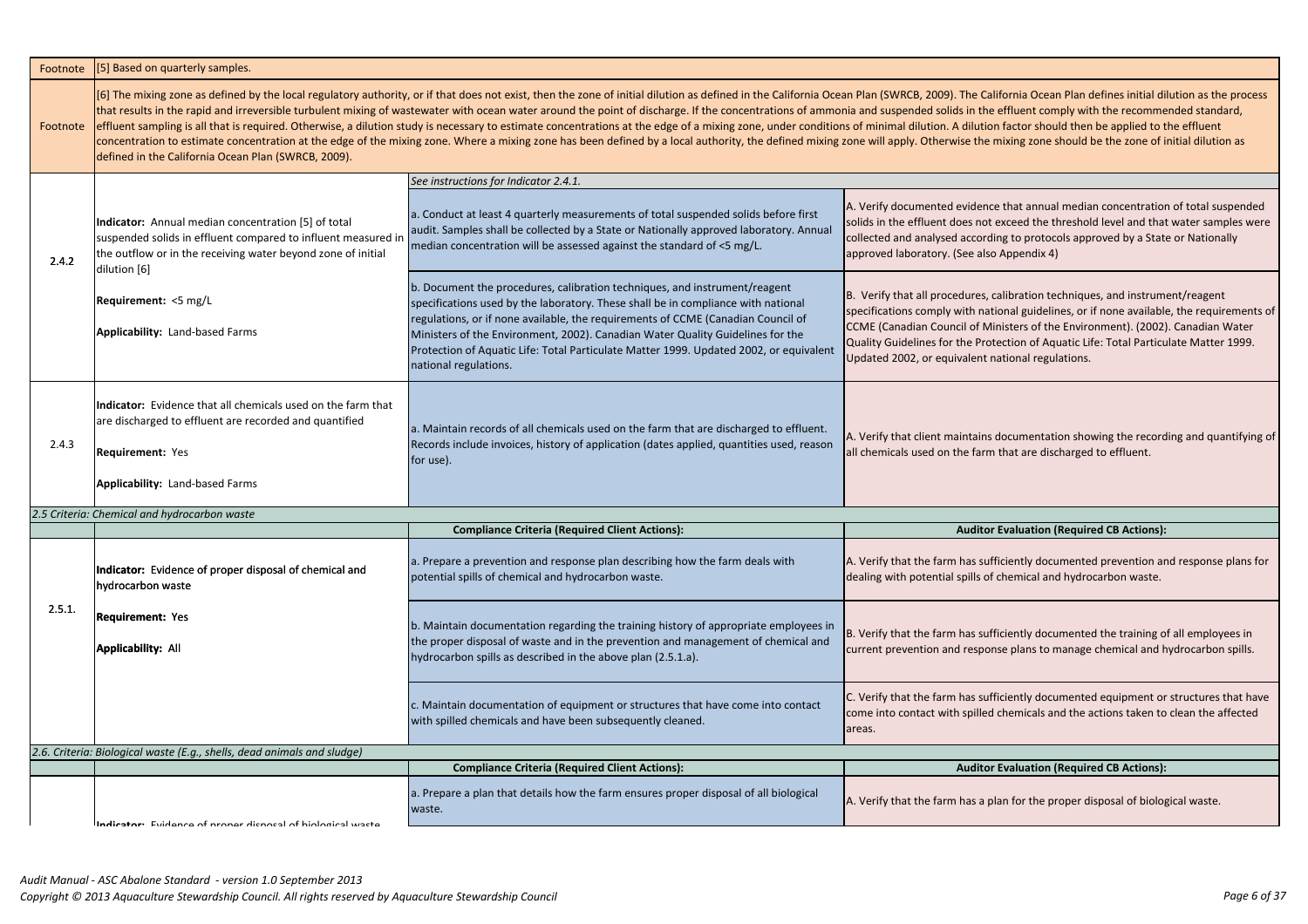| Footnote | [5] Based on quarterly samples.                                                                                                                                                                      |                                                                                                                                                                                                                                                                                                                                                                                                                                                                                                                                                                                                                                                                                                                                                                                |                                                                                                                                                                        |
|----------|------------------------------------------------------------------------------------------------------------------------------------------------------------------------------------------------------|--------------------------------------------------------------------------------------------------------------------------------------------------------------------------------------------------------------------------------------------------------------------------------------------------------------------------------------------------------------------------------------------------------------------------------------------------------------------------------------------------------------------------------------------------------------------------------------------------------------------------------------------------------------------------------------------------------------------------------------------------------------------------------|------------------------------------------------------------------------------------------------------------------------------------------------------------------------|
| Footnote | defined in the California Ocean Plan (SWRCB, 2009).                                                                                                                                                  | [6] The mixing zone as defined by the local regulatory authority, or if that does not exist, then the zone of initial dilution as defined in the California Ocean Plan (SWRCB, 2009). The Ca<br>that results in the rapid and irreversible turbulent mixing of wastewater with ocean water around the point of discharge. If the concentrations of ammonia and suspended solids in the<br>effluent sampling is all that is required. Otherwise, a dilution study is necessary to estimate concentrations at the edge of a mixing zone, under conditions of minimal dilution. A dilutic<br>concentration to estimate concentration at the edge of the mixing zone. Where a mixing zone has been defined by a local authority, the defined mixing zone will apply. Otherwise the |                                                                                                                                                                        |
|          |                                                                                                                                                                                                      | See instructions for Indicator 2.4.1.                                                                                                                                                                                                                                                                                                                                                                                                                                                                                                                                                                                                                                                                                                                                          |                                                                                                                                                                        |
| 2.4.2    | Indicator: Annual median concentration [5] of total<br>suspended solids in effluent compared to influent measured in<br>the outflow or in the receiving water beyond zone of initial<br>dilution [6] | a. Conduct at least 4 quarterly measurements of total suspended solids before first<br>audit. Samples shall be collected by a State or Nationally approved laboratory. Annual<br>median concentration will be assessed against the standard of <5 mg/L.                                                                                                                                                                                                                                                                                                                                                                                                                                                                                                                        | A. Verify documented eviden<br>solids in the effluent does not<br>collected and analysed accord<br>approved laboratory. (See als                                       |
|          | <b>Requirement:</b> <5 mg/L<br><b>Applicability: Land-based Farms</b>                                                                                                                                | b. Document the procedures, calibration techniques, and instrument/reagent<br>specifications used by the laboratory. These shall be in compliance with national<br>regulations, or if none available, the requirements of CCME (Canadian Council of<br>Ministers of the Environment, 2002). Canadian Water Quality Guidelines for the<br>Protection of Aquatic Life: Total Particulate Matter 1999. Updated 2002, or equivalent<br>national regulations.                                                                                                                                                                                                                                                                                                                       | B. Verify that all procedures,<br>specifications comply with na<br><b>CCME</b> (Canadian Council of M<br>Quality Guidelines for the Pro<br>Updated 2002, or equivalent |
| 2.4.3    | Indicator: Evidence that all chemicals used on the farm that<br>are discharged to effluent are recorded and quantified<br><b>Requirement: Yes</b><br><b>Applicability: Land-based Farms</b>          | a. Maintain records of all chemicals used on the farm that are discharged to effluent.<br>Records include invoices, history of application (dates applied, quantities used, reason<br>for use).                                                                                                                                                                                                                                                                                                                                                                                                                                                                                                                                                                                | A. Verify that client maintains<br>all chemicals used on the farn                                                                                                      |
|          | 2.5 Criteria: Chemical and hydrocarbon waste                                                                                                                                                         |                                                                                                                                                                                                                                                                                                                                                                                                                                                                                                                                                                                                                                                                                                                                                                                |                                                                                                                                                                        |
|          |                                                                                                                                                                                                      | <b>Compliance Criteria (Required Client Actions):</b>                                                                                                                                                                                                                                                                                                                                                                                                                                                                                                                                                                                                                                                                                                                          | <b>Audito</b>                                                                                                                                                          |
|          | Indicator: Evidence of proper disposal of chemical and<br>hydrocarbon waste                                                                                                                          | a. Prepare a prevention and response plan describing how the farm deals with<br>potential spills of chemical and hydrocarbon waste.                                                                                                                                                                                                                                                                                                                                                                                                                                                                                                                                                                                                                                            | A. Verify that the farm has sur<br>dealing with potential spills of                                                                                                    |
| 2.5.1.   | <b>Requirement: Yes</b><br><b>Applicability: All</b>                                                                                                                                                 | b. Maintain documentation regarding the training history of appropriate employees in<br>the proper disposal of waste and in the prevention and management of chemical and<br>hydrocarbon spills as described in the above plan (2.5.1.a).                                                                                                                                                                                                                                                                                                                                                                                                                                                                                                                                      | B. Verify that the farm has sut<br>current prevention and respo                                                                                                        |
|          |                                                                                                                                                                                                      | c. Maintain documentation of equipment or structures that have come into contact<br>with spilled chemicals and have been subsequently cleaned.                                                                                                                                                                                                                                                                                                                                                                                                                                                                                                                                                                                                                                 | C. Verify that the farm has sut<br>come into contact with spilled<br>areas.                                                                                            |
|          | 2.6. Criteria: Biological waste (E.g., shells, dead animals and sludge)                                                                                                                              | <b>Compliance Criteria (Required Client Actions):</b>                                                                                                                                                                                                                                                                                                                                                                                                                                                                                                                                                                                                                                                                                                                          | <b>Audito</b>                                                                                                                                                          |
|          |                                                                                                                                                                                                      | a. Prepare a plan that details how the farm ensures proper disposal of all biological<br>waste.                                                                                                                                                                                                                                                                                                                                                                                                                                                                                                                                                                                                                                                                                | A. Verify that the farm has a p                                                                                                                                        |
|          | Indicator: Evidence of proper disposed of biological waste                                                                                                                                           |                                                                                                                                                                                                                                                                                                                                                                                                                                                                                                                                                                                                                                                                                                                                                                                |                                                                                                                                                                        |

alifornia Ocean Plan defines initial dilution as the process e effluent comply with the recommended standard, on factor should then be applied to the effluent mixing zone should be the zone of initial dilution as

ce that annual median concentration of total suspended exceed the threshold level and that water samples were ding to protocols approved by a State or Nationally appendix 4)

calibration techniques, and instrument/reagent stional guidelines, or if none available, the requirements of Ainisters of the Environment). (2002). Canadian Water otection of Aquatic Life: Total Particulate Matter 1999. national regulations.

documentation showing the recording and quantifying of n that are discharged to effluent.

# **Complianation (Required CB Actions):**

Ifficiently documented prevention and response plans for of chemical and hydrocarbon waste.

Ifficiently documented the training of all employees in onse plans to manage chemical and hydrocarbon spills.

Ifficiently documented equipment or structures that have d chemicals and the actions taken to clean the affected

# **Combination (Required CB Actions):**

plan for the proper disposal of biological waste.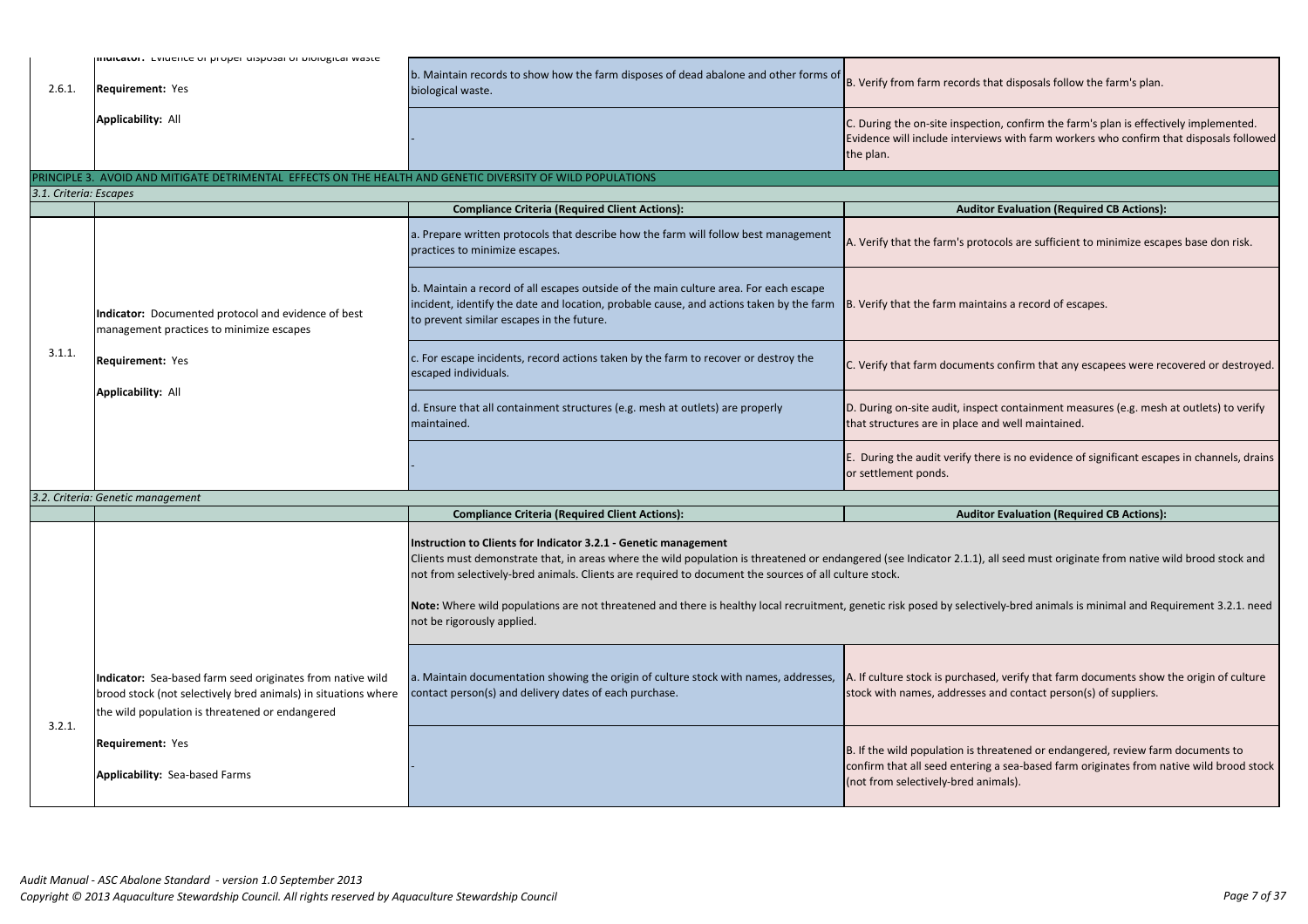| b. Maintain records to show how the farm disposes of dead abalone and other forms of<br>2.6.1.<br><b>Requirement: Yes</b><br>biological waste.<br>Applicability: All<br>the plan.<br>PRINCIPLE 3. AVOID AND MITIGATE DETRIMENTAL EFFECTS ON THE HEALTH AND GENETIC DIVERSITY OF WILD POPULATIONS<br>3.1. Criteria: Escapes<br><b>Compliance Criteria (Required Client Actions):</b><br>a. Prepare written protocols that describe how the farm will follow best management<br>practices to minimize escapes.<br>b. Maintain a record of all escapes outside of the main culture area. For each escape<br>incident, identify the date and location, probable cause, and actions taken by the farm<br>Indicator: Documented protocol and evidence of best<br>to prevent similar escapes in the future.<br>management practices to minimize escapes<br>3.1.1.<br>c. For escape incidents, record actions taken by the farm to recover or destroy the<br><b>Requirement: Yes</b><br>escaped individuals.<br><b>Applicability: All</b><br>d. Ensure that all containment structures (e.g. mesh at outlets) are properly<br>maintained.<br>or settlement ponds.<br>3.2. Criteria: Genetic management<br><b>Compliance Criteria (Required Client Actions):</b><br>Instruction to Clients for Indicator 3.2.1 - Genetic management<br>Clients must demonstrate that, in areas where the wild population is threatened or endangered (see Indicator 2.1.1), a<br>not from selectively-bred animals. Clients are required to document the sources of all culture stock.<br>Note: Where wild populations are not threatened and there is healthy local recruitment, genetic risk posed by selective<br>not be rigorously applied.<br>a. Maintain documentation showing the origin of culture stock with names, addresses, A. If culture stock is purchased<br>Indicator: Sea-based farm seed originates from native wild<br>contact person(s) and delivery dates of each purchase.<br>brood stock (not selectively bred animals) in situations where<br>the wild population is threatened or endangered<br>3.2.1.<br><b>Requirement: Yes</b><br>Applicability: Sea-based Farms |  | <b>INIMICALUI.</b> LVIUCHICE UI PIUPEI UISPUSAI UI DIUIUKICAI WASLE |                                                                                                       |
|---------------------------------------------------------------------------------------------------------------------------------------------------------------------------------------------------------------------------------------------------------------------------------------------------------------------------------------------------------------------------------------------------------------------------------------------------------------------------------------------------------------------------------------------------------------------------------------------------------------------------------------------------------------------------------------------------------------------------------------------------------------------------------------------------------------------------------------------------------------------------------------------------------------------------------------------------------------------------------------------------------------------------------------------------------------------------------------------------------------------------------------------------------------------------------------------------------------------------------------------------------------------------------------------------------------------------------------------------------------------------------------------------------------------------------------------------------------------------------------------------------------------------------------------------------------------------------------------------------------------------------------------------------------------------------------------------------------------------------------------------------------------------------------------------------------------------------------------------------------------------------------------------------------------------------------------------------------------------------------------------------------------------------------------------------------------------------------------------------------------------------------------------------------------|--|---------------------------------------------------------------------|-------------------------------------------------------------------------------------------------------|
|                                                                                                                                                                                                                                                                                                                                                                                                                                                                                                                                                                                                                                                                                                                                                                                                                                                                                                                                                                                                                                                                                                                                                                                                                                                                                                                                                                                                                                                                                                                                                                                                                                                                                                                                                                                                                                                                                                                                                                                                                                                                                                                                                                     |  |                                                                     | B. Verify from farm records th                                                                        |
|                                                                                                                                                                                                                                                                                                                                                                                                                                                                                                                                                                                                                                                                                                                                                                                                                                                                                                                                                                                                                                                                                                                                                                                                                                                                                                                                                                                                                                                                                                                                                                                                                                                                                                                                                                                                                                                                                                                                                                                                                                                                                                                                                                     |  |                                                                     | C. During the on-site inspectio<br>Evidence will include interviev                                    |
|                                                                                                                                                                                                                                                                                                                                                                                                                                                                                                                                                                                                                                                                                                                                                                                                                                                                                                                                                                                                                                                                                                                                                                                                                                                                                                                                                                                                                                                                                                                                                                                                                                                                                                                                                                                                                                                                                                                                                                                                                                                                                                                                                                     |  |                                                                     |                                                                                                       |
|                                                                                                                                                                                                                                                                                                                                                                                                                                                                                                                                                                                                                                                                                                                                                                                                                                                                                                                                                                                                                                                                                                                                                                                                                                                                                                                                                                                                                                                                                                                                                                                                                                                                                                                                                                                                                                                                                                                                                                                                                                                                                                                                                                     |  |                                                                     |                                                                                                       |
|                                                                                                                                                                                                                                                                                                                                                                                                                                                                                                                                                                                                                                                                                                                                                                                                                                                                                                                                                                                                                                                                                                                                                                                                                                                                                                                                                                                                                                                                                                                                                                                                                                                                                                                                                                                                                                                                                                                                                                                                                                                                                                                                                                     |  |                                                                     | <b>Auditor</b>                                                                                        |
|                                                                                                                                                                                                                                                                                                                                                                                                                                                                                                                                                                                                                                                                                                                                                                                                                                                                                                                                                                                                                                                                                                                                                                                                                                                                                                                                                                                                                                                                                                                                                                                                                                                                                                                                                                                                                                                                                                                                                                                                                                                                                                                                                                     |  |                                                                     | A. Verify that the farm's proto                                                                       |
|                                                                                                                                                                                                                                                                                                                                                                                                                                                                                                                                                                                                                                                                                                                                                                                                                                                                                                                                                                                                                                                                                                                                                                                                                                                                                                                                                                                                                                                                                                                                                                                                                                                                                                                                                                                                                                                                                                                                                                                                                                                                                                                                                                     |  |                                                                     | B. Verify that the farm mainta                                                                        |
|                                                                                                                                                                                                                                                                                                                                                                                                                                                                                                                                                                                                                                                                                                                                                                                                                                                                                                                                                                                                                                                                                                                                                                                                                                                                                                                                                                                                                                                                                                                                                                                                                                                                                                                                                                                                                                                                                                                                                                                                                                                                                                                                                                     |  |                                                                     | C. Verify that farm documents                                                                         |
|                                                                                                                                                                                                                                                                                                                                                                                                                                                                                                                                                                                                                                                                                                                                                                                                                                                                                                                                                                                                                                                                                                                                                                                                                                                                                                                                                                                                                                                                                                                                                                                                                                                                                                                                                                                                                                                                                                                                                                                                                                                                                                                                                                     |  |                                                                     | D. During on-site audit, insped<br>that structures are in place an                                    |
|                                                                                                                                                                                                                                                                                                                                                                                                                                                                                                                                                                                                                                                                                                                                                                                                                                                                                                                                                                                                                                                                                                                                                                                                                                                                                                                                                                                                                                                                                                                                                                                                                                                                                                                                                                                                                                                                                                                                                                                                                                                                                                                                                                     |  |                                                                     | E. During the audit verify ther                                                                       |
|                                                                                                                                                                                                                                                                                                                                                                                                                                                                                                                                                                                                                                                                                                                                                                                                                                                                                                                                                                                                                                                                                                                                                                                                                                                                                                                                                                                                                                                                                                                                                                                                                                                                                                                                                                                                                                                                                                                                                                                                                                                                                                                                                                     |  |                                                                     |                                                                                                       |
|                                                                                                                                                                                                                                                                                                                                                                                                                                                                                                                                                                                                                                                                                                                                                                                                                                                                                                                                                                                                                                                                                                                                                                                                                                                                                                                                                                                                                                                                                                                                                                                                                                                                                                                                                                                                                                                                                                                                                                                                                                                                                                                                                                     |  |                                                                     | <b>Auditor</b>                                                                                        |
|                                                                                                                                                                                                                                                                                                                                                                                                                                                                                                                                                                                                                                                                                                                                                                                                                                                                                                                                                                                                                                                                                                                                                                                                                                                                                                                                                                                                                                                                                                                                                                                                                                                                                                                                                                                                                                                                                                                                                                                                                                                                                                                                                                     |  |                                                                     |                                                                                                       |
|                                                                                                                                                                                                                                                                                                                                                                                                                                                                                                                                                                                                                                                                                                                                                                                                                                                                                                                                                                                                                                                                                                                                                                                                                                                                                                                                                                                                                                                                                                                                                                                                                                                                                                                                                                                                                                                                                                                                                                                                                                                                                                                                                                     |  |                                                                     | stock with names, addresses a                                                                         |
|                                                                                                                                                                                                                                                                                                                                                                                                                                                                                                                                                                                                                                                                                                                                                                                                                                                                                                                                                                                                                                                                                                                                                                                                                                                                                                                                                                                                                                                                                                                                                                                                                                                                                                                                                                                                                                                                                                                                                                                                                                                                                                                                                                     |  |                                                                     | B. If the wild population is thre<br>confirm that all seed entering<br>(not from selectively-bred ani |

at disposals follow the farm's plan.

on, confirm the farm's plan is effectively implemented. ws with farm workers who confirm that disposals followed

**Complianation (Required CB Actions):** 

pcols are sufficient to minimize escapes base don risk.

ins a record of escapes.

confirm that any escapees were recovered or destroyed.

ct containment measures (e.g. mesh at outlets) to verify d well maintained.

re is no evidence of significant escapes in channels, drains

**Combination (Required CB Actions):** 

Ill seed must originate from native wild brood stock and

ely-bred animals is minimal and Requirement 3.2.1. need

d, verify that farm documents show the origin of culture and contact person(s) of suppliers.

eatened or endangered, review farm documents to a sea-based farm originates from native wild brood stock mals).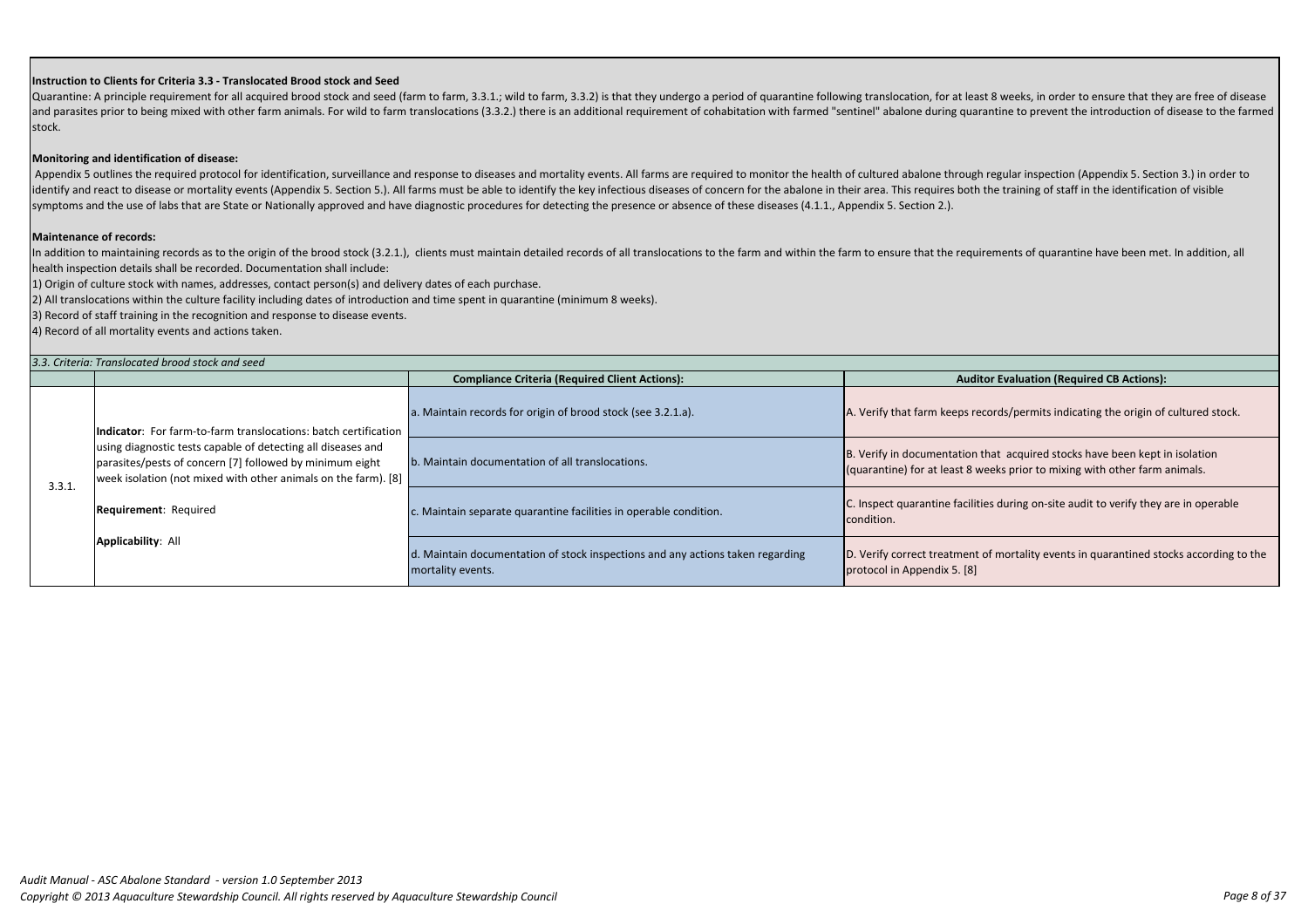Quarantine: A principle requirement for all acquired brood stock and seed (farm to farm, 3.3.1.; wild to farm, 3.3.2) is that they undergo a period of quarantine following translocation, for at least 8 weeks, in order to e and parasites prior to being mixed with other farm animals. For wild to farm translocations (3.3.2.) there is an additional requirement of cohabitation with farmed "sentinel" abalone during quarantine to prevent the introd stock.

### **Instruction to Clients for Criteria 3.3 - Translocated Brood stock and Seed**

In addition to maintaining records as to the origin of the brood stock (3.2.1.), clients must maintain detailed records of all translocations to the farm and within the farm to ensure that the requirements of quarantine ha health inspection details shall be recorded. Documentation shall include:

### **Monitoring and identification of disease:**

Appendix 5 outlines the required protocol for identification, surveillance and response to diseases and mortality events. All farms are required to monitor the health of cultured abalone through regular inspection (Appendi identify and react to disease or mortality events (Appendix 5. Section 5.). All farms must be able to identify the key infectious diseases of concern for the abalone in their area. This requires both the training of staff symptoms and the use of labs that are State or Nationally approved and have diagnostic procedures for detecting the presence or absence of these diseases (4.1.1., Appendix 5. Section 2.).

|        | 3.3. Criteria: Translocated brood stock and seed                                                                                                                                                                                                                                              |                                                                                                     |                                                                   |  |
|--------|-----------------------------------------------------------------------------------------------------------------------------------------------------------------------------------------------------------------------------------------------------------------------------------------------|-----------------------------------------------------------------------------------------------------|-------------------------------------------------------------------|--|
|        |                                                                                                                                                                                                                                                                                               | <b>Compliance Criteria (Required Client Actions):</b>                                               | Audito                                                            |  |
|        | Indicator: For farm-to-farm translocations: batch certification<br>using diagnostic tests capable of detecting all diseases and<br>parasites/pests of concern [7] followed by minimum eight<br>week isolation (not mixed with other animals on the farm). [8]<br><b>Requirement: Required</b> | a. Maintain records for origin of brood stock (see 3.2.1.a).                                        | A. Verify that farm keeps reco                                    |  |
| 3.3.1. |                                                                                                                                                                                                                                                                                               | b. Maintain documentation of all translocations.                                                    | B. Verify in documentation the<br>(quarantine) for at least 8 wee |  |
|        |                                                                                                                                                                                                                                                                                               | c. Maintain separate quarantine facilities in operable condition.                                   | C. Inspect quarantine facilities<br>condition.                    |  |
|        | Applicability: All                                                                                                                                                                                                                                                                            | d. Maintain documentation of stock inspections and any actions taken regarding<br>mortality events. | D. Verify correct treatment of<br>protocol in Appendix 5. [8]     |  |

### **Maintenance of records:**

1) Origin of culture stock with names, addresses, contact person(s) and delivery dates of each purchase.

2) All translocations within the culture facility including dates of introduction and time spent in quarantine (minimum 8 weeks).

3) Record of staff training in the recognition and response to disease events.

4) Record of all mortality events and actions taken.

**Combination (Required CB Actions):** 

a. Maintain records for a.2.1.1.2.1.3.1.1.3.1.1.3.1.1.<br>Indis/permits indicating the origin of cultured stock.

hat acquired stocks have been kept in isolation eks prior to mixing with other farm animals.

s during on-site audit to verify they are in operable

mortality events in quarantined stocks according to the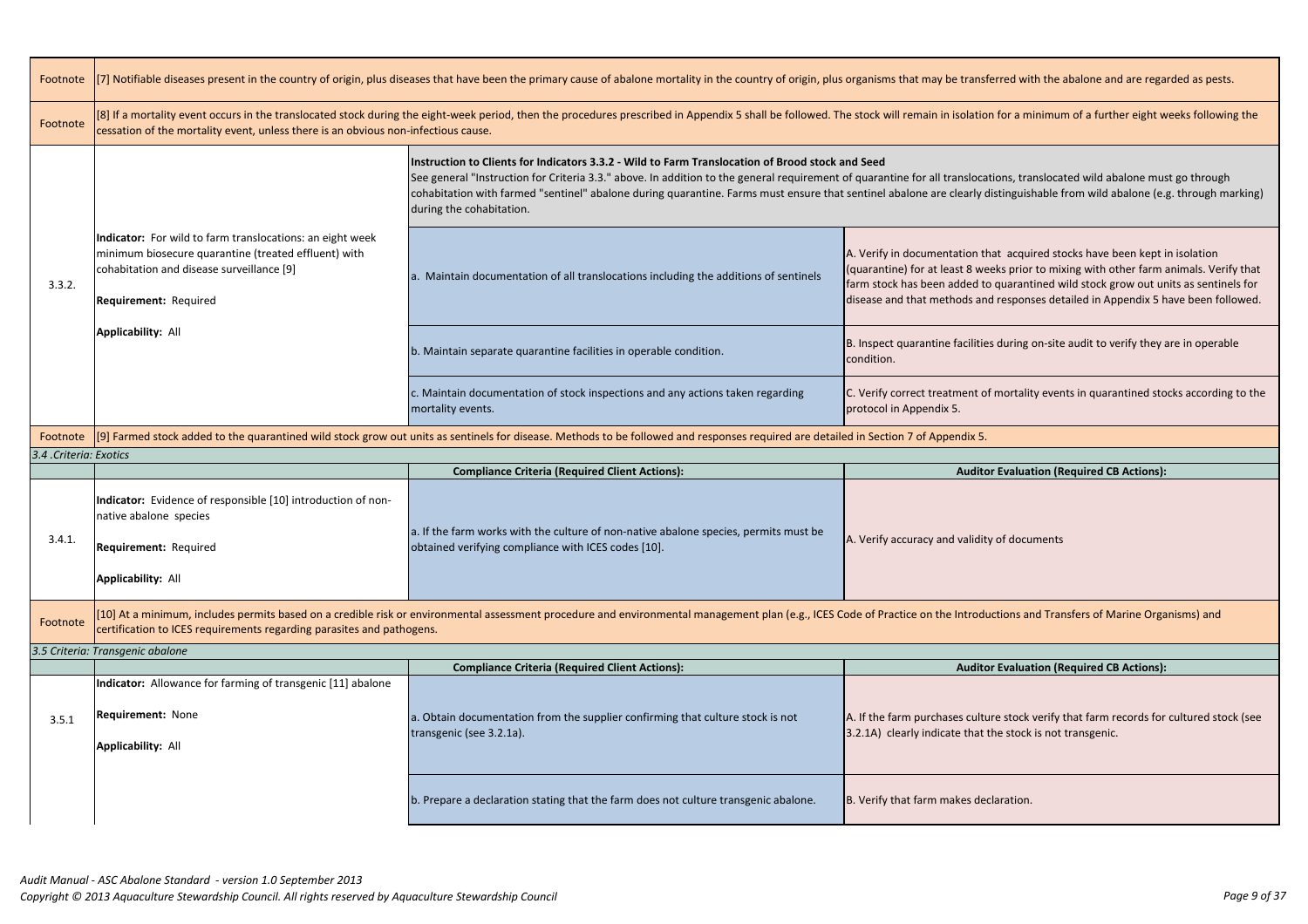| Footnote               | [7] Notifiable diseases present in the country of origin, plus diseases that have been the primary cause of abalone mortality in the country of origin, plus organisms that may be transferred with the                                                                                        |                                                                                                                                                                                                                                                                                                                                                                                                                   |                                                                                                                                                                                            |
|------------------------|------------------------------------------------------------------------------------------------------------------------------------------------------------------------------------------------------------------------------------------------------------------------------------------------|-------------------------------------------------------------------------------------------------------------------------------------------------------------------------------------------------------------------------------------------------------------------------------------------------------------------------------------------------------------------------------------------------------------------|--------------------------------------------------------------------------------------------------------------------------------------------------------------------------------------------|
| Footnote               | [8] If a mortality event occurs in the translocated stock during the eight-week period, then the procedures prescribed in Appendix 5 shall be followed. The stock will remain in isolation for a minimur<br>cessation of the mortality event, unless there is an obvious non-infectious cause. |                                                                                                                                                                                                                                                                                                                                                                                                                   |                                                                                                                                                                                            |
|                        |                                                                                                                                                                                                                                                                                                | Instruction to Clients for Indicators 3.3.2 - Wild to Farm Translocation of Brood stock and Seed<br>See general "Instruction for Criteria 3.3." above. In addition to the general requirement of quarantine for all translocations, transloca<br>cohabitation with farmed "sentinel" abalone during quarantine. Farms must ensure that sentinel abalone are clearly distinguishable t<br>during the cohabitation. |                                                                                                                                                                                            |
| 3.3.2.                 | Indicator: For wild to farm translocations: an eight week<br>minimum biosecure quarantine (treated effluent) with<br>cohabitation and disease surveillance [9]<br>Requirement: Required                                                                                                        | a. Maintain documentation of all translocations including the additions of sentinels                                                                                                                                                                                                                                                                                                                              | A. Verify in documentation that acquired ste<br>(quarantine) for at least 8 weeks prior to mi:<br>farm stock has been added to quarantined v<br>disease and that methods and responses det |
|                        | <b>Applicability: All</b>                                                                                                                                                                                                                                                                      | b. Maintain separate quarantine facilities in operable condition.                                                                                                                                                                                                                                                                                                                                                 | B. Inspect quarantine facilities during on-site<br>condition.                                                                                                                              |
|                        |                                                                                                                                                                                                                                                                                                | c. Maintain documentation of stock inspections and any actions taken regarding<br>mortality events.                                                                                                                                                                                                                                                                                                               | C. Verify correct treatment of mortality ever<br>protocol in Appendix 5.                                                                                                                   |
| Footnote               |                                                                                                                                                                                                                                                                                                | [9] Farmed stock added to the quarantined wild stock grow out units as sentinels for disease. Methods to be followed and responses required are detailed in Section 7 of Appendix 5.                                                                                                                                                                                                                              |                                                                                                                                                                                            |
| 3.4 .Criteria: Exotics |                                                                                                                                                                                                                                                                                                |                                                                                                                                                                                                                                                                                                                                                                                                                   |                                                                                                                                                                                            |
|                        |                                                                                                                                                                                                                                                                                                | <b>Compliance Criteria (Required Client Actions):</b>                                                                                                                                                                                                                                                                                                                                                             | <b>Auditor Evaluation (R</b>                                                                                                                                                               |
|                        |                                                                                                                                                                                                                                                                                                |                                                                                                                                                                                                                                                                                                                                                                                                                   |                                                                                                                                                                                            |
| 3.4.1.                 | Indicator: Evidence of responsible [10] introduction of non-<br>native abalone species<br><b>Requirement: Required</b><br><b>Applicability: All</b>                                                                                                                                            | a. If the farm works with the culture of non-native abalone species, permits must be<br>obtained verifying compliance with ICES codes [10].                                                                                                                                                                                                                                                                       | A. Verify accuracy and validity of documents                                                                                                                                               |
| Footnote               | certification to ICES requirements regarding parasites and pathogens.                                                                                                                                                                                                                          | [10] At a minimum, includes permits based on a credible risk or environmental assessment procedure and environmental management plan (e.g., ICES Code of Practice on the Introductions and Trai                                                                                                                                                                                                                   |                                                                                                                                                                                            |
|                        | 3.5 Criteria: Transgenic abalone                                                                                                                                                                                                                                                               |                                                                                                                                                                                                                                                                                                                                                                                                                   |                                                                                                                                                                                            |
|                        |                                                                                                                                                                                                                                                                                                | <b>Compliance Criteria (Required Client Actions):</b>                                                                                                                                                                                                                                                                                                                                                             | <b>Auditor Evaluation (R</b>                                                                                                                                                               |
| 3.5.1                  | Indicator: Allowance for farming of transgenic [11] abalone<br>Requirement: None<br><b>Applicability: All</b>                                                                                                                                                                                  | a. Obtain documentation from the supplier confirming that culture stock is not<br>transgenic (see 3.2.1a).                                                                                                                                                                                                                                                                                                        | A. If the farm purchases culture stock verify<br>3.2.1A) clearly indicate that the stock is not                                                                                            |

ferred with the abalone and are regarded as pests.

n for a minimum of a further eight weeks following the

tions, translocated wild abalone must go through distinguishable from wild abalone (e.g. through marking)

hat acquired stocks have been kept in isolation eeks prior to mixing with other farm animals. Verify that quarantined wild stock grow out units as sentinels for d responses detailed in Appendix 5 have been followed.

is during on-site audit to verify they are in operable

mortality events in quarantined stocks according to the

**Complianation (Required CB Actions):** 

actions and Transfers of Marine Organisms) and environmental managemental managemental managemental management

**Complianation (Required CB Actions):** 

are stock verify that farm records for cultured stock (see the stock is not transgenic.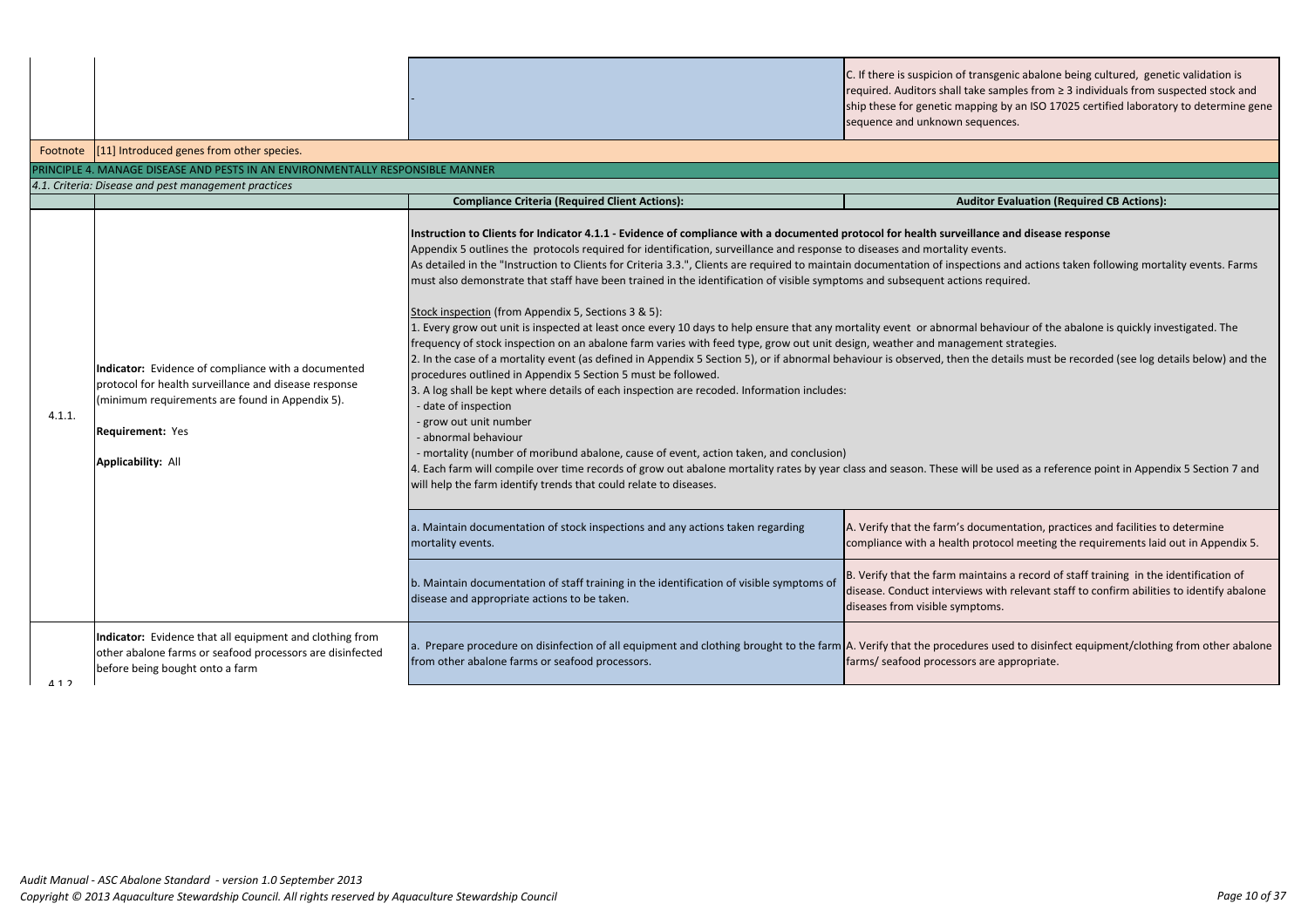-

C. If there is suspicion of transgenic abalone being cultured, genetic validation is required. Auditors shall take samples from ≥ 3 individuals from suspected stock and ship these for genetic mapping by an ISO 17025 certified laboratory to determine gene ences.

# **Complianation (Required CB Actions):**

**Ince and disease response** 

ons and actions taken following mortality events. Farms

ehaviour of the abalone is quickly investigated. The

details must be recorded (see log details below) and the

e used as a reference point in Appendix 5 Section 7 and

a. I. Verifiation, practices and facilities to determine tocol meeting the requirements laid out in Appendix 5.

ains a record of staff training in the identification of with relevant staff to confirm abilities to identify abalone ms.

used to disinfect equipment/clothing from other abalone e appropriate.

|          |                                                                                                                                                                                                                  |                                                                                                                                                                                                                                                                                                                                                                                                                                                                                                                                                                                                                                                                                                                                                                                                                                                                                                                                                                                                                                                                                                                                                                                                                                                                                                                                                                                                                                                                                                                                                                                                                                                                                                                                                                                                                      | $\frac{1}{2}$ or the serience mapping by an iSO 1<br>sequence and unknown sequences.                                                                                                     |
|----------|------------------------------------------------------------------------------------------------------------------------------------------------------------------------------------------------------------------|----------------------------------------------------------------------------------------------------------------------------------------------------------------------------------------------------------------------------------------------------------------------------------------------------------------------------------------------------------------------------------------------------------------------------------------------------------------------------------------------------------------------------------------------------------------------------------------------------------------------------------------------------------------------------------------------------------------------------------------------------------------------------------------------------------------------------------------------------------------------------------------------------------------------------------------------------------------------------------------------------------------------------------------------------------------------------------------------------------------------------------------------------------------------------------------------------------------------------------------------------------------------------------------------------------------------------------------------------------------------------------------------------------------------------------------------------------------------------------------------------------------------------------------------------------------------------------------------------------------------------------------------------------------------------------------------------------------------------------------------------------------------------------------------------------------------|------------------------------------------------------------------------------------------------------------------------------------------------------------------------------------------|
| Footnote | [11] Introduced genes from other species.                                                                                                                                                                        |                                                                                                                                                                                                                                                                                                                                                                                                                                                                                                                                                                                                                                                                                                                                                                                                                                                                                                                                                                                                                                                                                                                                                                                                                                                                                                                                                                                                                                                                                                                                                                                                                                                                                                                                                                                                                      |                                                                                                                                                                                          |
|          | PRINCIPLE 4. MANAGE DISEASE AND PESTS IN AN ENVIRONMENTALLY RESPONSIBLE MANNER                                                                                                                                   |                                                                                                                                                                                                                                                                                                                                                                                                                                                                                                                                                                                                                                                                                                                                                                                                                                                                                                                                                                                                                                                                                                                                                                                                                                                                                                                                                                                                                                                                                                                                                                                                                                                                                                                                                                                                                      |                                                                                                                                                                                          |
|          | 4.1. Criteria: Disease and pest management practices                                                                                                                                                             |                                                                                                                                                                                                                                                                                                                                                                                                                                                                                                                                                                                                                                                                                                                                                                                                                                                                                                                                                                                                                                                                                                                                                                                                                                                                                                                                                                                                                                                                                                                                                                                                                                                                                                                                                                                                                      |                                                                                                                                                                                          |
|          |                                                                                                                                                                                                                  | <b>Compliance Criteria (Required Client Actions):</b>                                                                                                                                                                                                                                                                                                                                                                                                                                                                                                                                                                                                                                                                                                                                                                                                                                                                                                                                                                                                                                                                                                                                                                                                                                                                                                                                                                                                                                                                                                                                                                                                                                                                                                                                                                | <b>Auditor Evaluation</b>                                                                                                                                                                |
| 4.1.1.   | Indicator: Evidence of compliance with a documented<br>protocol for health surveillance and disease response<br>(minimum requirements are found in Appendix 5).<br>Requirement: Yes<br><b>Applicability: All</b> | Instruction to Clients for Indicator 4.1.1 - Evidence of compliance with a documented protocol for health surveillance and diseas<br>Appendix 5 outlines the protocols required for identification, surveillance and response to diseases and mortality events.<br>As detailed in the "Instruction to Clients for Criteria 3.3.", Clients are required to maintain documentation of inspections and action<br>must also demonstrate that staff have been trained in the identification of visible symptoms and subsequent actions required.<br>Stock inspection (from Appendix 5, Sections 3 & 5):<br>1. Every grow out unit is inspected at least once every 10 days to help ensure that any mortality event or abnormal behaviour of th<br>frequency of stock inspection on an abalone farm varies with feed type, grow out unit design, weather and management strategies.<br>2. In the case of a mortality event (as defined in Appendix 5 Section 5), or if abnormal behaviour is observed, then the details must I<br>procedures outlined in Appendix 5 Section 5 must be followed.<br>3. A log shall be kept where details of each inspection are recoded. Information includes:<br>date of inspection<br>grow out unit number<br>abnormal behaviour<br>mortality (number of moribund abalone, cause of event, action taken, and conclusion)<br>4. Each farm will compile over time records of grow out abalone mortality rates by year class and season. These will be used as a ret<br>will help the farm identify trends that could relate to diseases.<br>a. Maintain documentation of stock inspections and any actions taken regarding<br>mortality events.<br>b. Maintain documentation of staff training in the identification of visible symptoms of<br>disease and appropriate actions to be taken. | A. Verify that the farm's documentation, po<br>compliance with a health protocol meeting<br>B. Verify that the farm maintains a record of<br>disease. Conduct interviews with relevant s |
| 112      | Indicator: Evidence that all equipment and clothing from<br>other abalone farms or seafood processors are disinfected<br>before being bought onto a farm                                                         | a. Prepare procedure on disinfection of all equipment and clothing brought to the farm A. Verify that the procedures used to disint<br>from other abalone farms or seafood processors.                                                                                                                                                                                                                                                                                                                                                                                                                                                                                                                                                                                                                                                                                                                                                                                                                                                                                                                                                                                                                                                                                                                                                                                                                                                                                                                                                                                                                                                                                                                                                                                                                               | diseases from visible symptoms.<br>farms/ seafood processors are appropriate                                                                                                             |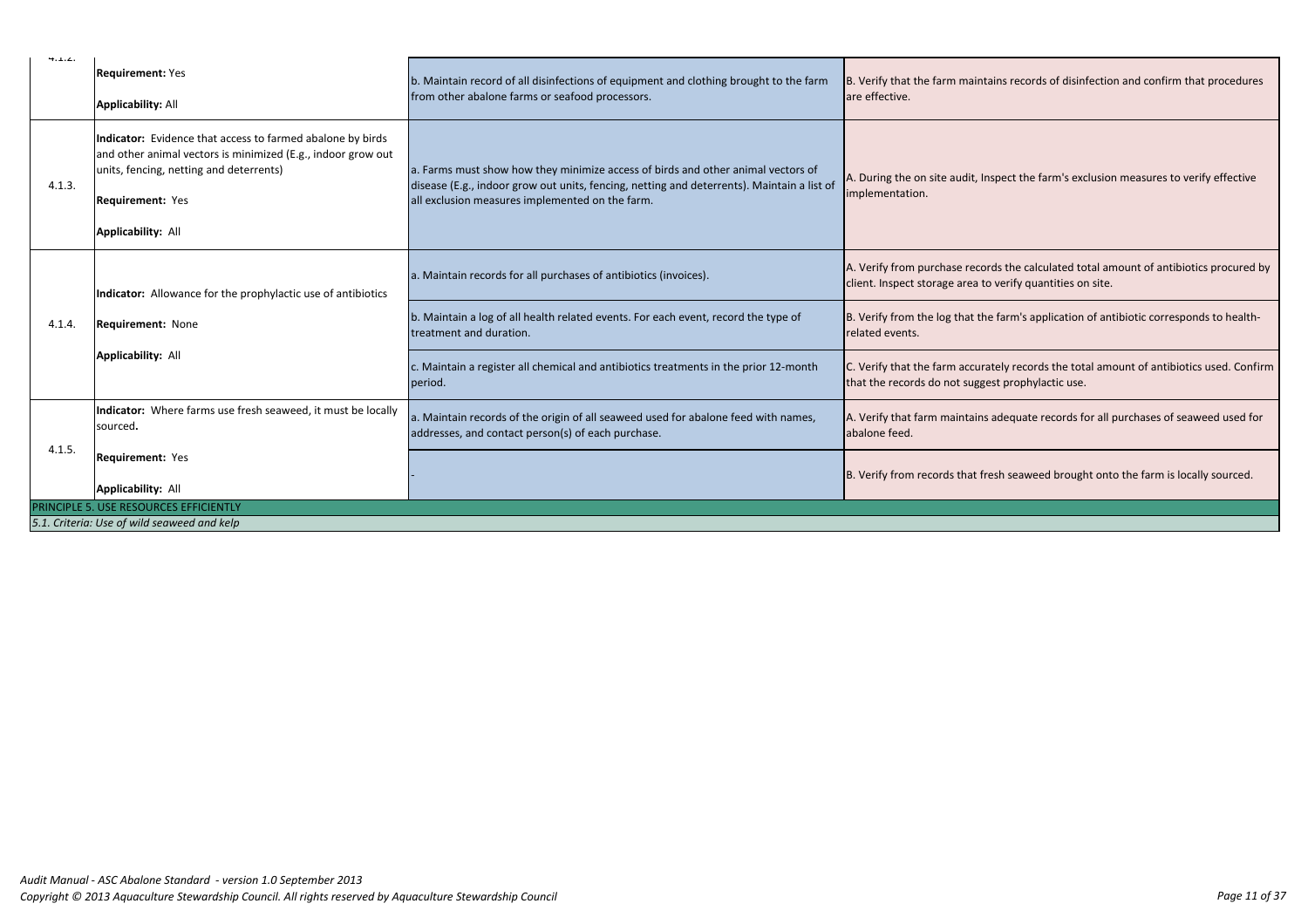| 4.1.4.                                      |                                                                                                                                                                                                                        |                                                                                                                                                                                                                                   |                                                                   |  |
|---------------------------------------------|------------------------------------------------------------------------------------------------------------------------------------------------------------------------------------------------------------------------|-----------------------------------------------------------------------------------------------------------------------------------------------------------------------------------------------------------------------------------|-------------------------------------------------------------------|--|
|                                             | <b>Requirement: Yes</b><br><b>Applicability: All</b>                                                                                                                                                                   | b. Maintain record of all disinfections of equipment and clothing brought to the farm<br>from other abalone farms or seafood processors.                                                                                          | B. Verify that the farm mainta<br>are effective.                  |  |
| 4.1.3.                                      | Indicator: Evidence that access to farmed abalone by birds<br>and other animal vectors is minimized (E.g., indoor grow out<br>units, fencing, netting and deterrents)<br>Requirement: Yes<br><b>Applicability: All</b> | a. Farms must show how they minimize access of birds and other animal vectors of<br>disease (E.g., indoor grow out units, fencing, netting and deterrents). Maintain a list of<br>all exclusion measures implemented on the farm. | A. During the on site audit, Ins<br>implementation.               |  |
|                                             | Indicator: Allowance for the prophylactic use of antibiotics                                                                                                                                                           | a. Maintain records for all purchases of antibiotics (invoices).                                                                                                                                                                  | A. Verify from purchase recore<br>client. Inspect storage area to |  |
| 4.1.4.                                      | Requirement: None                                                                                                                                                                                                      | b. Maintain a log of all health related events. For each event, record the type of<br>treatment and duration.                                                                                                                     | B. Verify from the log that the<br>related events.                |  |
|                                             | <b>Applicability: All</b>                                                                                                                                                                                              | c. Maintain a register all chemical and antibiotics treatments in the prior 12-month<br>period.                                                                                                                                   | C. Verify that the farm accurat<br>that the records do not sugge: |  |
|                                             | Indicator: Where farms use fresh seaweed, it must be locally<br>sourced.                                                                                                                                               | a. Maintain records of the origin of all seaweed used for abalone feed with names,<br>addresses, and contact person(s) of each purchase.                                                                                          | A. Verify that farm maintains<br>abalone feed.                    |  |
| 4.1.5.                                      | Requirement: Yes<br><b>Applicability: All</b>                                                                                                                                                                          |                                                                                                                                                                                                                                   | B. Verify from records that fre                                   |  |
| PRINCIPLE 5. USE RESOURCES EFFICIENTLY      |                                                                                                                                                                                                                        |                                                                                                                                                                                                                                   |                                                                   |  |
| 5.1. Criteria: Use of wild seaweed and kelp |                                                                                                                                                                                                                        |                                                                                                                                                                                                                                   |                                                                   |  |

iins records of disinfection and confirm that procedures

spect the farm's exclusion measures to verify effective

ds the calculated total amount of antibiotics procured by verify quantities on site.

e farm's application of antibiotic corresponds to health-

tely records the total amount of antibiotics used. Confirm st prophylactic use.

adequate records for all purchases of seaweed used for

esh seaweed brought onto the farm is locally sourced.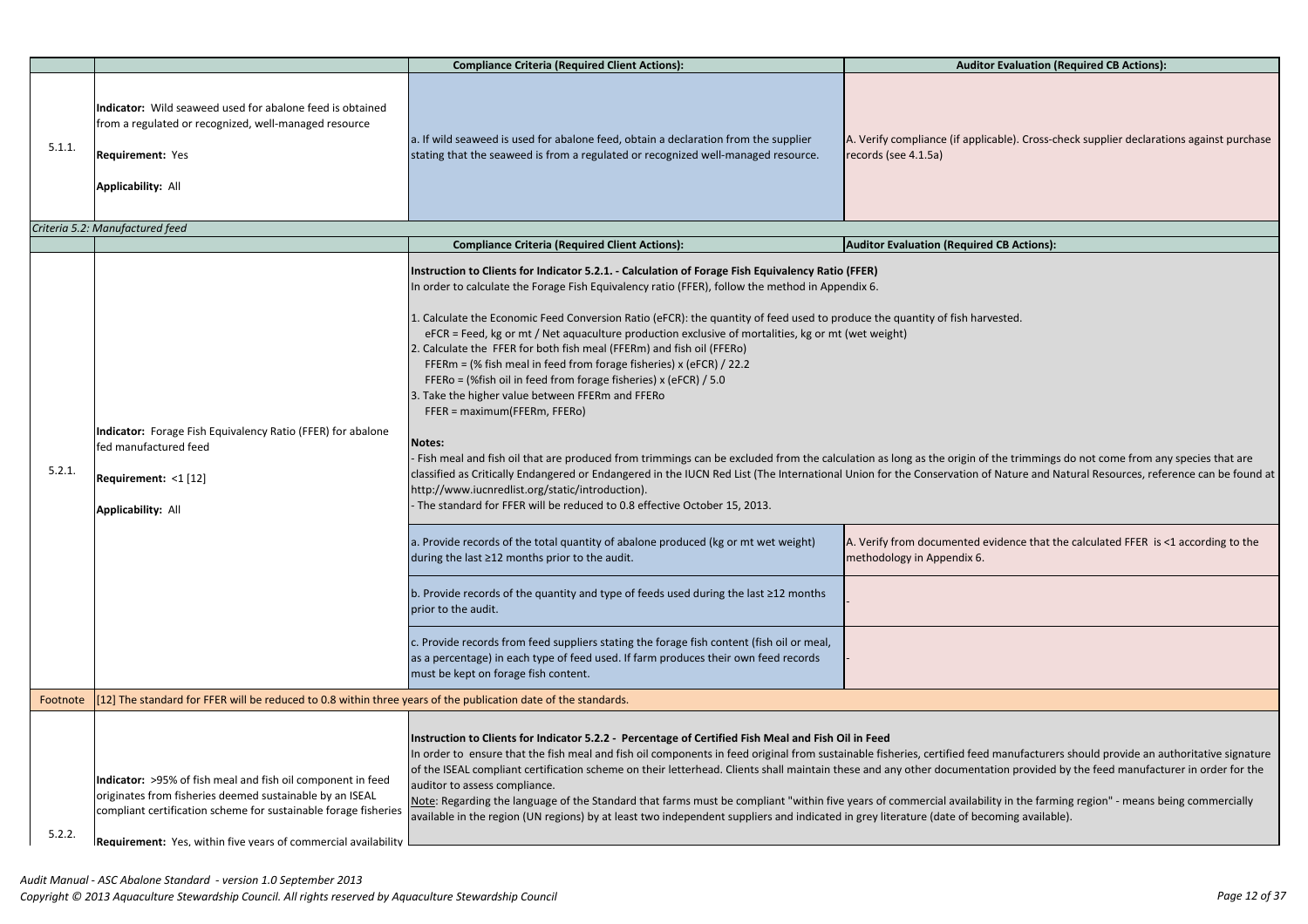# **Complianation (Required CB Actions):**

cable). Cross-check supplier declarations against purchase

**CB Actions):** 

the trimmings do not come from any species that are Mature and Natural Resources, reference can be found at

vidence that the calculated FFER is <1 according to the

I manufacturers should provide an authoritative signature ation provided by the feed manufacturer in order for the

lity in the farming region" - means being commercially oming available).

|          |                                                                                                                                                                                                                                                                     | <b>Compliance Criteria (Required Client Actions):</b>                                                                                                                                                                                                                                                                                                                                                                                                                                                                                                                                                                                                                                                                                                                                                                                                                                                                                                                                                                                                                                                                                                                                                                                                                             | <b>Auditor Evalu</b>                                             |
|----------|---------------------------------------------------------------------------------------------------------------------------------------------------------------------------------------------------------------------------------------------------------------------|-----------------------------------------------------------------------------------------------------------------------------------------------------------------------------------------------------------------------------------------------------------------------------------------------------------------------------------------------------------------------------------------------------------------------------------------------------------------------------------------------------------------------------------------------------------------------------------------------------------------------------------------------------------------------------------------------------------------------------------------------------------------------------------------------------------------------------------------------------------------------------------------------------------------------------------------------------------------------------------------------------------------------------------------------------------------------------------------------------------------------------------------------------------------------------------------------------------------------------------------------------------------------------------|------------------------------------------------------------------|
| 5.1.1.   | Indicator: Wild seaweed used for abalone feed is obtained<br>from a regulated or recognized, well-managed resource<br><b>Requirement: Yes</b><br><b>Applicability: All</b>                                                                                          | a. If wild seaweed is used for abalone feed, obtain a declaration from the supplier<br>stating that the seaweed is from a regulated or recognized well-managed resource.                                                                                                                                                                                                                                                                                                                                                                                                                                                                                                                                                                                                                                                                                                                                                                                                                                                                                                                                                                                                                                                                                                          | A. Verify compliance (if applicable).<br>records (see 4.1.5a)    |
|          | Criteria 5.2: Manufactured feed                                                                                                                                                                                                                                     |                                                                                                                                                                                                                                                                                                                                                                                                                                                                                                                                                                                                                                                                                                                                                                                                                                                                                                                                                                                                                                                                                                                                                                                                                                                                                   |                                                                  |
| 5.2.1.   | Indicator: Forage Fish Equivalency Ratio (FFER) for abalone<br>fed manufactured feed<br>Requirement: <1 [12]<br><b>Applicability: All</b>                                                                                                                           | <b>Auditor Evaluation (Required CB Ac</b><br><b>Compliance Criteria (Required Client Actions):</b><br>Instruction to Clients for Indicator 5.2.1. - Calculation of Forage Fish Equivalency Ratio (FFER)<br>In order to calculate the Forage Fish Equivalency ratio (FFER), follow the method in Appendix 6.<br>1. Calculate the Economic Feed Conversion Ratio (eFCR): the quantity of feed used to produce the quantity of fish harvested.<br>eFCR = Feed, kg or mt / Net aquaculture production exclusive of mortalities, kg or mt (wet weight)<br>2. Calculate the FFER for both fish meal (FFERm) and fish oil (FFERo)<br>FFERm = (% fish meal in feed from forage fisheries) x (eFCR) $/$ 22.2<br>FFERo = (%fish oil in feed from forage fisheries) x (eFCR) / 5.0<br>3. Take the higher value between FFERm and FFERo<br>FFER = maximum(FFERm, FFERo)<br><b>Notes:</b><br>Fish meal and fish oil that are produced from trimmings can be excluded from the calculation as long as the origin of the trii<br>classified as Critically Endangered or Endangered in the IUCN Red List (The International Union for the Conservation of Natur<br>http://www.iucnredlist.org/static/introduction).<br>- The standard for FFER will be reduced to 0.8 effective October 15, 2013. |                                                                  |
|          |                                                                                                                                                                                                                                                                     | a. Provide records of the total quantity of abalone produced (kg or mt wet weight)<br>during the last ≥12 months prior to the audit.                                                                                                                                                                                                                                                                                                                                                                                                                                                                                                                                                                                                                                                                                                                                                                                                                                                                                                                                                                                                                                                                                                                                              | A. Verify from documented evidence<br>methodology in Appendix 6. |
|          |                                                                                                                                                                                                                                                                     | b. Provide records of the quantity and type of feeds used during the last ≥12 months<br>prior to the audit.                                                                                                                                                                                                                                                                                                                                                                                                                                                                                                                                                                                                                                                                                                                                                                                                                                                                                                                                                                                                                                                                                                                                                                       |                                                                  |
|          |                                                                                                                                                                                                                                                                     | c. Provide records from feed suppliers stating the forage fish content (fish oil or meal,<br>as a percentage) in each type of feed used. If farm produces their own feed records<br>must be kept on forage fish content.                                                                                                                                                                                                                                                                                                                                                                                                                                                                                                                                                                                                                                                                                                                                                                                                                                                                                                                                                                                                                                                          |                                                                  |
| Footnote | [12] The standard for FFER will be reduced to 0.8 within three years of the publication date of the standards.                                                                                                                                                      |                                                                                                                                                                                                                                                                                                                                                                                                                                                                                                                                                                                                                                                                                                                                                                                                                                                                                                                                                                                                                                                                                                                                                                                                                                                                                   |                                                                  |
| 5.2.2.   | Indicator: >95% of fish meal and fish oil component in feed<br>originates from fisheries deemed sustainable by an ISEAL<br>compliant certification scheme for sustainable forage fisheries<br><b>Requirement:</b> Yes. within five vears of commercial availability | Instruction to Clients for Indicator 5.2.2 - Percentage of Certified Fish Meal and Fish Oil in Feed<br>In order to ensure that the fish meal and fish oil components in feed original from sustainable fisheries, certified feed manuf<br>of the ISEAL compliant certification scheme on their letterhead. Clients shall maintain these and any other documentation pr<br>auditor to assess compliance.<br>Note: Regarding the language of the Standard that farms must be compliant "within five years of commercial availability in th<br>available in the region (UN regions) by at least two independent suppliers and indicated in grey literature (date of becoming a                                                                                                                                                                                                                                                                                                                                                                                                                                                                                                                                                                                                       |                                                                  |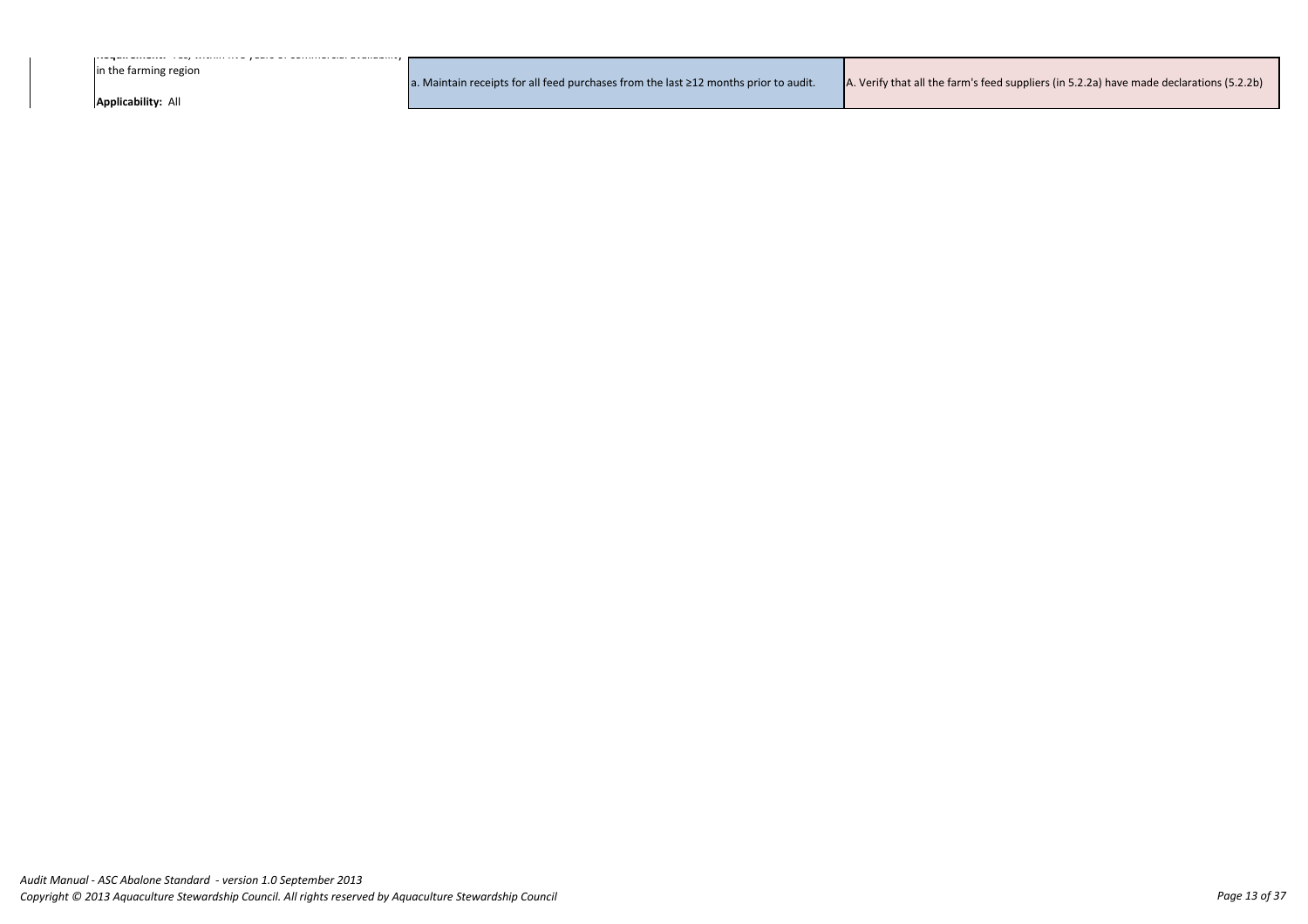**Requirement:** Yes, within five years of commercial availability

in the farming region

**Applicability:** All

a. Maintain receipts for all feed purchases from the last ≥12 months prior to audit.  $\overline{A}$ . Verify that all the farm's feed suppliers (in 5.2.2a) have made declarations (5.2.2b)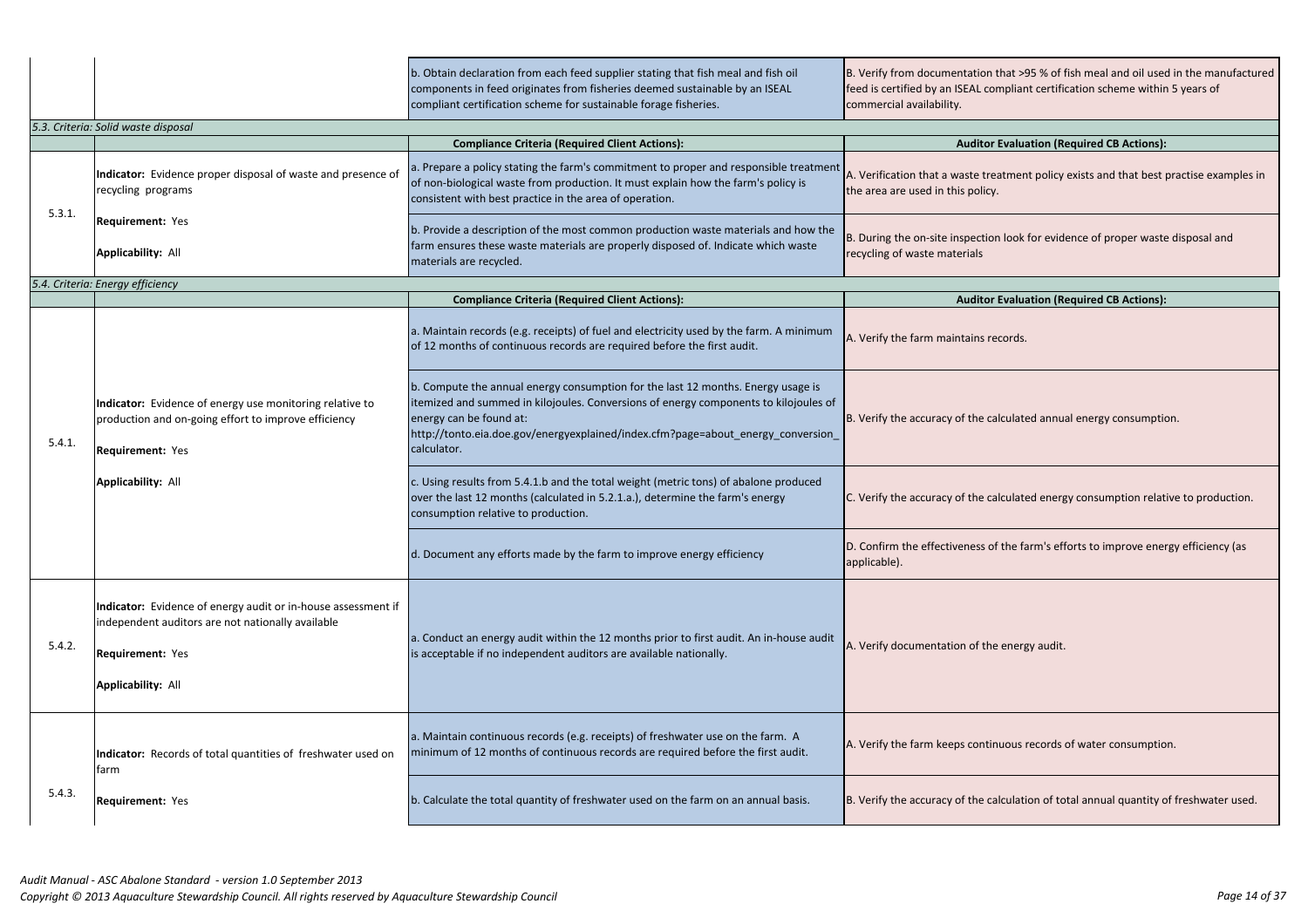|        |                                                                                                                                                                            | b. Obtain declaration from each feed supplier stating that fish meal and fish oil<br>components in feed originates from fisheries deemed sustainable by an ISEAL<br>compliant certification scheme for sustainable forage fisheries.                                                                   | B. Verify from documentation that >95 % of<br>feed is certified by an ISEAL compliant certifi<br>commercial availability. |
|--------|----------------------------------------------------------------------------------------------------------------------------------------------------------------------------|--------------------------------------------------------------------------------------------------------------------------------------------------------------------------------------------------------------------------------------------------------------------------------------------------------|---------------------------------------------------------------------------------------------------------------------------|
|        | 5.3. Criteria: Solid waste disposal                                                                                                                                        |                                                                                                                                                                                                                                                                                                        |                                                                                                                           |
|        |                                                                                                                                                                            | <b>Compliance Criteria (Required Client Actions):</b>                                                                                                                                                                                                                                                  | <b>Auditor Evaluation (R</b>                                                                                              |
|        | Indicator: Evidence proper disposal of waste and presence of<br>recycling programs                                                                                         | a. Prepare a policy stating the farm's commitment to proper and responsible treatment<br>of non-biological waste from production. It must explain how the farm's policy is<br>consistent with best practice in the area of operation.                                                                  | A. Verification that a waste treatment policy<br>the area are used in this policy.                                        |
| 5.3.1. | <b>Requirement: Yes</b><br><b>Applicability: All</b>                                                                                                                       | b. Provide a description of the most common production waste materials and how the<br>farm ensures these waste materials are properly disposed of. Indicate which waste<br>materials are recycled.                                                                                                     | B. During the on-site inspection look for evid<br>recycling of waste materials                                            |
|        | 5.4. Criteria: Energy efficiency                                                                                                                                           |                                                                                                                                                                                                                                                                                                        |                                                                                                                           |
|        |                                                                                                                                                                            | <b>Compliance Criteria (Required Client Actions):</b>                                                                                                                                                                                                                                                  | <b>Auditor Evaluation (R</b>                                                                                              |
|        | Indicator: Evidence of energy use monitoring relative to<br>production and on-going effort to improve efficiency<br>Requirement: Yes<br><b>Applicability: All</b>          | a. Maintain records (e.g. receipts) of fuel and electricity used by the farm. A minimum<br>of 12 months of continuous records are required before the first audit.                                                                                                                                     | A. Verify the farm maintains records.                                                                                     |
| 5.4.1. |                                                                                                                                                                            | b. Compute the annual energy consumption for the last 12 months. Energy usage is<br>itemized and summed in kilojoules. Conversions of energy components to kilojoules of<br>energy can be found at:<br>http://tonto.eia.doe.gov/energyexplained/index.cfm?page=about_energy_conversion_<br>calculator. | B. Verify the accuracy of the calculated annu                                                                             |
|        |                                                                                                                                                                            | c. Using results from 5.4.1.b and the total weight (metric tons) of abalone produced<br>over the last 12 months (calculated in 5.2.1.a.), determine the farm's energy<br>consumption relative to production.                                                                                           | C. Verify the accuracy of the calculated energ                                                                            |
|        |                                                                                                                                                                            | d. Document any efforts made by the farm to improve energy efficiency                                                                                                                                                                                                                                  | D. Confirm the effectiveness of the farm's eff<br>applicable).                                                            |
| 5.4.2. | Indicator: Evidence of energy audit or in-house assessment if<br>independent auditors are not nationally available<br><b>Requirement: Yes</b><br><b>Applicability: All</b> | a. Conduct an energy audit within the 12 months prior to first audit. An in-house audit<br>is acceptable if no independent auditors are available nationally.                                                                                                                                          | A. Verify documentation of the energy audit.                                                                              |
|        | Indicator: Records of total quantities of freshwater used on<br>farm                                                                                                       | a. Maintain continuous records (e.g. receipts) of freshwater use on the farm. A<br>minimum of 12 months of continuous records are required before the first audit.                                                                                                                                     | A. Verify the farm keeps continuous records                                                                               |
| 5.4.3. | Requirement: Yes                                                                                                                                                           | b. Calculate the total quantity of freshwater used on the farm on an annual basis.                                                                                                                                                                                                                     | B. Verify the accuracy of the calculation of to                                                                           |

that >95 % of fish meal and oil used in the manufactured  $\delta$  ompliant certification scheme within 5 years of

# **Complianation (Required CB Actions):**

eatment policy exists and that best practise examples in

on look for evidence of proper waste disposal and

**Compliance CR Actions:** Evaluation (Required CB Actions):

alculated annual energy consumption.

alculated energy consumption relative to production.

of the farm's efforts to improve energy efficiency (as

nuous records of water consumption.

alculation of total annual quantity of freshwater used.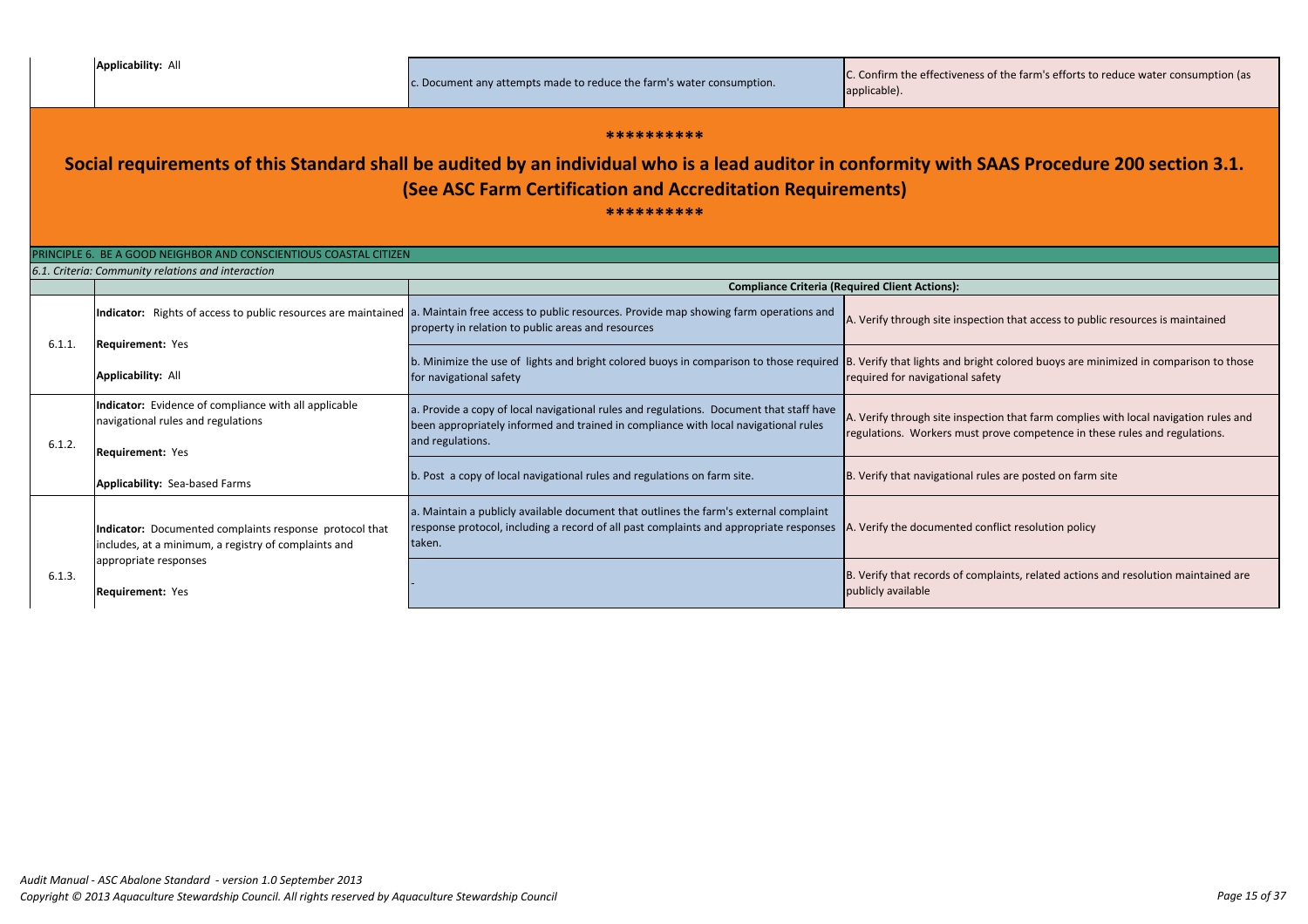| PRINCIPLE 6. BE A GOOD NEIGHBOR AND CONSCIENTIOUS COASTAL CITIZEN |                                                                                                                        |                                                                                                                                                                                                             |                                                                    |  |
|-------------------------------------------------------------------|------------------------------------------------------------------------------------------------------------------------|-------------------------------------------------------------------------------------------------------------------------------------------------------------------------------------------------------------|--------------------------------------------------------------------|--|
| 6.1. Criteria: Community relations and interaction                |                                                                                                                        |                                                                                                                                                                                                             |                                                                    |  |
|                                                                   |                                                                                                                        |                                                                                                                                                                                                             | <b>Compliance Criteria (Required Client Actions):</b>              |  |
|                                                                   | <b>Requirement: Yes</b>                                                                                                | Indicator: Rights of access to public resources are maintained   a. Maintain free access to public resources. Provide map showing farm operations and<br>property in relation to public areas and resources | A. Verify through site inspection                                  |  |
| 6.1.1.                                                            | <b>Applicability: All</b>                                                                                              | b. Minimize the use of lights and bright colored buoys in comparison to those required B. Verify that lights and bright of<br>for navigational safety                                                       | required for navigational safety                                   |  |
| 6.1.2.                                                            | Indicator: Evidence of compliance with all applicable<br>navigational rules and regulations<br><b>Requirement: Yes</b> | a. Provide a copy of local navigational rules and regulations. Document that staff have<br>been appropriately informed and trained in compliance with local navigational rules<br>and regulations.          | A. Verify through site inspectior<br>regulations. Workers must pro |  |
|                                                                   | <b>Applicability: Sea-based Farms</b>                                                                                  | b. Post a copy of local navigational rules and regulations on farm site.                                                                                                                                    | B. Verify that navigational rules                                  |  |
| 6.1.3.                                                            | Indicator: Documented complaints response protocol that<br>includes, at a minimum, a registry of complaints and        | a. Maintain a publicly available document that outlines the farm's external complaint<br>response protocol, including a record of all past complaints and appropriate responses<br>taken.                   | A. Verify the documented confl                                     |  |
|                                                                   | appropriate responses<br><b>Requirement: Yes</b>                                                                       |                                                                                                                                                                                                             | B. Verify that records of compla<br>publicly available             |  |

#### **\*\*\*\*\*\*\*\*\*\***

# **Social requirements of this Standard shall be audited by an individual who is a lead auditor in conformity with SAAS Procedure 200 section 3.1. (See ASC Farm Certification and Accreditation Requirements)**

**\*\*\*\*\*\*\*\*\*\***

c. Document any attempts made to reduce the farm's water consumption.  $\begin{matrix} \text{C. Confirm the effectiveness of the farm's efforts to reduce water consumption (as} \\ \text{c. Definition} \end{matrix}$ 

ion that access to public resources is maintained

t colored buoys are minimized in comparison to those

ion that farm complies with local navigation rules and rove competence in these rules and regulations.

les are posted on farm site.

nflict resolution policy

plaints, related actions and resolution maintained are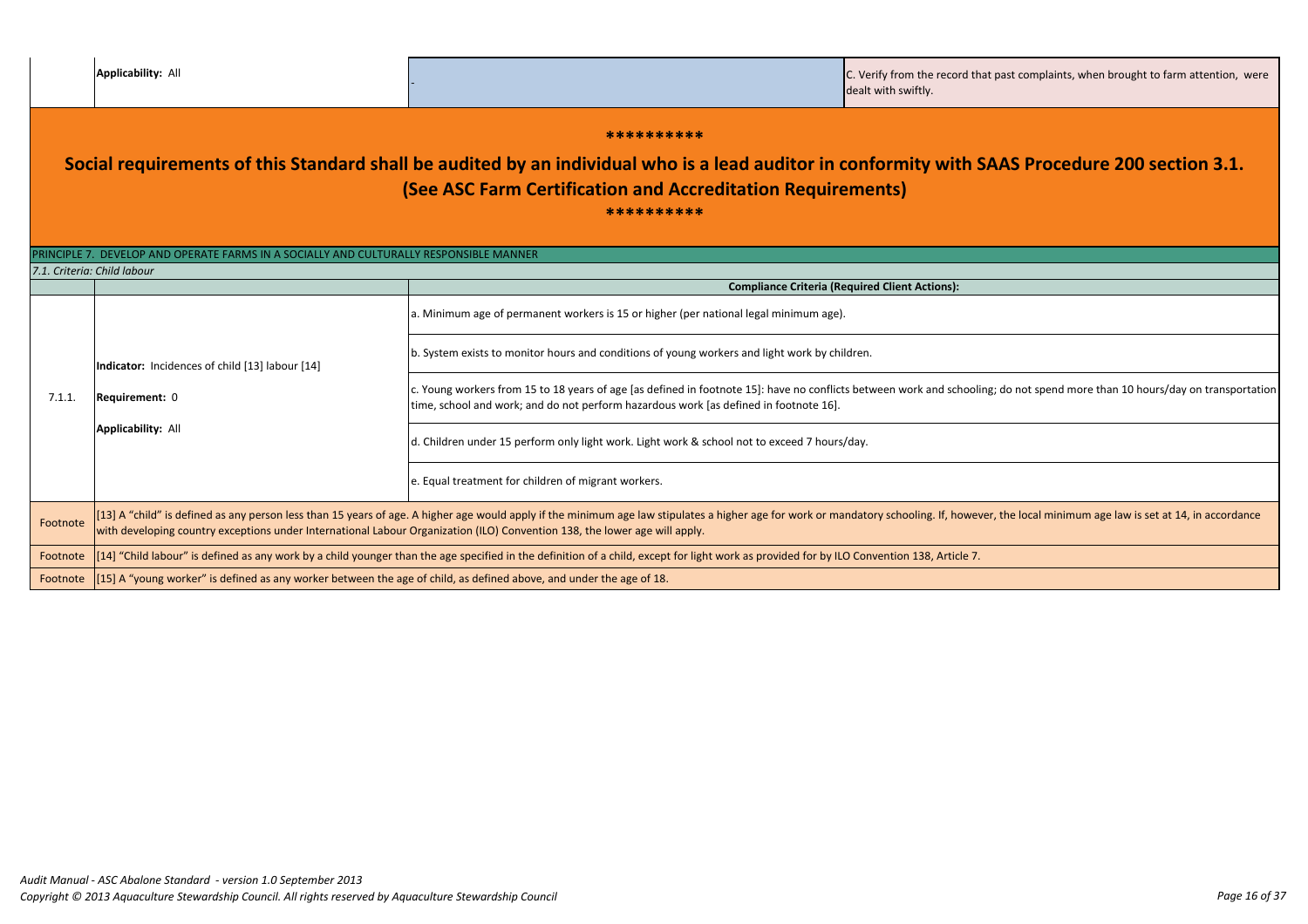|  | <b>Applicability: All</b> |  |
|--|---------------------------|--|
|  |                           |  |

|                                                                                                                                                                                                                                            | <b>Applicability: All</b>                                                                                                                                                                                                                                                                                                                                    |                                                                                                                                                                                                                                                                                                                                                                        | C. Verify from the record that past complaints, when brought to farm attention, were<br>dealt with swiftly. |  |
|--------------------------------------------------------------------------------------------------------------------------------------------------------------------------------------------------------------------------------------------|--------------------------------------------------------------------------------------------------------------------------------------------------------------------------------------------------------------------------------------------------------------------------------------------------------------------------------------------------------------|------------------------------------------------------------------------------------------------------------------------------------------------------------------------------------------------------------------------------------------------------------------------------------------------------------------------------------------------------------------------|-------------------------------------------------------------------------------------------------------------|--|
| **********<br>Social requirements of this Standard shall be audited by an individual who is a lead auditor in conformity with SAAS Procedure 200 section 3.1.<br>(See ASC Farm Certification and Accreditation Requirements)<br>********** |                                                                                                                                                                                                                                                                                                                                                              |                                                                                                                                                                                                                                                                                                                                                                        |                                                                                                             |  |
|                                                                                                                                                                                                                                            | PRINCIPLE 7. DEVELOP AND OPERATE FARMS IN A SOCIALLY AND CULTURALLY RESPONSIBLE MANNER                                                                                                                                                                                                                                                                       |                                                                                                                                                                                                                                                                                                                                                                        |                                                                                                             |  |
| 7.1. Criteria: Child labour                                                                                                                                                                                                                |                                                                                                                                                                                                                                                                                                                                                              | <b>Compliance Criteria (Required Client Actions):</b>                                                                                                                                                                                                                                                                                                                  |                                                                                                             |  |
| Indicator: Incidences of child [13] labour [14]<br>7.1.1.<br>Requirement: 0<br><b>Applicability: All</b>                                                                                                                                   |                                                                                                                                                                                                                                                                                                                                                              | a. Minimum age of permanent workers is 15 or higher (per national legal minimum age).<br>b. System exists to monitor hours and conditions of young workers and light work by children.<br>c. Young workers from 15 to 18 years of age [as defined in footnote 15]: have no conflicts between work and schooling; do not spend more than 10 hours/day on transportation |                                                                                                             |  |
|                                                                                                                                                                                                                                            |                                                                                                                                                                                                                                                                                                                                                              | time, school and work; and do not perform hazardous work [as defined in footnote 16].<br>d. Children under 15 perform only light work. Light work & school not to exceed 7 hours/day.                                                                                                                                                                                  |                                                                                                             |  |
|                                                                                                                                                                                                                                            |                                                                                                                                                                                                                                                                                                                                                              | e. Equal treatment for children of migrant workers.                                                                                                                                                                                                                                                                                                                    |                                                                                                             |  |
| Footnote                                                                                                                                                                                                                                   | [13] A "child" is defined as any person less than 15 years of age. A higher age would apply if the minimum age law stipulates a higher age for work or mandatory schooling. If, however, the local minimum age law is set at 1<br>with developing country exceptions under International Labour Organization (ILO) Convention 138, the lower age will apply. |                                                                                                                                                                                                                                                                                                                                                                        |                                                                                                             |  |
| Footnote                                                                                                                                                                                                                                   |                                                                                                                                                                                                                                                                                                                                                              | [14] "Child labour" is defined as any work by a child younger than the age specified in the definition of a child, except for light work as provided for by ILO Convention 138, Article 7.                                                                                                                                                                             |                                                                                                             |  |
|                                                                                                                                                                                                                                            | Footnote  [15] A "young worker" is defined as any worker between the age of child, as defined above, and under the age of 18.                                                                                                                                                                                                                                |                                                                                                                                                                                                                                                                                                                                                                        |                                                                                                             |  |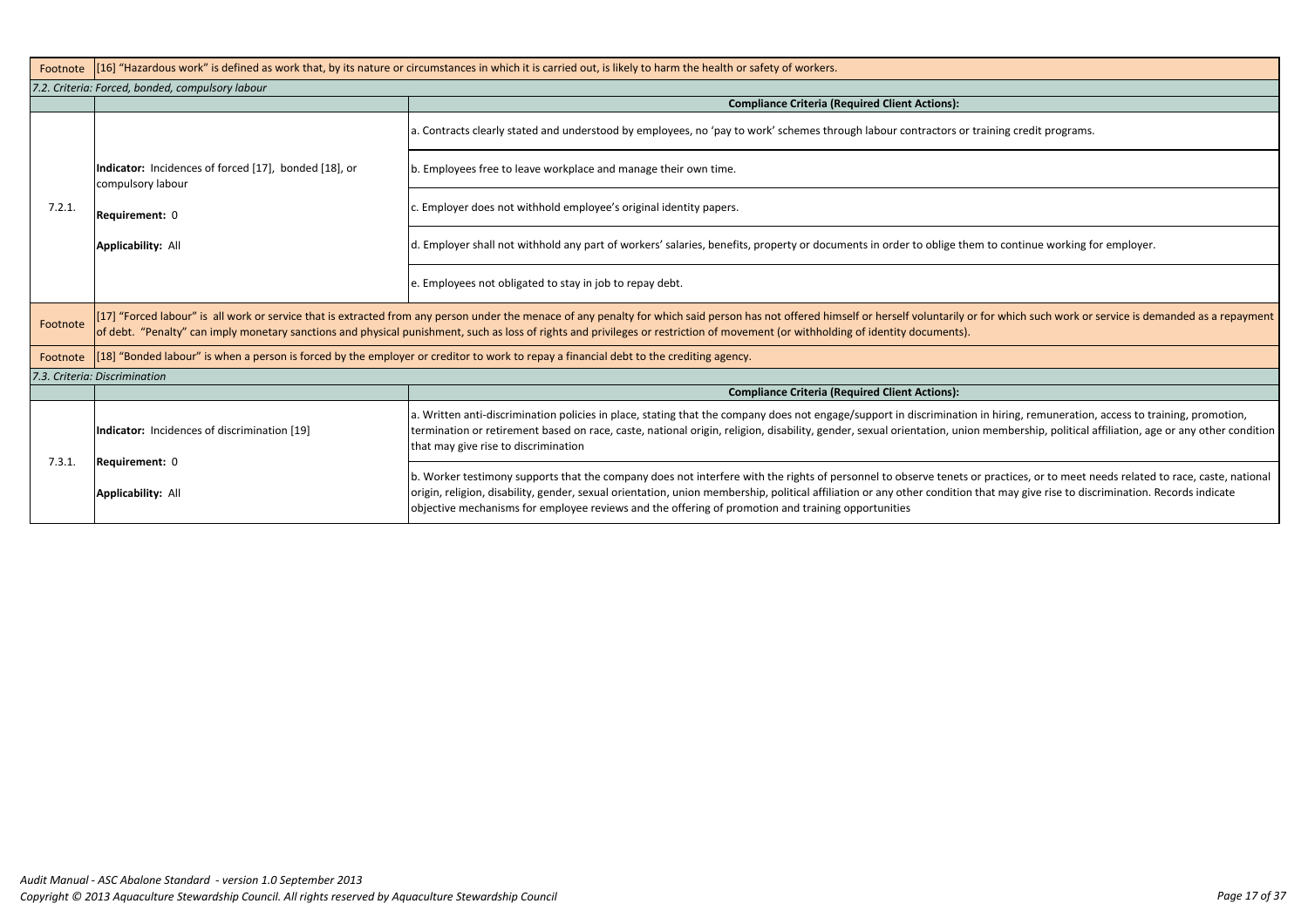| [16] "Hazardous work" is defined as work that, by its nature or circumstances in which it is carried out, is likely to harm the health or safety of workers.                                                                                                                                                                                                                               |                                                                                                                                                                                                                                                                                                                                                              |  |  |  |
|--------------------------------------------------------------------------------------------------------------------------------------------------------------------------------------------------------------------------------------------------------------------------------------------------------------------------------------------------------------------------------------------|--------------------------------------------------------------------------------------------------------------------------------------------------------------------------------------------------------------------------------------------------------------------------------------------------------------------------------------------------------------|--|--|--|
| 7.2. Criteria: Forced, bonded, compulsory labour                                                                                                                                                                                                                                                                                                                                           |                                                                                                                                                                                                                                                                                                                                                              |  |  |  |
|                                                                                                                                                                                                                                                                                                                                                                                            | <b>Compliance Criteria (Required Client Actions):</b>                                                                                                                                                                                                                                                                                                        |  |  |  |
|                                                                                                                                                                                                                                                                                                                                                                                            | a. Contracts clearly stated and understood by employees, no 'pay to work' schemes through labour contractors or trair                                                                                                                                                                                                                                        |  |  |  |
| Indicator: Incidences of forced [17], bonded [18], or<br>compulsory labour<br>Requirement: 0                                                                                                                                                                                                                                                                                               | b. Employees free to leave workplace and manage their own time.                                                                                                                                                                                                                                                                                              |  |  |  |
|                                                                                                                                                                                                                                                                                                                                                                                            | c. Employer does not withhold employee's original identity papers.                                                                                                                                                                                                                                                                                           |  |  |  |
| <b>Applicability: All</b>                                                                                                                                                                                                                                                                                                                                                                  | d. Employer shall not withhold any part of workers' salaries, benefits, property or documents in order to oblige them to                                                                                                                                                                                                                                     |  |  |  |
|                                                                                                                                                                                                                                                                                                                                                                                            | e. Employees not obligated to stay in job to repay debt.                                                                                                                                                                                                                                                                                                     |  |  |  |
| [17] "Forced labour" is all work or service that is extracted from any person under the menace of any penalty for which said person has not offered himself or herself voluntarily or for<br>Footnote<br>of debt. "Penalty" can imply monetary sanctions and physical punishment, such as loss of rights and privileges or restriction of movement (or withholding of identity documents). |                                                                                                                                                                                                                                                                                                                                                              |  |  |  |
| [18] "Bonded labour" is when a person is forced by the employer or creditor to work to repay a financial debt to the crediting agency.<br>Footnote                                                                                                                                                                                                                                         |                                                                                                                                                                                                                                                                                                                                                              |  |  |  |
| 7.3. Criteria: Discrimination                                                                                                                                                                                                                                                                                                                                                              |                                                                                                                                                                                                                                                                                                                                                              |  |  |  |
|                                                                                                                                                                                                                                                                                                                                                                                            | <b>Compliance Criteria (Required Client Actions):</b>                                                                                                                                                                                                                                                                                                        |  |  |  |
| Indicator: Incidences of discrimination [19]                                                                                                                                                                                                                                                                                                                                               | a. Written anti-discrimination policies in place, stating that the company does not engage/support in discrimination in<br>termination or retirement based on race, caste, national origin, religion, disability, gender, sexual orientation, union me<br>that may give rise to discrimination                                                               |  |  |  |
| <b>Applicability: All</b>                                                                                                                                                                                                                                                                                                                                                                  | b. Worker testimony supports that the company does not interfere with the rights of personnel to observe tenets or pr<br>origin, religion, disability, gender, sexual orientation, union membership, political affiliation or any other condition that<br>objective mechanisms for employee reviews and the offering of promotion and training opportunities |  |  |  |
|                                                                                                                                                                                                                                                                                                                                                                                            | Requirement: 0                                                                                                                                                                                                                                                                                                                                               |  |  |  |

ning credit programs.

to continue working for employer.

r which such work or service is demanded as a repayment

hiring, remuneration, access to training, promotion, embership, political affiliation, age or any other condition

ractices, or to meet needs related to race, caste, national t may give rise to discrimination. Records indicate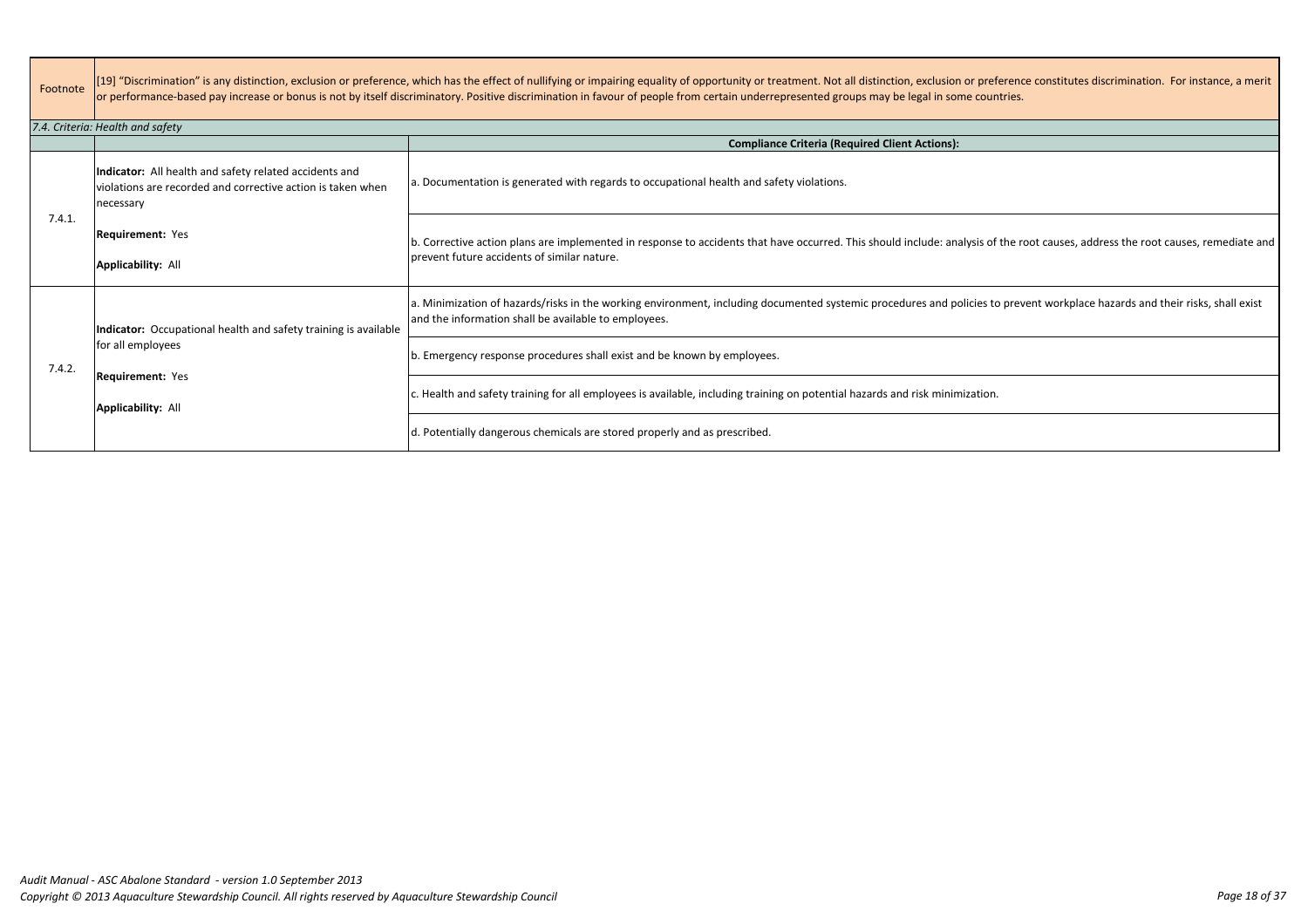| Footnote | [19] "Discrimination" is any distinction, exclusion or preference, which has the effect of nullifying or impairing equality of opportunity or treatment. Not all distinction, exclusion or preference constitutes discriminati<br>or performance-based pay increase or bonus is not by itself discriminatory. Positive discrimination in favour of people from certain underrepresented groups may be legal in some countries. |                                                                                                                                                                                                                                      |  |
|----------|--------------------------------------------------------------------------------------------------------------------------------------------------------------------------------------------------------------------------------------------------------------------------------------------------------------------------------------------------------------------------------------------------------------------------------|--------------------------------------------------------------------------------------------------------------------------------------------------------------------------------------------------------------------------------------|--|
|          | 7.4. Criteria: Health and safety                                                                                                                                                                                                                                                                                                                                                                                               |                                                                                                                                                                                                                                      |  |
|          |                                                                                                                                                                                                                                                                                                                                                                                                                                | <b>Compliance Criteria (Required Client Actions):</b>                                                                                                                                                                                |  |
| 7.4.1.   | Indicator: All health and safety related accidents and<br>violations are recorded and corrective action is taken when<br>necessary                                                                                                                                                                                                                                                                                             | a. Documentation is generated with regards to occupational health and safety violations.                                                                                                                                             |  |
|          | <b>Requirement: Yes</b><br><b>Applicability: All</b>                                                                                                                                                                                                                                                                                                                                                                           | b. Corrective action plans are implemented in response to accidents that have occurred. This should include: analysis of the root causes, address the root causes, remediate and<br>prevent future accidents of similar nature.      |  |
| 7.4.2.   | Indicator: Occupational health and safety training is available<br>for all employees                                                                                                                                                                                                                                                                                                                                           | a. Minimization of hazards/risks in the working environment, including documented systemic procedures and policies to prevent workplace hazards and their risks, shall exist<br>and the information shall be available to employees. |  |
|          |                                                                                                                                                                                                                                                                                                                                                                                                                                | b. Emergency response procedures shall exist and be known by employees.                                                                                                                                                              |  |
|          | <b>Requirement: Yes</b><br><b>Applicability: All</b>                                                                                                                                                                                                                                                                                                                                                                           | c. Health and safety training for all employees is available, including training on potential hazards and risk minimization.                                                                                                         |  |
|          |                                                                                                                                                                                                                                                                                                                                                                                                                                | d. Potentially dangerous chemicals are stored properly and as prescribed.                                                                                                                                                            |  |

| ference constitutes discrimination. For instance, a merit |  |
|-----------------------------------------------------------|--|
| ntries.                                                   |  |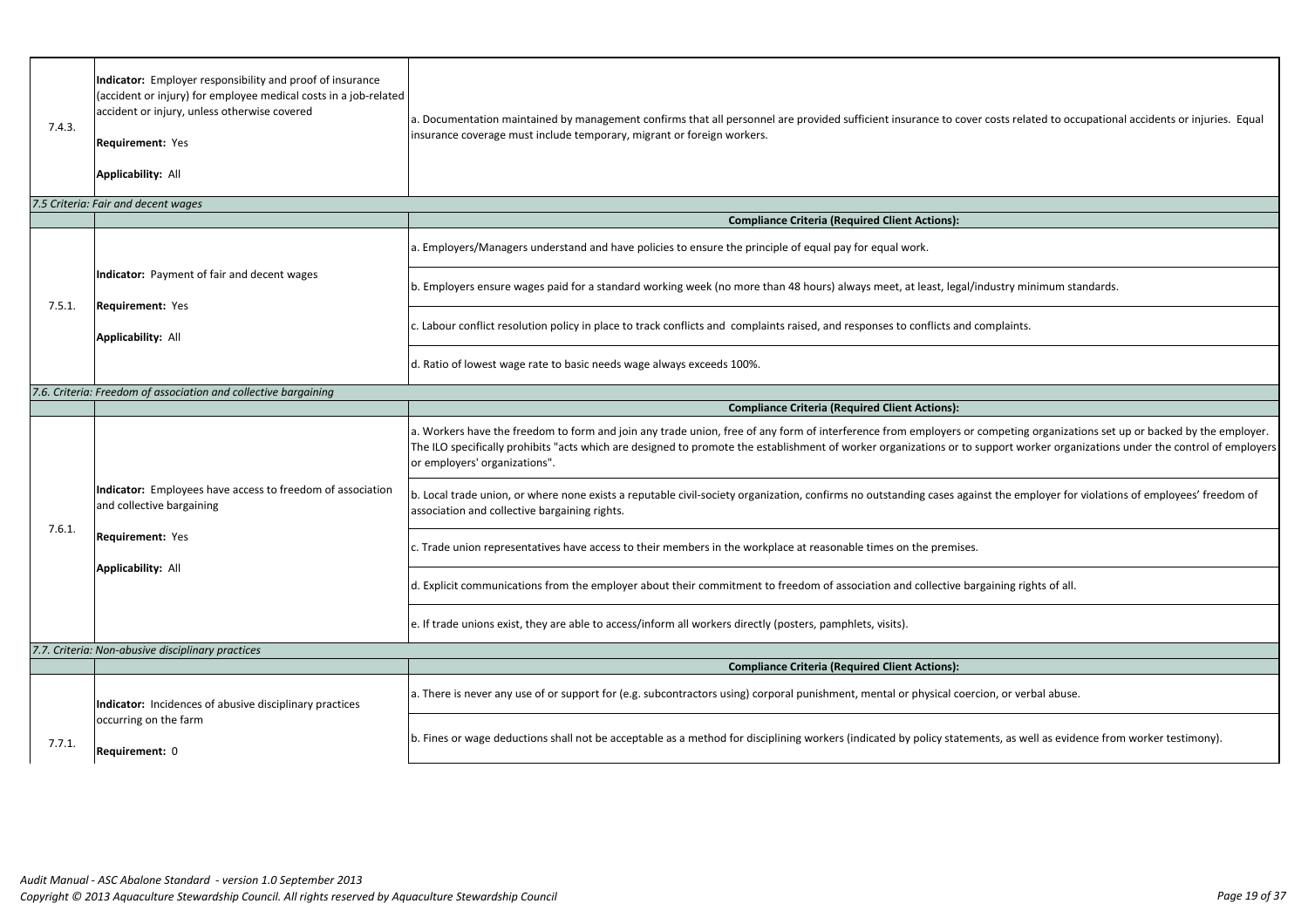| 7.4.3. | Indicator: Employer responsibility and proof of insurance<br>(accident or injury) for employee medical costs in a job-related<br>accident or injury, unless otherwise covered<br><b>Requirement: Yes</b><br><b>Applicability: All</b> | a. Documentation maintained by management confirms that all personnel are provided sufficient insurance to cover costs rela<br>insurance coverage must include temporary, migrant or foreign workers.                                                                                        |
|--------|---------------------------------------------------------------------------------------------------------------------------------------------------------------------------------------------------------------------------------------|----------------------------------------------------------------------------------------------------------------------------------------------------------------------------------------------------------------------------------------------------------------------------------------------|
|        | 7.5 Criteria: Fair and decent wages                                                                                                                                                                                                   |                                                                                                                                                                                                                                                                                              |
|        |                                                                                                                                                                                                                                       | <b>Compliance Criteria (Required Client Actions):</b>                                                                                                                                                                                                                                        |
|        |                                                                                                                                                                                                                                       | a. Employers/Managers understand and have policies to ensure the principle of equal pay for equal work.                                                                                                                                                                                      |
| 7.5.1. | Indicator: Payment of fair and decent wages<br>Requirement: Yes                                                                                                                                                                       | b. Employers ensure wages paid for a standard working week (no more than 48 hours) always meet, at least, legal/industry mi                                                                                                                                                                  |
|        | <b>Applicability: All</b>                                                                                                                                                                                                             | c. Labour conflict resolution policy in place to track conflicts and complaints raised, and responses to conflicts and complaints.                                                                                                                                                           |
|        |                                                                                                                                                                                                                                       | d. Ratio of lowest wage rate to basic needs wage always exceeds 100%.                                                                                                                                                                                                                        |
|        | 7.6. Criteria: Freedom of association and collective bargaining                                                                                                                                                                       |                                                                                                                                                                                                                                                                                              |
|        |                                                                                                                                                                                                                                       | <b>Compliance Criteria (Required Client Actions):</b>                                                                                                                                                                                                                                        |
| 7.6.1. | Indicator: Employees have access to freedom of association<br>and collective bargaining<br>Requirement: Yes<br><b>Applicability: All</b>                                                                                              | a. Workers have the freedom to form and join any trade union, free of any form of interference from employers or competing<br>The ILO specifically prohibits "acts which are designed to promote the establishment of worker organizations or to support wo<br>or employers' organizations". |
|        |                                                                                                                                                                                                                                       | b. Local trade union, or where none exists a reputable civil-society organization, confirms no outstanding cases against the em<br>association and collective bargaining rights.                                                                                                             |
|        |                                                                                                                                                                                                                                       | c. Trade union representatives have access to their members in the workplace at reasonable times on the premises.                                                                                                                                                                            |
|        |                                                                                                                                                                                                                                       | d. Explicit communications from the employer about their commitment to freedom of association and collective bargaining rig                                                                                                                                                                  |
|        |                                                                                                                                                                                                                                       | e. If trade unions exist, they are able to access/inform all workers directly (posters, pamphlets, visits).                                                                                                                                                                                  |
|        | 7.7. Criteria: Non-abusive disciplinary practices                                                                                                                                                                                     |                                                                                                                                                                                                                                                                                              |
|        |                                                                                                                                                                                                                                       | <b>Compliance Criteria (Required Client Actions):</b>                                                                                                                                                                                                                                        |
| 7.7.1. | Indicator: Incidences of abusive disciplinary practices<br>occurring on the farm<br>Requirement: 0                                                                                                                                    | a. There is never any use of or support for (e.g. subcontractors using) corporal punishment, mental or physical coercion, or ver                                                                                                                                                             |
|        |                                                                                                                                                                                                                                       | b. Fines or wage deductions shall not be acceptable as a method for disciplining workers (indicated by policy statements, as we                                                                                                                                                              |
|        |                                                                                                                                                                                                                                       |                                                                                                                                                                                                                                                                                              |

osts related to occupational accidents or injuries. Equal

ustry minimum standards.

mpeting organizations set up or backed by the employer. pport worker organizations under the control of employers

the employer for violations of employees' freedom of

ining rights of all.

n, or verbal abuse.

ts, as well as evidence from worker testimony).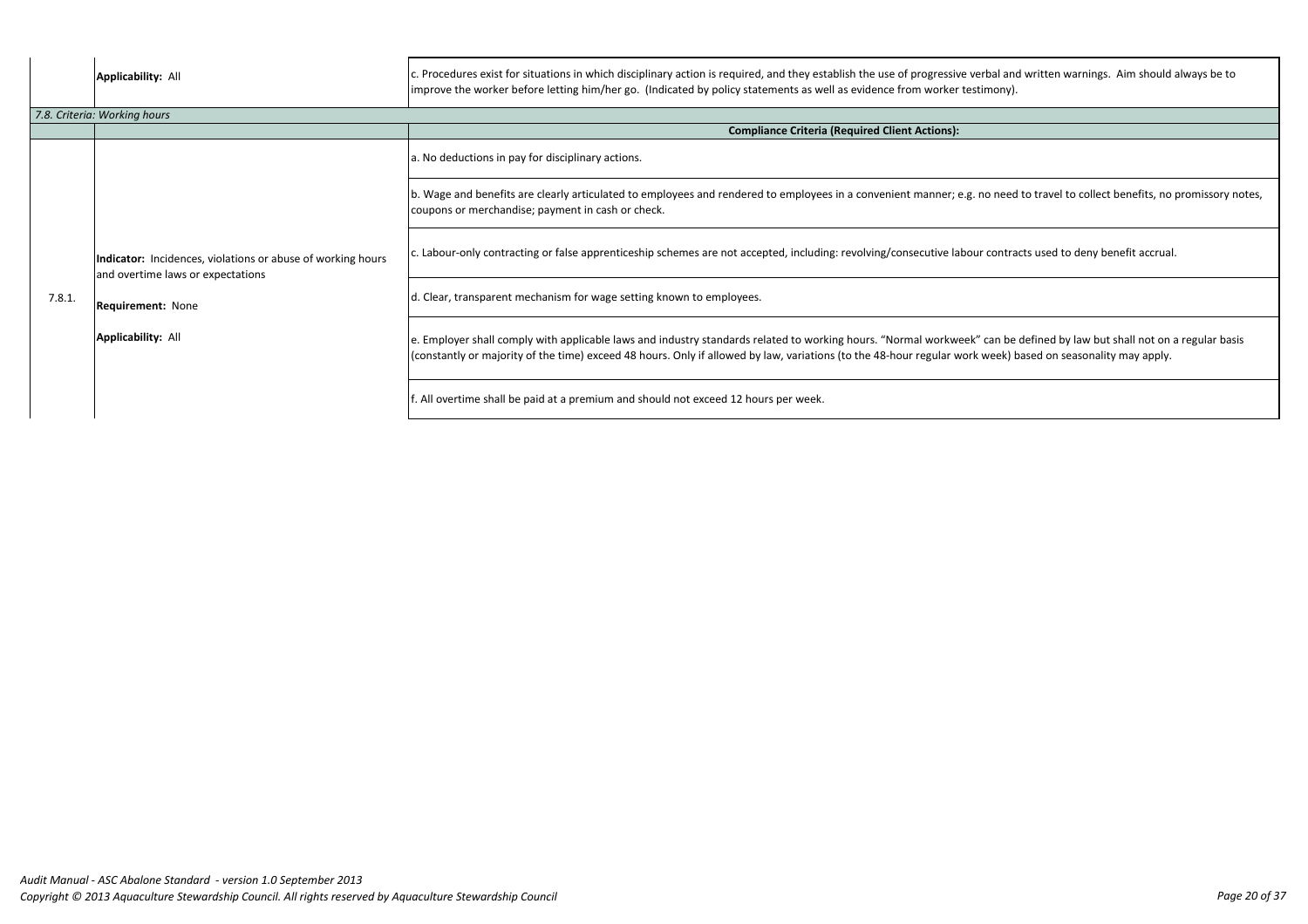| <b>Applicability: All</b>                                                                                                                                 | c. Procedures exist for situations in which disciplinary action is required, and they establish the use of progressive verbal and<br>improve the worker before letting him/her go. (Indicated by policy statements as well as evidence from worker testimony). |
|-----------------------------------------------------------------------------------------------------------------------------------------------------------|----------------------------------------------------------------------------------------------------------------------------------------------------------------------------------------------------------------------------------------------------------------|
|                                                                                                                                                           |                                                                                                                                                                                                                                                                |
|                                                                                                                                                           | <b>Compliance Criteria (Required Client Actions):</b>                                                                                                                                                                                                          |
|                                                                                                                                                           | a. No deductions in pay for disciplinary actions.                                                                                                                                                                                                              |
| Indicator: Incidences, violations or abuse of working hours<br>and overtime laws or expectations<br><b>Requirement: None</b><br><b>Applicability: All</b> | b. Wage and benefits are clearly articulated to employees and rendered to employees in a convenient manner; e.g. no need<br>coupons or merchandise; payment in cash or check.                                                                                  |
|                                                                                                                                                           | c. Labour-only contracting or false apprenticeship schemes are not accepted, including: revolving/consecutive labour contra                                                                                                                                    |
|                                                                                                                                                           | d. Clear, transparent mechanism for wage setting known to employees.                                                                                                                                                                                           |
|                                                                                                                                                           | e. Employer shall comply with applicable laws and industry standards related to working hours. "Normal workweek" can be<br>(constantly or majority of the time) exceed 48 hours. Only if allowed by law, variations (to the 48-hour regular work week) but     |
|                                                                                                                                                           | f. All overtime shall be paid at a premium and should not exceed 12 hours per week.                                                                                                                                                                            |
|                                                                                                                                                           | 7.8. Criteria: Working hours                                                                                                                                                                                                                                   |

al and written warnings. Aim should always be to

need to travel to collect benefits, no promissory notes,

contracts used to deny benefit accrual.

an be defined by law but shall not on a regular basis eek) based on seasonality may apply.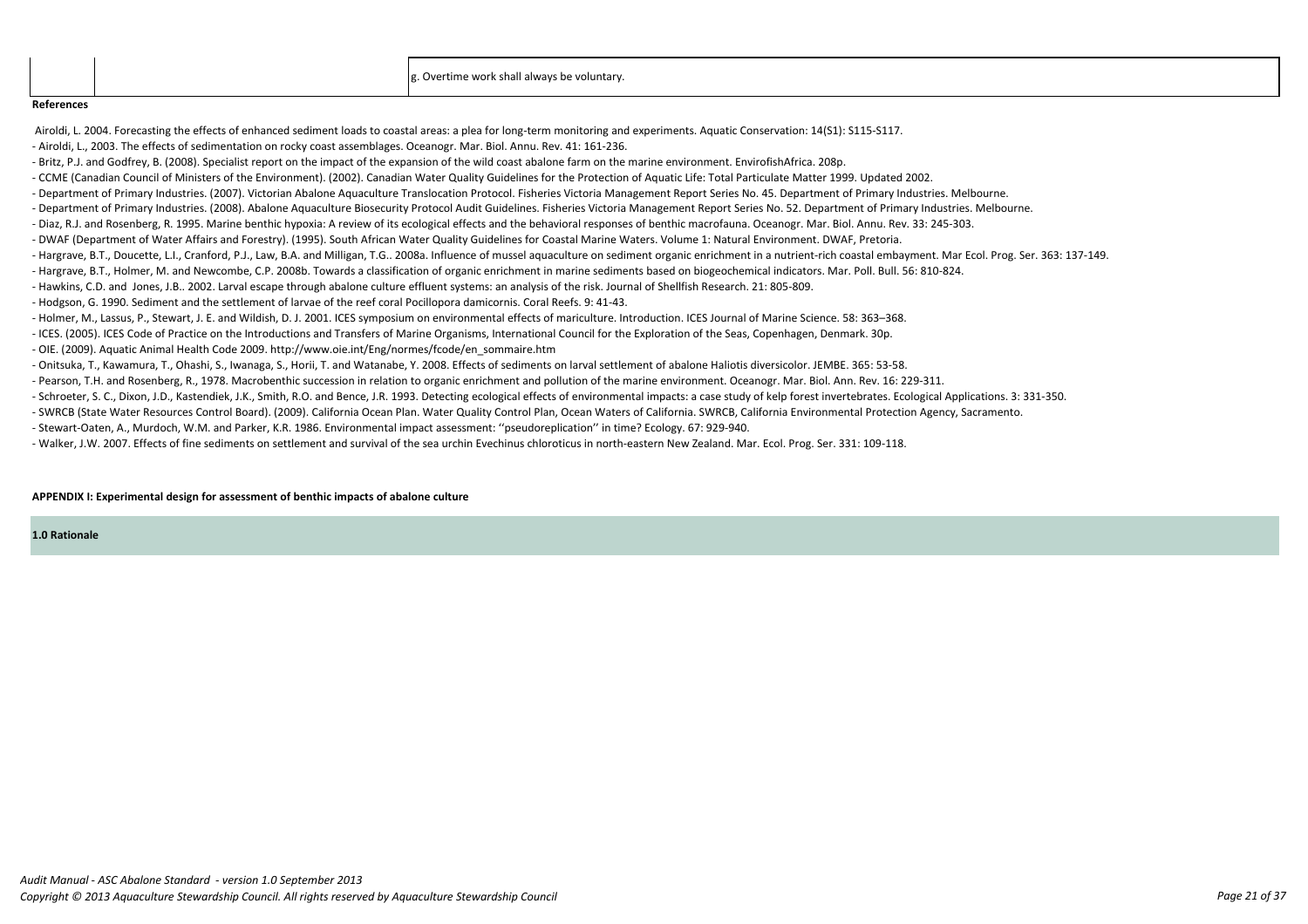g. Overtime work shall always be voluntary.

**1.0 Rationale**

#### **References**

Airoldi, L. 2004. Forecasting the effects of enhanced sediment loads to coastal areas: a plea for long-term monitoring and experiments. Aquatic Conservation: 14(S1): S115-S117.

- Airoldi, L., 2003. The effects of sedimentation on rocky coast assemblages. Oceanogr. Mar. Biol. Annu. Rev. 41: 161-236.
- Britz, P.J. and Godfrey, B. (2008). Specialist report on the impact of the expansion of the wild coast abalone farm on the marine environment. EnvirofishAfrica. 208p.
- CCME (Canadian Council of Ministers of the Environment). (2002). Canadian Water Quality Guidelines for the Protection of Aquatic Life: Total Particulate Matter 1999. Updated 2002.
- Department of Primary Industries. (2007). Victorian Abalone Aquaculture Translocation Protocol. Fisheries Victoria Management Report Series No. 45. Department of Primary Industries. Melbourne.
- Department of Primary Industries. (2008). Abalone Aquaculture Biosecurity Protocol Audit Guidelines. Fisheries Victoria Management Report Series No. 52. Department of Primary Industries. Melbourne.
- Diaz, R.J. and Rosenberg, R. 1995. Marine benthic hypoxia: A review of its ecological effects and the behavioral responses of benthic macrofauna. Oceanogr. Mar. Biol. Annu. Rev. 33: 245-303.
- DWAF (Department of Water Affairs and Forestry). (1995). South African Water Quality Guidelines for Coastal Marine Waters. Volume 1: Natural Environment. DWAF, Pretoria.
- Hargrave, B.T., Doucette, L.I., Cranford, P.J., Law, B.A. and Milligan, T.G.. 2008a. Influence of mussel aquaculture on sediment organic enrichment in a nutrient-rich coastal embayment. Mar Ecol. Prog. Ser. 363: 137-149.
- Hargrave, B.T., Holmer, M. and Newcombe, C.P. 2008b. Towards a classification of organic enrichment in marine sediments based on biogeochemical indicators. Mar. Poll. Bull. 56: 810-824.
- Hawkins, C.D. and Jones, J.B.. 2002. Larval escape through abalone culture effluent systems: an analysis of the risk. Journal of Shellfish Research. 21: 805-809.
- Hodgson, G. 1990. Sediment and the settlement of larvae of the reef coral Pocillopora damicornis. Coral Reefs. 9: 41-43.
- Holmer, M., Lassus, P., Stewart, J. E. and Wildish, D. J. 2001. ICES symposium on environmental effects of mariculture. Introduction. ICES Journal of Marine Science. 58: 363–368.
- ICES. (2005). ICES Code of Practice on the Introductions and Transfers of Marine Organisms, International Council for the Exploration of the Seas, Copenhagen, Denmark. 30p.
- OIE. (2009). Aquatic Animal Health Code 2009. http://www.oie.int/Eng/normes/fcode/en\_sommaire.htm
- Onitsuka, T., Kawamura, T., Ohashi, S., Iwanaga, S., Horii, T. and Watanabe, Y. 2008. Effects of sediments on larval settlement of abalone Haliotis diversicolor. JEMBE. 365: 53-58.
- Pearson, T.H. and Rosenberg, R., 1978. Macrobenthic succession in relation to organic enrichment and pollution of the marine environment. Oceanogr. Mar. Biol. Ann. Rev. 16: 229-311.
- Schroeter, S. C., Dixon, J.D., Kastendiek, J.K., Smith, R.O. and Bence, J.R. 1993. Detecting ecological effects of environmental impacts: a case study of kelp forest invertebrates. Ecological Applications. 3: 331-350.
- SWRCB (State Water Resources Control Board). (2009). California Ocean Plan. Water Quality Control Plan, Ocean Waters of California. SWRCB, California Environmental Protection Agency, Sacramento.
- Stewart-Oaten, A., Murdoch, W.M. and Parker, K.R. 1986. Environmental impact assessment: ''pseudoreplication'' in time? Ecology. 67: 929-940.
- Walker, J.W. 2007. Effects of fine sediments on settlement and survival of the sea urchin Evechinus chloroticus in north-eastern New Zealand. Mar. Ecol. Prog. Ser. 331: 109-118.

# **APPENDIX I: Experimental design for assessment of benthic impacts of abalone culture**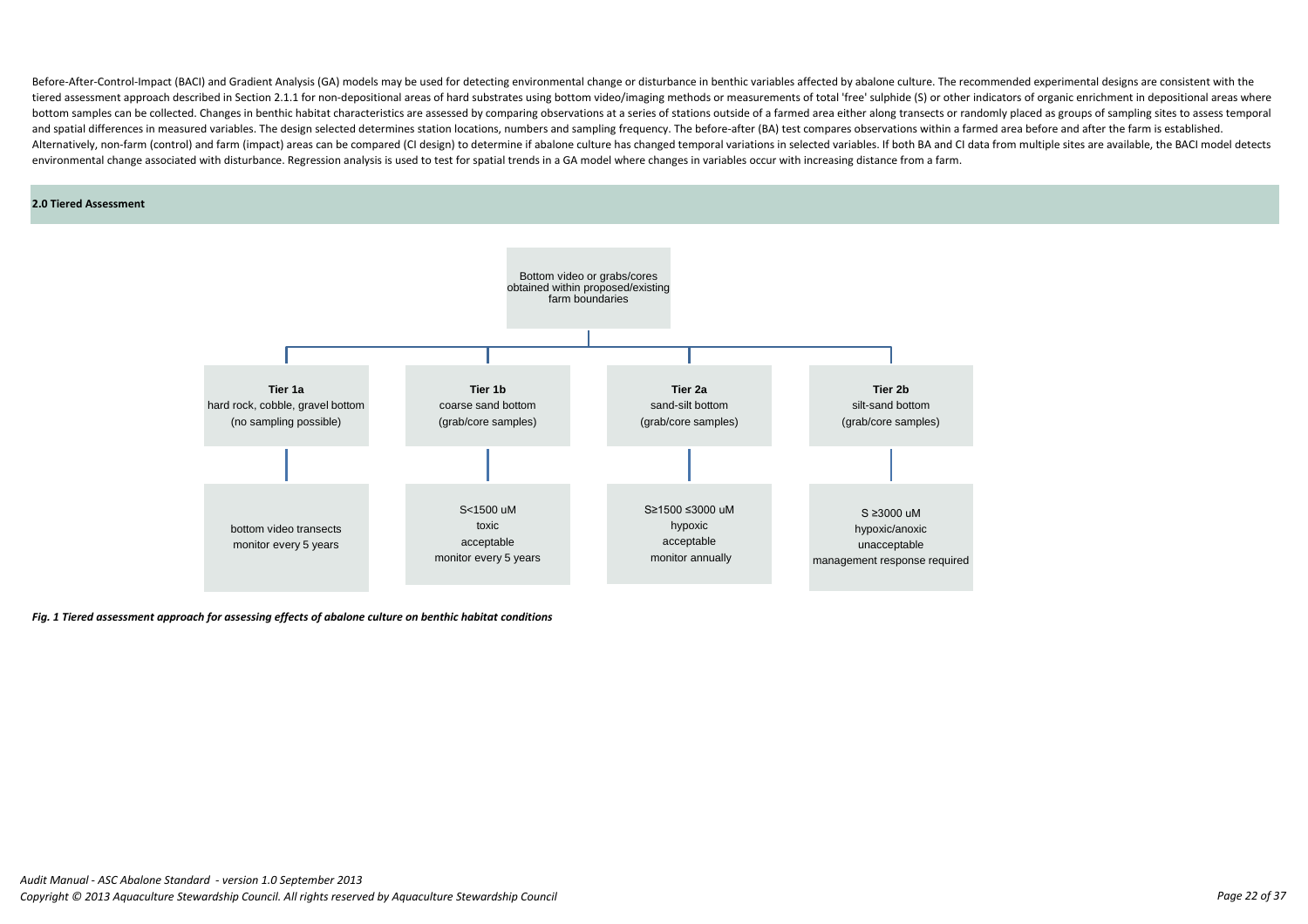*Fig. 1 Tiered assessment approach for assessing effects of abalone culture on benthic habitat conditions*

#### **2.0 Tiered Assessment**

Before-After-Control-Impact (BACI) and Gradient Analysis (GA) models may be used for detecting environmental change or disturbance in benthic variables affected by abalone culture. The recommended experimental designs are tiered assessment approach described in Section 2.1.1 for non-depositional areas of hard substrates using bottom video/imaging methods or measurements of total 'free' sulphide (S) or other indicators of organic enrichment bottom samples can be collected. Changes in benthic habitat characteristics are assessed by comparing observations at a series of stations outside of a farmed area either along transects or randomly placed as groups of sam and spatial differences in measured variables. The design selected determines station locations, numbers and sampling frequency. The before-after (BA) test compares observations within a farmed area before and after the fa Alternatively, non-farm (control) and farm (impact) areas can be compared (CI design) to determine if abalone culture has changed temporal variations in selected variables. If both BA and CI data from multiple sites are av environmental change associated with disturbance. Regression analysis is used to test for spatial trends in a GA model where changes in variables occur with increasing distance from a farm.

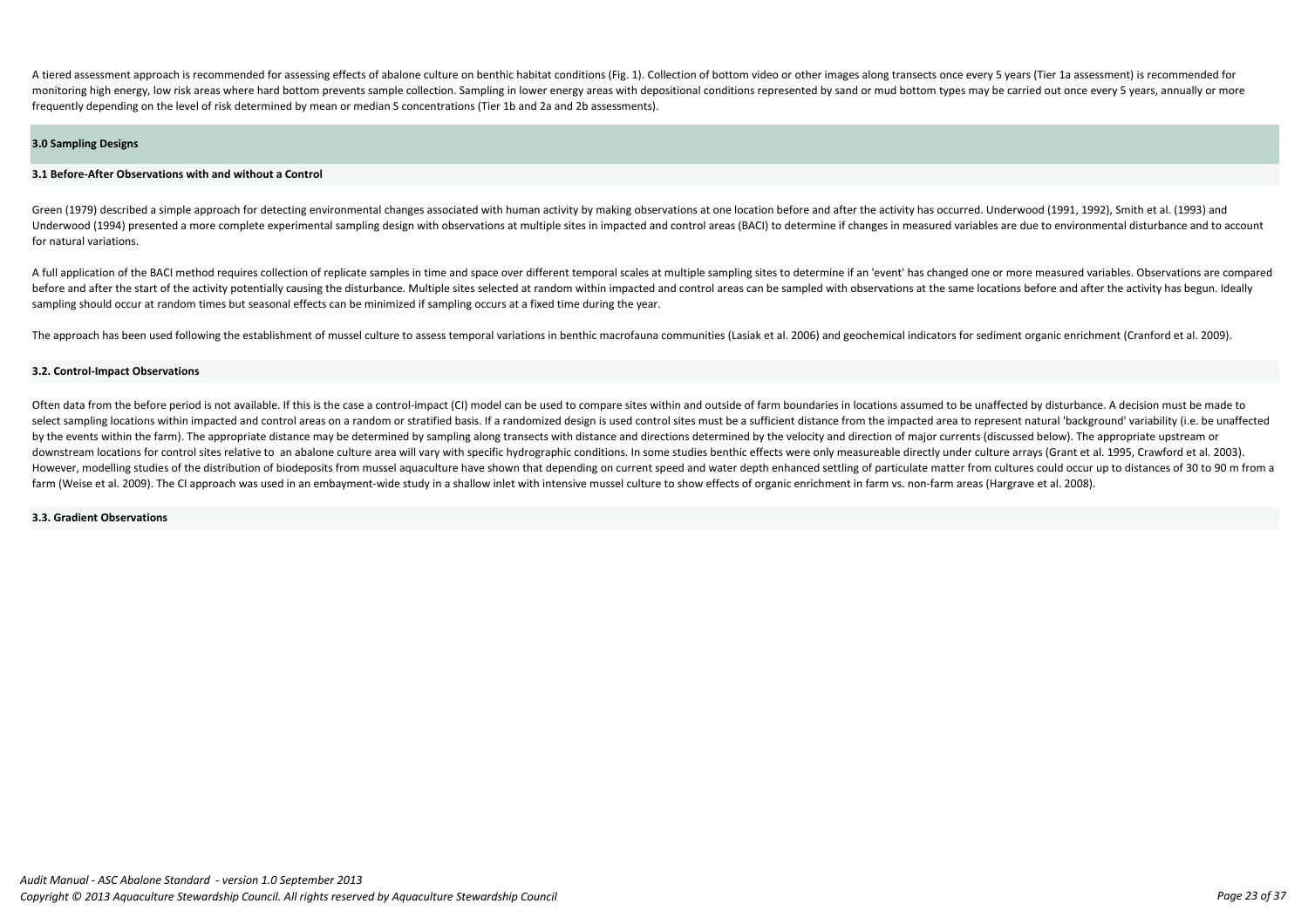Often data from the before period is not available. If this is the case a control-impact (CI) model can be used to compare sites within and outside of farm boundaries in locations assumed to be unaffected by disturbance. A select sampling locations within impacted and control areas on a random or stratified basis. If a randomized design is used control sites must be a sufficient distance from the impacted area to represent natural 'backgroun by the events within the farm). The appropriate distance may be determined by sampling along transects with distance and directions determined by the velocity and direction of major currents (discussed below). The appropri downstream locations for control sites relative to an abalone culture area will vary with specific hydrographic conditions. In some studies benthic effects were only measureable directly under culture arrays (Grant et al. However, modelling studies of the distribution of biodeposits from mussel aquaculture have shown that depending on current speed and water depth enhanced settling of particulate matter from cultures could occur up to dista farm (Weise et al. 2009). The CI approach was used in an embayment-wide study in a shallow inlet with intensive mussel culture to show effects of organic enrichment in farm vs. non-farm areas (Hargrave et al. 2008).

A tiered assessment approach is recommended for assessing effects of abalone culture on benthic habitat conditions (Fig. 1). Collection of bottom video or other images along transects once every 5 years (Tier 1a assessment monitoring high energy, low risk areas where hard bottom prevents sample collection. Sampling in lower energy areas with depositional conditions represented by sand or mud bottom types may be carried out once every 5 years frequently depending on the level of risk determined by mean or median S concentrations (Tier 1b and 2a and 2b assessments).

Green (1979) described a simple approach for detecting environmental changes associated with human activity by making observations at one location before and after the activity has occurred. Underwood (1991, 1992), Smith e Underwood (1994) presented a more complete experimental sampling design with observations at multiple sites in impacted and control areas (BACI) to determine if changes in measured variables are due to environmental distur for natural variations.

#### **3.3. Gradient Observations**

#### **3.2. Control-Impact Observations**

#### **3.0 Sampling Designs**

A full application of the BACI method requires collection of replicate samples in time and space over different temporal scales at multiple sampling sites to determine if an 'event' has changed one or more measured variabl before and after the start of the activity potentially causing the disturbance. Multiple sites selected at random within impacted and control areas can be sampled with observations at the same locations before and after th sampling should occur at random times but seasonal effects can be minimized if sampling occurs at a fixed time during the year.

The approach has been used following the establishment of mussel culture to assess temporal variations in benthic macrofauna communities (Lasiak et al. 2006) and geochemical indicators for sediment organic enrichment (Cran

#### **3.1 Before-After Observations with and without a Control**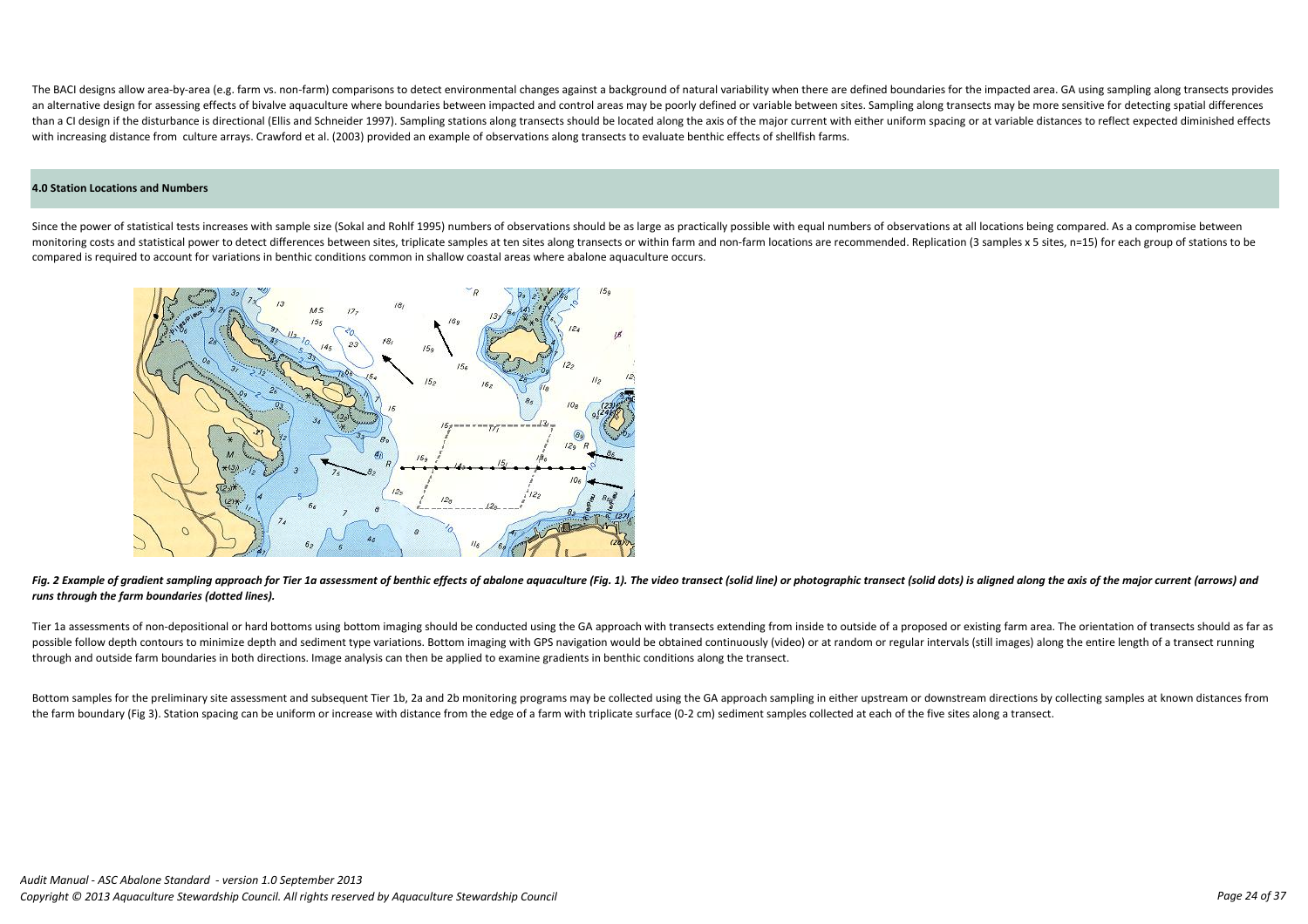Fig. 2 Example of gradient sampling approach for Tier 1a assessment of benthic effects of abalone aquaculture (Fig. 1). The video transect (solid line) or photographic transect (solid dots) is aligned along the axis of the *runs through the farm boundaries (dotted lines).* 

Tier 1a assessments of non-depositional or hard bottoms using bottom imaging should be conducted using the GA approach with transects extending from inside to outside of a proposed or existing farm area. The orientation of possible follow depth contours to minimize depth and sediment type variations. Bottom imaging with GPS navigation would be obtained continuously (video) or at random or regular intervals (still images) along the entire len through and outside farm boundaries in both directions. Image analysis can then be applied to examine gradients in benthic conditions along the transect.

Since the power of statistical tests increases with sample size (Sokal and Rohlf 1995) numbers of observations should be as large as practically possible with equal numbers of observations at all locations being compared. monitoring costs and statistical power to detect differences between sites, triplicate samples at ten sites along transects or within farm and non-farm locations are recommended. Replication (3 samples x 5 sites, n=15) for compared is required to account for variations in benthic conditions common in shallow coastal areas where abalone aquaculture occurs.



Bottom samples for the preliminary site assessment and subsequent Tier 1b, 2a and 2b monitoring programs may be collected using the GA approach sampling in either upstream or downstream directions by collecting samples at the farm boundary (Fig 3). Station spacing can be uniform or increase with distance from the edge of a farm with triplicate surface (0-2 cm) sediment samples collected at each of the five sites along a transect.

The BACI designs allow area-by-area (e.g. farm ys. non-farm) comparisons to detect environmental changes against a background of natural variability when there are defined boundaries for the impacted area. GA using samplin an alternative design for assessing effects of bivalve aquaculture where boundaries between impacted and control areas may be poorly defined or variable between sites. Sampling along transects may be more sensitive for det than a CI design if the disturbance is directional (Ellis and Schneider 1997). Sampling stations along transects should be located along the axis of the major current with either uniform spacing or at variable distances to with increasing distance from culture arrays. Crawford et al. (2003) provided an example of observations along transects to evaluate benthic effects of shellfish farms.

#### **4.0 Station Locations and Numbers**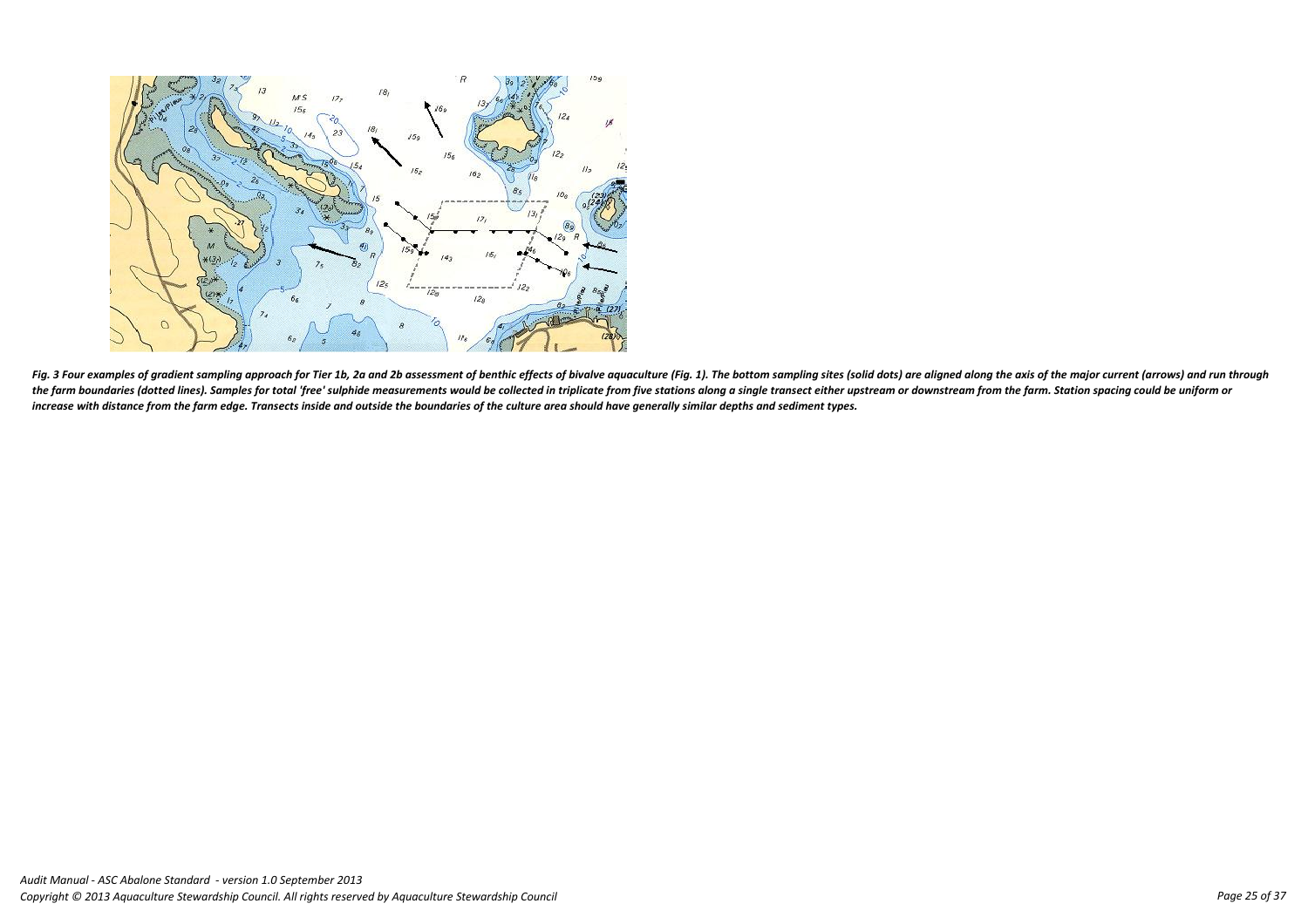

Fig. 3 Four examples of gradient sampling approach for Tier 1b, 2a and 2b assessment of benthic effects of bivalve aquaculture (Fig. 1). The bottom sampling sites (solid dots) are aligned along the axis of the major curren the farm boundaries (dotted lines). Samples for total 'free' sulphide measurements would be collected in triplicate from five stations along a single transect either upstream or downstream from the farm. Station spacing co *increase with distance from the farm edge. Transects inside and outside the boundaries of the culture area should have generally similar depths and sediment types.*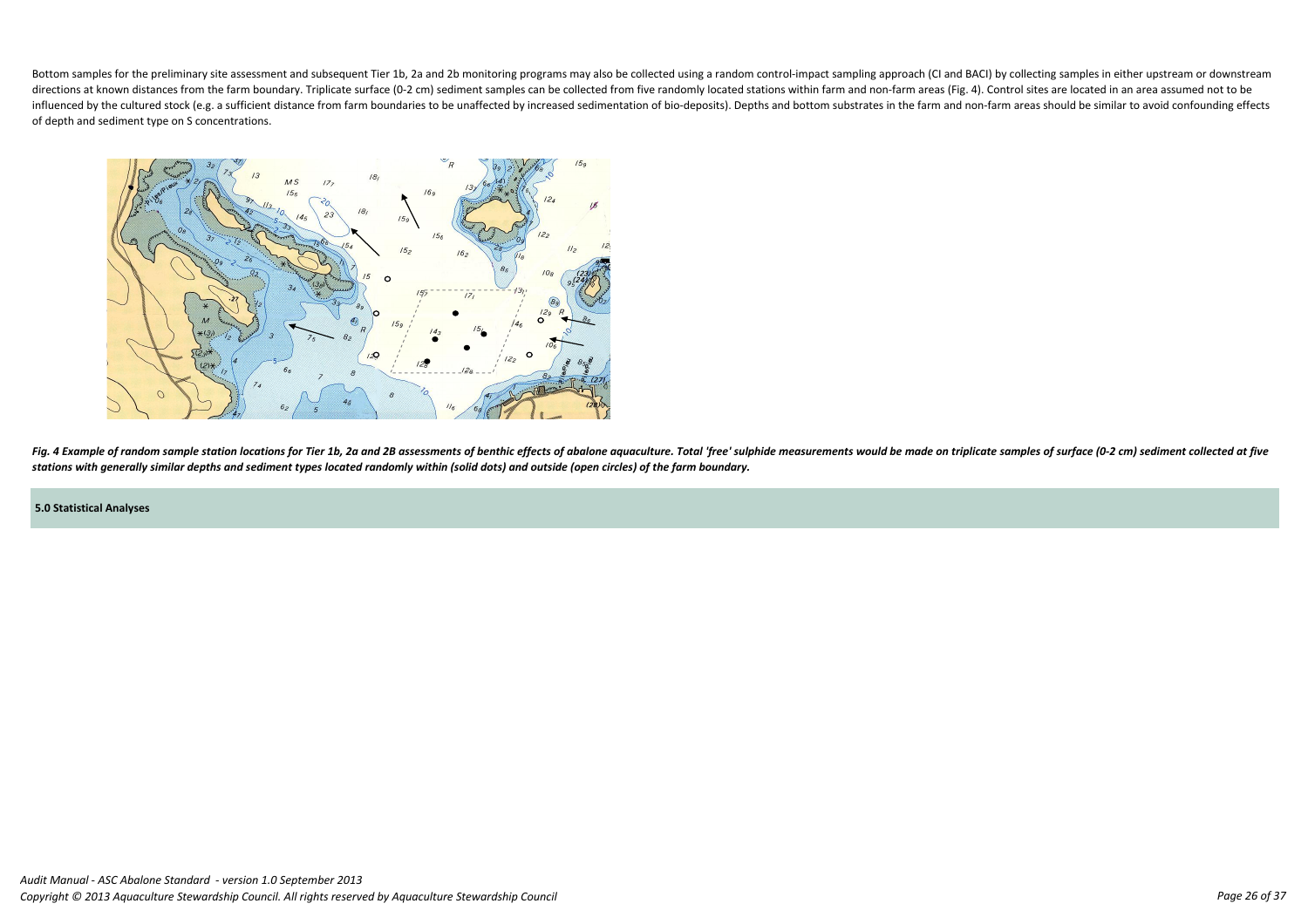#### **5.0 Statistical Analyses**

Bottom samples for the preliminary site assessment and subsequent Tier 1b, 2a and 2b monitoring programs may also be collected using a random control-impact sampling approach (CI and BACI) by collecting samples in either u directions at known distances from the farm boundary. Triplicate surface (0-2 cm) sediment samples can be collected from five randomly located stations within farm and non-farm areas (Fig. 4). Control sites are located in influenced by the cultured stock (e.g. a sufficient distance from farm boundaries to be unaffected by increased sedimentation of bio-deposits). Depths and bottom substrates in the farm and non-farm areas should be similar of depth and sediment type on S concentrations.



Fig. 4 Example of random sample station locations for Tier 1b, 2a and 2B assessments of benthic effects of abalone aquaculture. Total 'free' sulphide measurements would be made on triplicate samples of surface (0-2 cm) sed *stations with generally similar depths and sediment types located randomly within (solid dots) and outside (open circles) of the farm boundary.*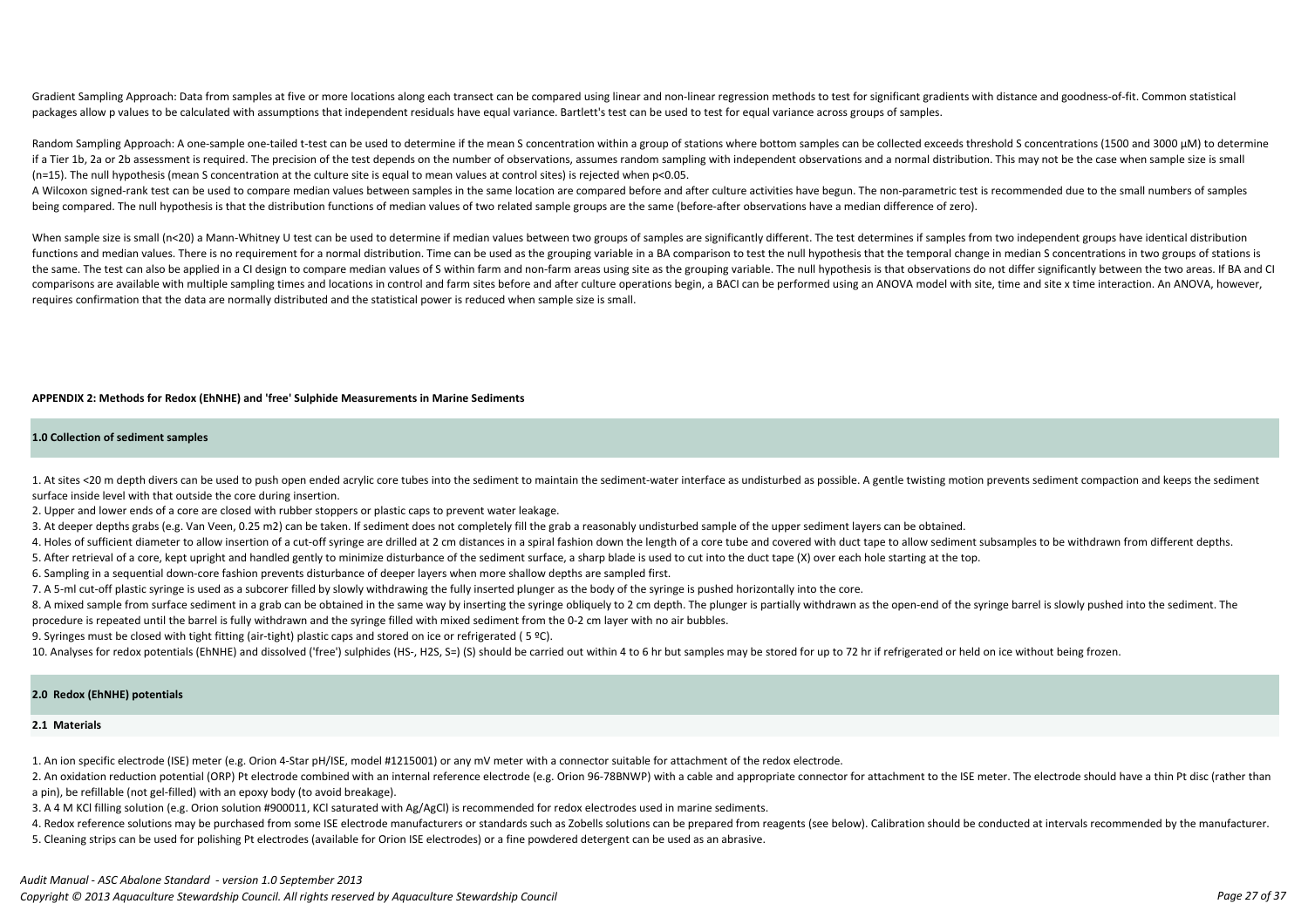1. At sites <20 m depth divers can be used to push open ended acrylic core tubes into the sediment to maintain the sediment-water interface as undisturbed as possible. A gentle twisting motion prevents sediment compaction surface inside level with that outside the core during insertion.

2. Upper and lower ends of a core are closed with rubber stoppers or plastic caps to prevent water leakage.

3. At deeper depths grabs (e.g. Van Veen, 0.25 m2) can be taken. If sediment does not completely fill the grab a reasonably undisturbed sample of the upper sediment layers can be obtained.

4. Holes of sufficient diameter to allow insertion of a cut-off syringe are drilled at 2 cm distances in a spiral fashion down the length of a core tube and covered with duct tape to allow sediment subsamples to be withdra

8. A mixed sample from surface sediment in a grab can be obtained in the same way by inserting the syringe obliquely to 2 cm depth. The plunger is partially withdrawn as the open-end of the syringe barrel is slowly pushed procedure is repeated until the barrel is fully withdrawn and the syringe filled with mixed sediment from the 0-2 cm layer with no air bubbles.

9. Syringes must be closed with tight fitting (air-tight) plastic caps and stored on ice or refrigerated (5 °C).

10. Analyses for redox potentials (EhNHE) and dissolved ('free') sulphides (HS-, H2S, S=) (S) should be carried out within 4 to 6 hr but samples may be stored for up to 72 hr if refrigerated or held on ice without being fr

5. After retrieval of a core, kept upright and handled gently to minimize disturbance of the sediment surface, a sharp blade is used to cut into the duct tape (X) over each hole starting at the top.

6. Sampling in a sequential down-core fashion prevents disturbance of deeper layers when more shallow depths are sampled first.

7. A 5-ml cut-off plastic syringe is used as a subcorer filled by slowly withdrawing the fully inserted plunger as the body of the syringe is pushed horizontally into the core.

2. An oxidation reduction potential (ORP) Pt electrode combined with an internal reference electrode (e.g. Orion 96-78BNWP) with a cable and appropriate connector for attachment to the ISE meter. The electrode should have a pin), be refillable (not gel-filled) with an epoxy body (to avoid breakage).

4. Redox reference solutions may be purchased from some ISE electrode manufacturers or standards such as Zobells solutions can be prepared from reagents (see below). Calibration should be conducted at intervals recommended 5. Cleaning strips can be used for polishing Pt electrodes (available for Orion ISE electrodes) or a fine powdered detergent can be used as an abrasive.

Gradient Sampling Approach: Data from samples at five or more locations along each transect can be compared using linear and non-linear regression methods to test for significant gradients with distance and goodness-of-fit packages allow p values to be calculated with assumptions that independent residuals have equal variance. Bartlett's test can be used to test for equal variance across groups of samples.

#### **2.0 Redox (EhNHE) potentials**

#### **2.1 Materials**

Random Sampling Approach: A one-sample one-tailed t-test can be used to determine if the mean S concentration within a group of stations where bottom samples can be collected exceeds threshold S concentrations (1500 and 30 if a Tier 1b, 2a or 2b assessment is required. The precision of the test depends on the number of observations, assumes random sampling with independent observations and a normal distribution. This may not be the case when (n=15). The null hypothesis (mean S concentration at the culture site is equal to mean values at control sites) is rejected when p<0.05.

1. An ion specific electrode (ISE) meter (e.g. Orion 4-Star pH/ISE, model #1215001) or any mV meter with a connector suitable for attachment of the redox electrode.

A Wilcoxon signed-rank test can be used to compare median values between samples in the same location are compared before and after culture activities have begun. The non-parametric test is recommended due to the small num being compared. The null hypothesis is that the distribution functions of median values of two related sample groups are the same (before-after observations have a median difference of zero).

3. A 4 M KCl filling solution (e.g. Orion solution #900011, KCl saturated with Ag/AgCl) is recommended for redox electrodes used in marine sediments.

When sample size is small (n<20) a Mann-Whitney U test can be used to determine if median values between two groups of samples are significantly different. The test determines if samples from two independent groups have id functions and median values. There is no requirement for a normal distribution. Time can be used as the grouping variable in a BA comparison to test the null hypothesis that the temporal change in median S concentrations i the same. The test can also be applied in a CI design to compare median values of S within farm and non-farm areas using site as the grouping variable. The null hypothesis is that observations do not differ significantly b comparisons are available with multiple sampling times and locations in control and farm sites before and after culture operations begin, a BACI can be performed using an ANOVA model with site, time and site x time interac requires confirmation that the data are normally distributed and the statistical power is reduced when sample size is small.

#### **APPENDIX 2: Methods for Redox (EhNHE) and 'free' Sulphide Measurements in Marine Sediments**

#### **1.0 Collection of sediment samples**

#### *Audit Manual - ASC Abalone Standard - version 1.0 September 2013*

*Copyright © 2013 Aquaculture Stewardship Council. All rights reserved by Aquaculture Stewardship Council Page 27 of 37*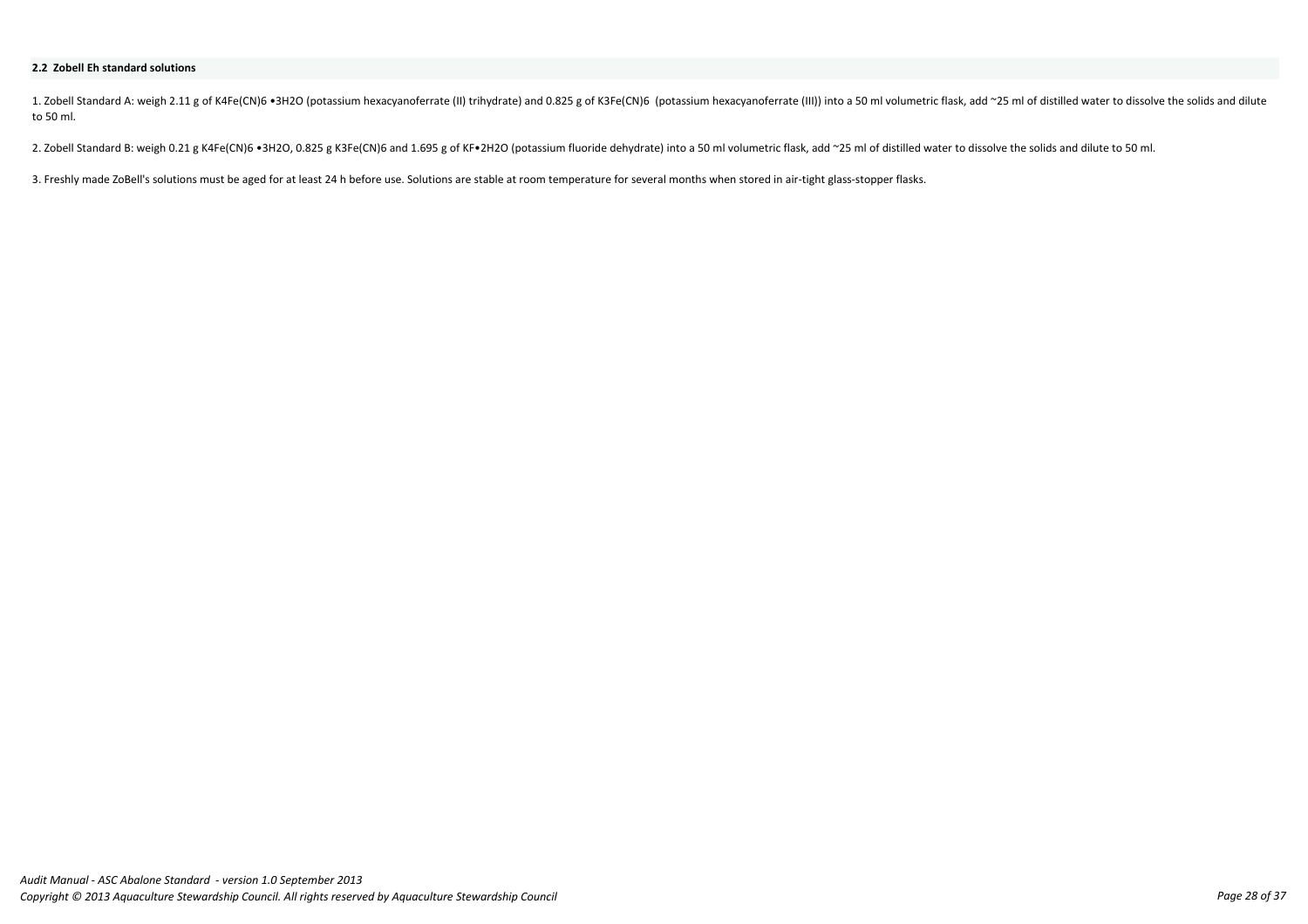1. Zobell Standard A: weigh 2.11 g of K4Fe(CN)6 •3H2O (potassium hexacyanoferrate (II) trihydrate) and 0.825 g of K3Fe(CN)6 (potassium hexacyanoferrate (III)) into a 50 ml volumetric flask, add ~25 ml of distilled water t to 50 ml.

2. Zobell Standard B: weigh 0.21 g K4Fe(CN)6 •3H2O, 0.825 g K3Fe(CN)6 and 1.695 g of KF•2H2O (potassium fluoride dehydrate) into a 50 ml volumetric flask, add ~25 ml of distilled water to dissolve the solids and dilute to

3. Freshly made ZoBell's solutions must be aged for at least 24 h before use. Solutions are stable at room temperature for several months when stored in air-tight glass-stopper flasks.

#### **2.2 Zobell Eh standard solutions**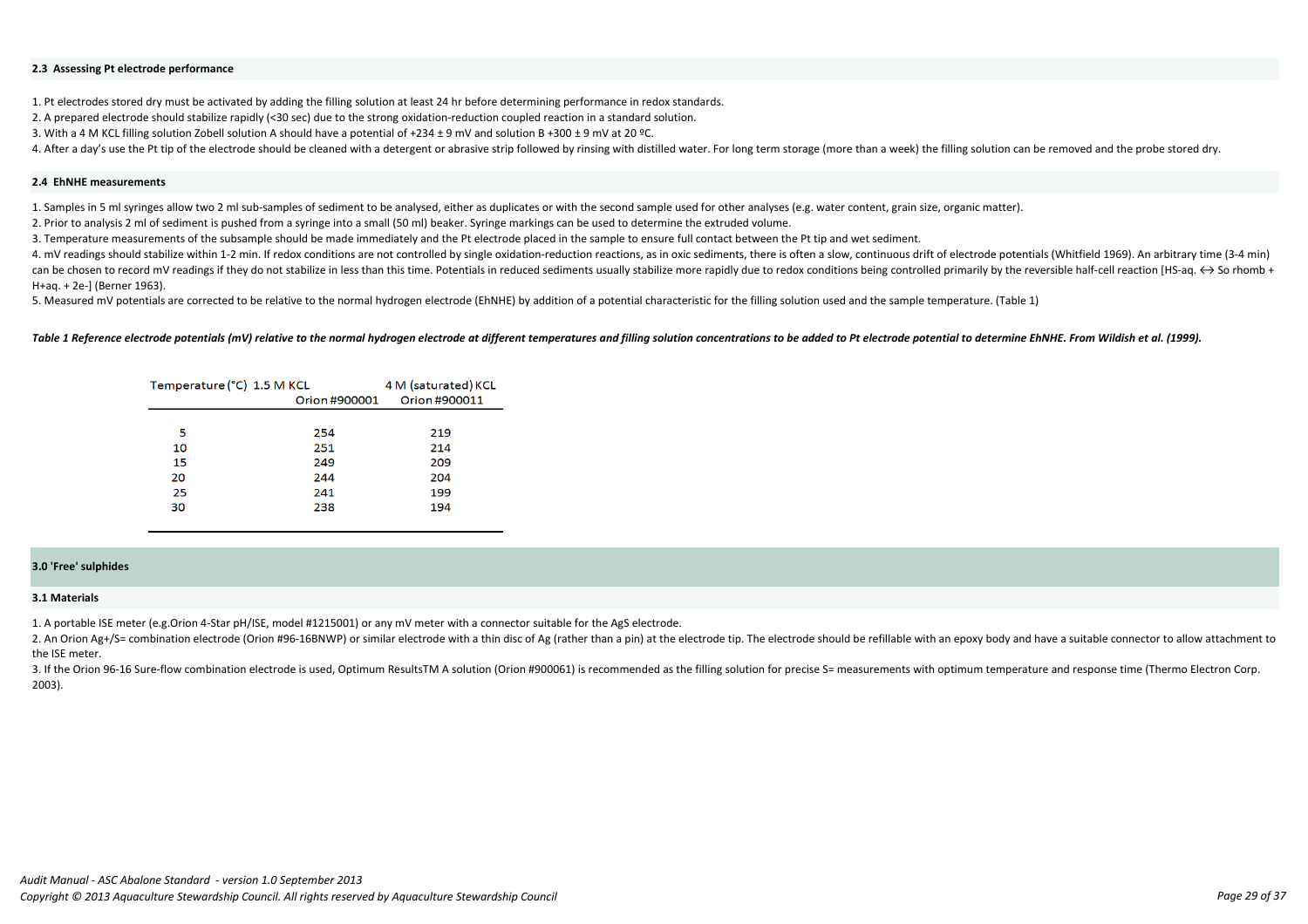1. Pt electrodes stored dry must be activated by adding the filling solution at least 24 hr before determining performance in redox standards.

2. A prepared electrode should stabilize rapidly (<30 sec) due to the strong oxidation-reduction coupled reaction in a standard solution.

3. With a 4 M KCL filling solution Zobell solution A should have a potential of +234 ± 9 mV and solution B +300 ± 9 mV at 20 ºC.

4. After a day's use the Pt tip of the electrode should be cleaned with a detergent or abrasive strip followed by rinsing with distilled water. For long term storage (more than a week) the filling solution can be removed a

#### **2.4 EhNHE measurements**

4. mV readings should stabilize within 1-2 min. If redox conditions are not controlled by single oxidation-reduction reactions, as in oxic sediments, there is often a slow, continuous drift of electrode potentials (Whitfie can be chosen to record mV readings if they do not stabilize in less than this time. Potentials in reduced sediments usually stabilize more rapidly due to redox conditions being controlled primarily by the reversible half H+aq. + 2e-] (Berner 1963).

1. Samples in 5 ml syringes allow two 2 ml sub-samples of sediment to be analysed, either as duplicates or with the second sample used for other analyses (e.g. water content, grain size, organic matter). 2. Prior to analysis 2 ml of sediment is pushed from a syringe into a small (50 ml) beaker. Syringe markings can be used to determine the extruded volume.

3. Temperature measurements of the subsample should be made immediately and the Pt electrode placed in the sample to ensure full contact between the Pt tip and wet sediment.

5. Measured mV potentials are corrected to be relative to the normal hydrogen electrode (EhNHE) by addition of a potential characteristic for the filling solution used and the sample temperature. (Table 1)

Table 1 Reference electrode potentials (mV) relative to the normal hydrogen electrode at different temperatures and filling solution concentrations to be added to Pt electrode potential to determine EhNHE. From Wildish et

| Temperature (°C) 1.5 M KCL | 4 M (saturated) KCL |               |
|----------------------------|---------------------|---------------|
|                            | Orion #900001       | Orion #900011 |
|                            |                     |               |
| 5                          | 254                 | 219           |
| 10                         | 251                 | 214           |
| 15                         | 249                 | 209           |
| 20                         | 244                 | 204           |
| 25                         | 241                 | 199           |
| 30                         | 238                 | 194           |
|                            |                     |               |

#### **2.3 Assessing Pt electrode performance**

#### **3.0 'Free' sulphides**

#### **3.1 Materials**

1. A portable ISE meter (e.g.Orion 4-Star pH/ISE, model #1215001) or any mV meter with a connector suitable for the AgS electrode.

2. An Orion Ag+/S= combination electrode (Orion #96-16BNWP) or similar electrode with a thin disc of Ag (rather than a pin) at the electrode tip. The electrode should be refillable with an epoxy body and have a suitable co the ISE meter. 3. If the Orion 96-16 Sure-flow combination electrode is used, Optimum ResultsTM A solution (Orion #900061) is recommended as the filling solution for precise S= measurements with optimum temperature and response time (The

2003).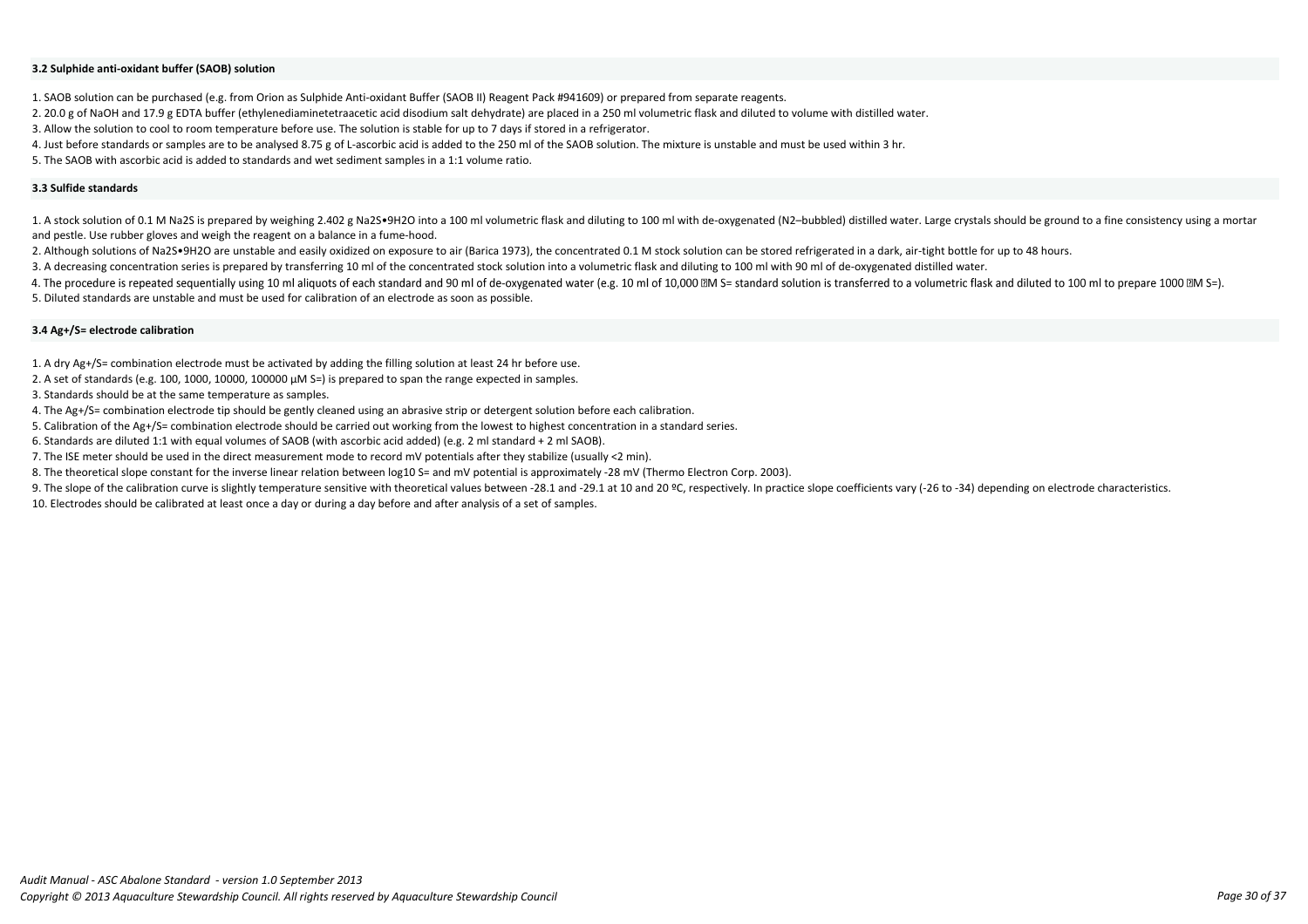1. SAOB solution can be purchased (e.g. from Orion as Sulphide Anti-oxidant Buffer (SAOB II) Reagent Pack #941609) or prepared from separate reagents.

2. 20.0 g of NaOH and 17.9 g EDTA buffer (ethylenediaminetetraacetic acid disodium salt dehydrate) are placed in a 250 ml volumetric flask and diluted to volume with distilled water.

3. Allow the solution to cool to room temperature before use. The solution is stable for up to 7 days if stored in a refrigerator.

1. A stock solution of 0.1 M Na2S is prepared by weighing 2.402 g Na2S•9H2O into a 100 ml volumetric flask and diluting to 100 ml with de-oxygenated (N2-bubbled) distilled water. Large crystals should be ground to a fine c and pestle. Use rubber gloves and weigh the reagent on a balance in a fume-hood.

2. Although solutions of Na2S•9H2O are unstable and easily oxidized on exposure to air (Barica 1973), the concentrated 0.1 M stock solution can be stored refrigerated in a dark, air-tight bottle for up to 48 hours.

4. Just before standards or samples are to be analysed 8.75 g of L-ascorbic acid is added to the 250 ml of the SAOB solution. The mixture is unstable and must be used within 3 hr.

5. The SAOB with ascorbic acid is added to standards and wet sediment samples in a 1:1 volume ratio.

- 2. A set of standards (e.g. 100, 1000, 10000, 100000  $\mu$ M S=) is prepared to span the range expected in samples.
- 3. Standards should be at the same temperature as samples.

3. A decreasing concentration series is prepared by transferring 10 ml of the concentrated stock solution into a volumetric flask and diluting to 100 ml with 90 ml of de-oxygenated distilled water.

4. The procedure is repeated sequentially using 10 ml aliquots of each standard and 90 ml of de-oxygenated water (e.g. 10 ml of 10,000 M S= standard solution is transferred to a volumetric flask and diluted to 100 ml to pr

9. The slope of the calibration curve is slightly temperature sensitive with theoretical values between -28.1 and -29.1 at 10 and 20 °C, respectively. In practice slope coefficients vary (-26 to -34) depending on electrode 10. Electrodes should be calibrated at least once a day or during a day before and after analysis of a set of samples.

5. Diluted standards are unstable and must be used for calibration of an electrode as soon as possible.

1. A dry Ag+/S= combination electrode must be activated by adding the filling solution at least 24 hr before use.

4. The Ag+/S= combination electrode tip should be gently cleaned using an abrasive strip or detergent solution before each calibration.

5. Calibration of the Ag+/S= combination electrode should be carried out working from the lowest to highest concentration in a standard series.

6. Standards are diluted 1:1 with equal volumes of SAOB (with ascorbic acid added) (e.g. 2 ml standard + 2 ml SAOB).

7. The ISE meter should be used in the direct measurement mode to record mV potentials after they stabilize (usually <2 min).

8. The theoretical slope constant for the inverse linear relation between log10 S= and mV potential is approximately -28 mV (Thermo Electron Corp. 2003).

#### **3.3 Sulfide standards**

### **3.4 Ag+/S= electrode calibration**

#### **3.2 Sulphide anti-oxidant buffer (SAOB) solution**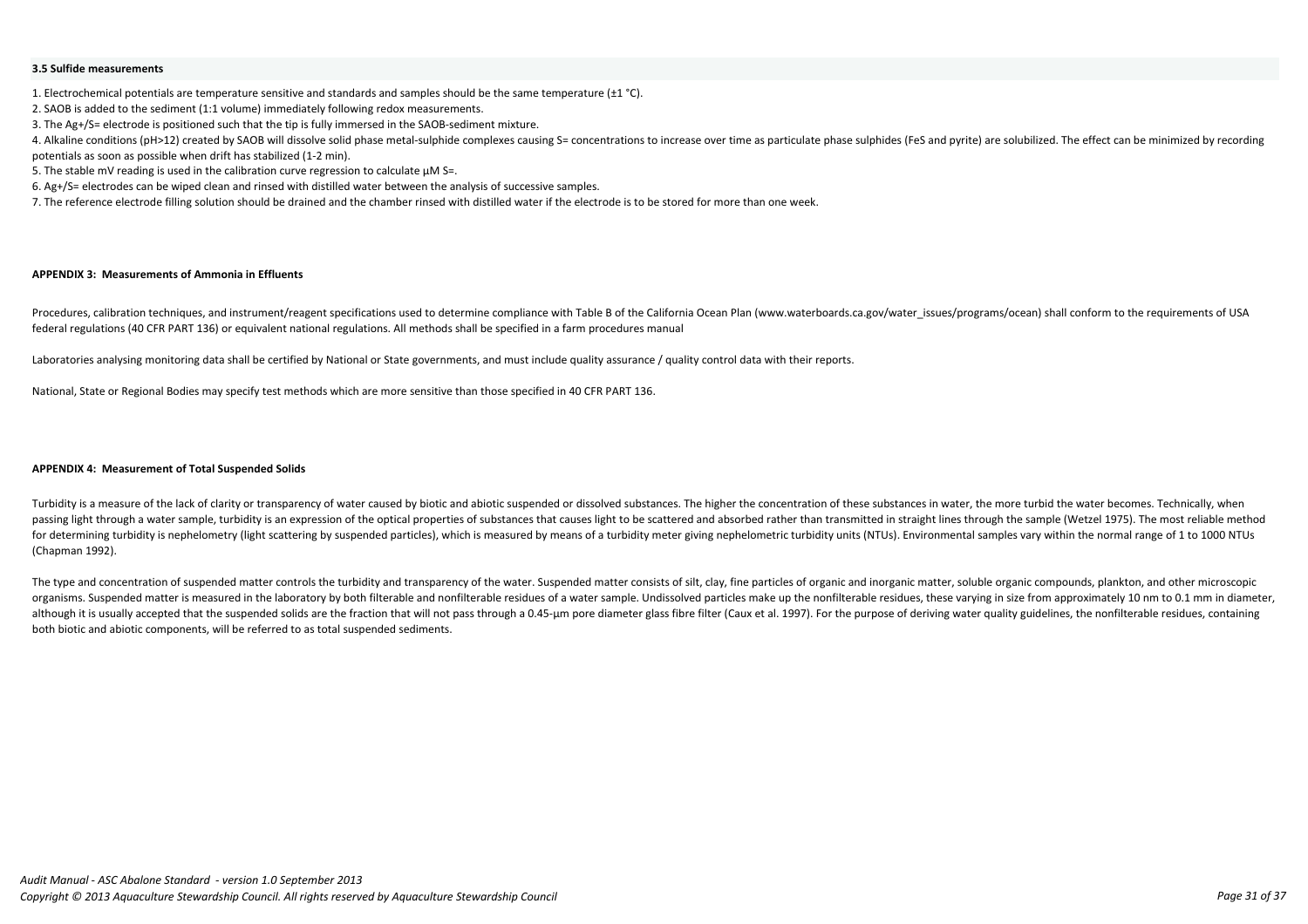#### **APPENDIX 3: Measurements of Ammonia in Effluents**

Turbidity is a measure of the lack of clarity or transparency of water caused by biotic and abiotic suspended or dissolved substances. The higher the concentration of these substances in water, the more turbid the water be passing light through a water sample, turbidity is an expression of the optical properties of substances that causes light to be scattered and absorbed rather than transmitted in straight lines through the sample (Wetzel 1 for determining turbidity is nephelometry (light scattering by suspended particles), which is measured by means of a turbidity meter giving nephelometric turbidity units (NTUs). Environmental samples vary within the normal (Chapman 1992).

The type and concentration of suspended matter controls the turbidity and transparency of the water. Suspended matter consists of silt, clay, fine particles of organic and inorganic matter, soluble organic compounds, plank organisms. Suspended matter is measured in the laboratory by both filterable and nonfilterable residues of a water sample. Undissolved particles make up the nonfilterable residues, these varying in size from approximately although it is usually accepted that the suspended solids are the fraction that will not pass through a 0.45-µm pore diameter glass fibre filter (Caux et al. 1997). For the purpose of deriving water quality guidelines, the both biotic and abiotic components, will be referred to as total suspended sediments.

4. Alkaline conditions (pH>12) created by SAOB will dissolve solid phase metal-sulphide complexes causing S= concentrations to increase over time as particulate phase sulphides (FeS and pyrite) are solubilized. The effect potentials as soon as possible when drift has stabilized (1-2 min).

5. The stable mV reading is used in the calibration curve regression to calculate  $\mu$ M S=.

Procedures, calibration techniques, and instrument/reagent specifications used to determine compliance with Table B of the California Ocean Plan (www.waterboards.ca.gov/water issues/programs/ocean) shall conform to the req federal regulations (40 CFR PART 136) or equivalent national regulations. All methods shall be specified in a farm procedures manual

Laboratories analysing monitoring data shall be certified by National or State governments, and must include quality assurance / quality control data with their reports.

2. SAOB is added to the sediment (1:1 volume) immediately following redox measurements.

3. The Ag+/S= electrode is positioned such that the tip is fully immersed in the SAOB-sediment mixture.

6. Ag+/S= electrodes can be wiped clean and rinsed with distilled water between the analysis of successive samples.

7. The reference electrode filling solution should be drained and the chamber rinsed with distilled water if the electrode is to be stored for more than one week.

National, State or Regional Bodies may specify test methods which are more sensitive than those specified in 40 CFR PART 136.

#### **APPENDIX 4: Measurement of Total Suspended Solids**

#### **3.5 Sulfide measurements**

1. Electrochemical potentials are temperature sensitive and standards and samples should be the same temperature  $(\pm 1 \degree C)$ .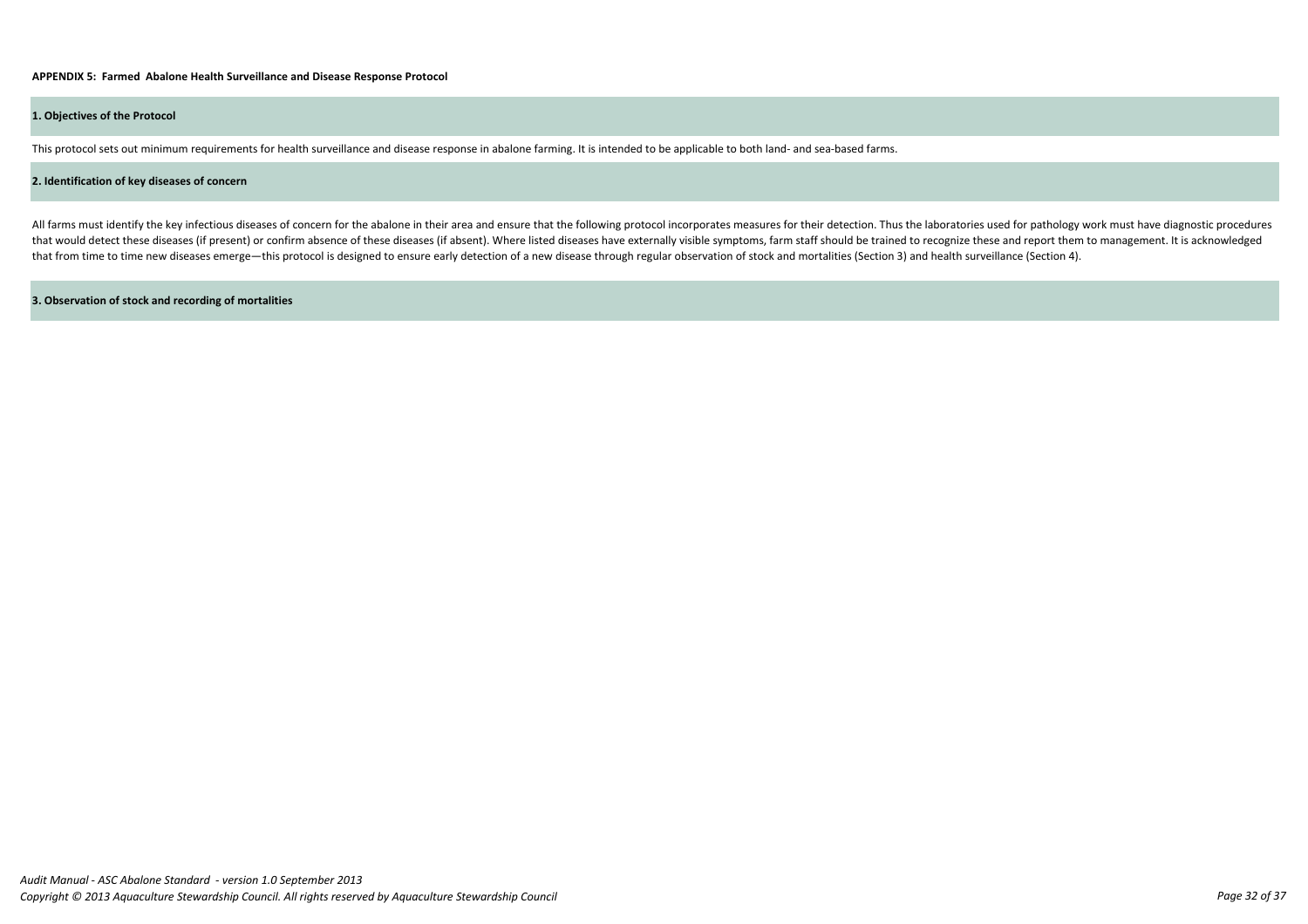This protocol sets out minimum requirements for health surveillance and disease response in abalone farming. It is intended to be applicable to both land- and sea-based farms.

#### **2. Identification of key diseases of concern**

All farms must identify the key infectious diseases of concern for the abalone in their area and ensure that the following protocol incorporates measures for their detection. Thus the laboratories used for pathology work m that would detect these diseases (if present) or confirm absence of these diseases (if absent). Where listed diseases have externally visible symptoms, farm staff should be trained to recognize these and report them to man that from time to time new diseases emerge—this protocol is designed to ensure early detection of a new disease through regular observation of stock and mortalities (Section 3) and health surveillance (Section 4).

# **APPENDIX 5: Farmed Abalone Health Surveillance and Disease Response Protocol**

#### **3. Observation of stock and recording of mortalities**

### **1. Objectives of the Protocol**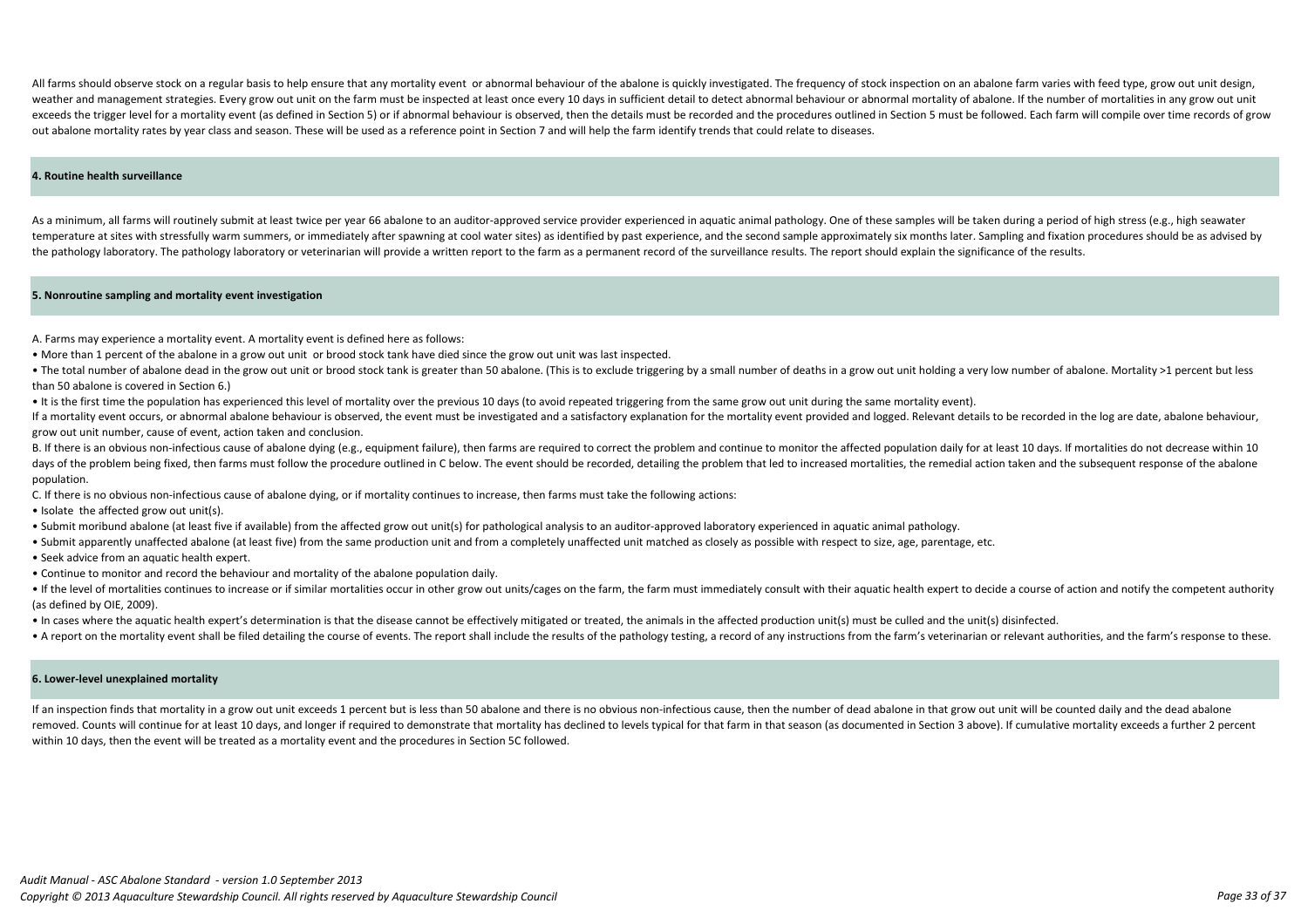All farms should observe stock on a regular basis to help ensure that any mortality event or abnormal behaviour of the abalone is quickly investigated. The frequency of stock inspection on an abalone farm varies with feed weather and management strategies. Every grow out unit on the farm must be inspected at least once every 10 days in sufficient detail to detect abnormal behaviour or abnormal mortality of abalone. If the number of mortalit exceeds the trigger level for a mortality event (as defined in Section 5) or if abnormal behaviour is observed, then the details must be recorded and the procedures outlined in Section 5 must be followed. Each farm will co out abalone mortality rates by year class and season. These will be used as a reference point in Section 7 and will help the farm identify trends that could relate to diseases.

As a minimum, all farms will routinely submit at least twice per year 66 abalone to an auditor-approved service provider experienced in aquatic animal pathology. One of these samples will be taken during a period of high s temperature at sites with stressfully warm summers, or immediately after spawning at cool water sites) as identified by past experience, and the second sample approximately six months later. Sampling and fixation procedure the pathology laboratory. The pathology laboratory or veterinarian will provide a written report to the farm as a permanent record of the surveillance results. The report should explain the significance of the results.

#### **5. Nonroutine sampling and mortality event investigation**

#### **6. Lower-level unexplained mortality**

#### **4. Routine health surveillance**

If an inspection finds that mortality in a grow out unit exceeds 1 percent but is less than 50 abalone and there is no obvious non-infectious cause, then the number of dead abalone in that grow out unit will be counted dai removed. Counts will continue for at least 10 days, and longer if required to demonstrate that mortality has declined to levels typical for that farm in that season (as documented in Section 3 above). If cumulative mortali within 10 days, then the event will be treated as a mortality event and the procedures in Section 5C followed.

• The total number of abalone dead in the grow out unit or brood stock tank is greater than 50 abalone. (This is to exclude triggering by a small number of deaths in a grow out unit holding a very low number of abalone. Mo than 50 abalone is covered in Section 6.)

If a mortality event occurs, or abnormal abalone behaviour is observed, the event must be investigated and a satisfactory explanation for the mortality event provided and logged. Relevant details to be recorded in the log grow out unit number, cause of event, action taken and conclusion.

B. If there is an obvious non-infectious cause of abalone dying (e.g., equipment failure), then farms are required to correct the problem and continue to monitor the affected population daily for at least 10 days. If morta days of the problem being fixed, then farms must follow the procedure outlined in C below. The event should be recorded, detailing the problem that led to increased mortalities, the remedial action taken and the subsequent population.

A. Farms may experience a mortality event. A mortality event is defined here as follows:

. If the level of mortalities continues to increase or if similar mortalities occur in other grow out units/cages on the farm, the farm must immediately consult with their aquatic health expert to decide a course of action (as defined by OIE, 2009).

• More than 1 percent of the abalone in a grow out unit or brood stock tank have died since the grow out unit was last inspected.

• It is the first time the population has experienced this level of mortality over the previous 10 days (to avoid repeated triggering from the same grow out unit during the same mortality event).

C. If there is no obvious non-infectious cause of abalone dying, or if mortality continues to increase, then farms must take the following actions:

- Isolate the affected grow out unit(s).
- Submit moribund abalone (at least five if available) from the affected grow out unit(s) for pathological analysis to an auditor-approved laboratory experienced in aquatic animal pathology.
- Submit apparently unaffected abalone (at least five) from the same production unit and from a completely unaffected unit matched as closely as possible with respect to size, age, parentage, etc.
- Seek advice from an aquatic health expert.
- Continue to monitor and record the behaviour and mortality of the abalone population daily.

• In cases where the aquatic health expert's determination is that the disease cannot be effectively mitigated or treated, the animals in the affected production unit(s) must be culled and the unit(s) disinfected.

. A report on the mortality event shall be filed detailing the course of events. The report shall include the results of the pathology testing, a record of any instructions from the farm's veterinarian or relevant authorit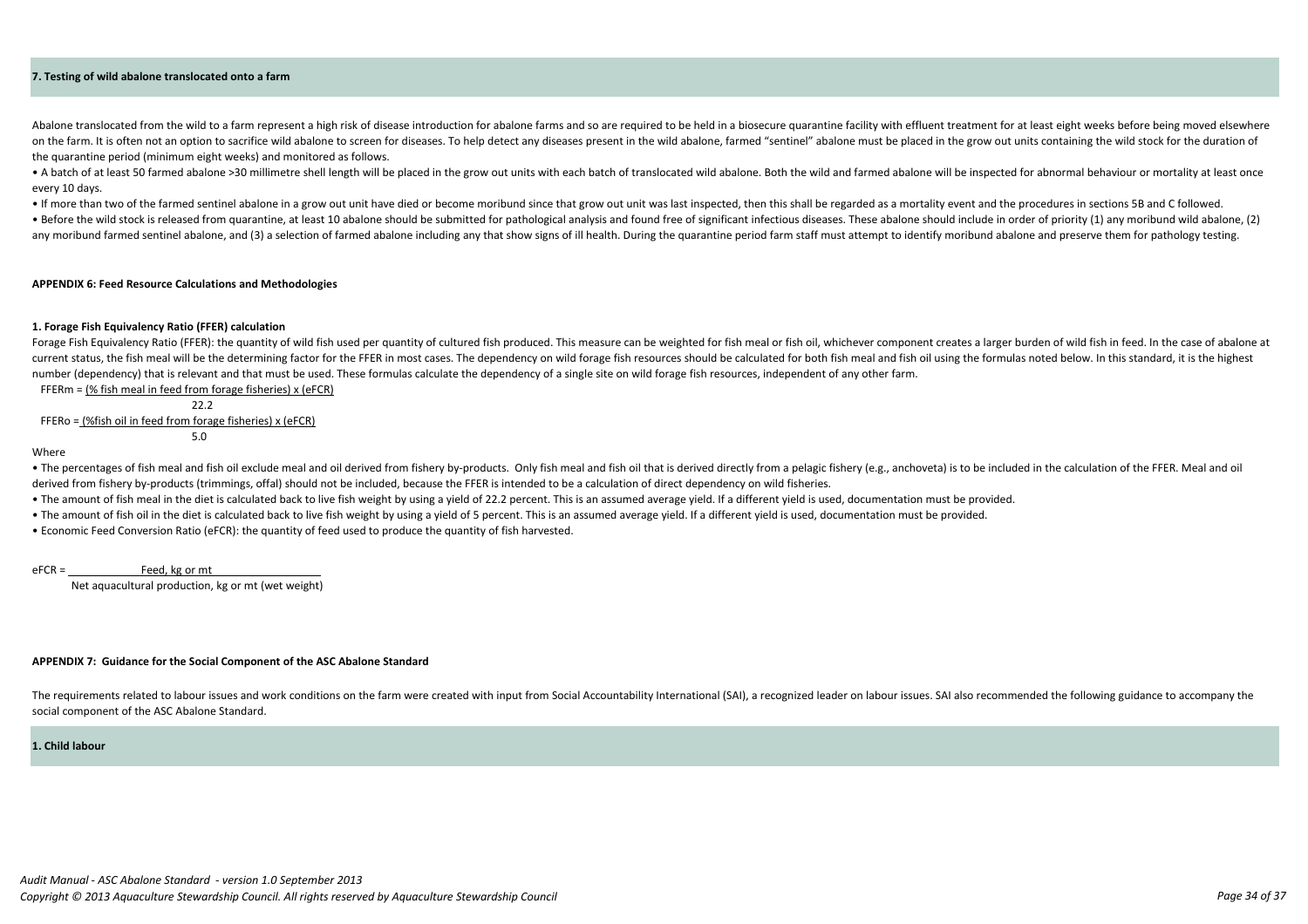#### **7. Testing of wild abalone translocated onto a farm**

Net aquacultural production, kg or mt (wet weight)

#### **APPENDIX 7: Guidance for the Social Component of the ASC Abalone Standard**

The requirements related to labour issues and work conditions on the farm were created with input from Social Accountability International (SAI), a recognized leader on labour issues. SAI also recommended the following gui social component of the ASC Abalone Standard.

#### **1. Child labour**

#### **APPENDIX 6: Feed Resource Calculations and Methodologies**

Abalone translocated from the wild to a farm represent a high risk of disease introduction for abalone farms and so are required to be held in a biosecure quarantine facility with effluent treatment for at least eight week on the farm. It is often not an option to sacrifice wild abalone to screen for diseases. To help detect any diseases present in the wild abalone, farmed "sentinel" abalone must be placed in the grow out units containing th the quarantine period (minimum eight weeks) and monitored as follows.

• A batch of at least 50 farmed abalone >30 millimetre shell length will be placed in the grow out units with each batch of translocated wild abalone. Both the wild and farmed abalone will be inspected for abnormal behavio every 10 days.

. If more than two of the farmed sentinel abalone in a grow out unit have died or become moribund since that grow out unit was last inspected, then this shall be regarded as a mortality event and the procedures in sections . Before the wild stock is released from quarantine, at least 10 abalone should be submitted for pathological analysis and found free of significant infectious diseases. These abalone should include in order of priority (1 any moribund farmed sentinel abalone, and (3) a selection of farmed abalone including any that show signs of ill health. During the quarantine period farm staff must attempt to identify moribund abalone and preserve them f

Forage Fish Equivalency Ratio (FFER): the quantity of wild fish used per quantity of cultured fish produced. This measure can be weighted for fish meal or fish oil, whichever component creates a larger burden of wild fish current status, the fish meal will be the determining factor for the FFER in most cases. The dependency on wild forage fish resources should be calculated for both fish meal and fish oil using the formulas noted below. In number (dependency) that is relevant and that must be used. These formulas calculate the dependency of a single site on wild forage fish resources, independent of any other farm. FFERm = (% fish meal in feed from forage fisheries) x (eFCR)

• The percentages of fish meal and fish oil exclude meal and oil derived from fishery by-products. Only fish meal and fish oil that is derived directly from a pelagic fishery (e.g., anchoveta) is to be included in the calc derived from fishery by-products (trimmings, offal) should not be included, because the FFER is intended to be a calculation of direct dependency on wild fisheries.

- The amount of fish meal in the diet is calculated back to live fish weight by using a yield of 22.2 percent. This is an assumed average yield. If a different yield is used, documentation must be provided.
- The amount of fish oil in the diet is calculated back to live fish weight by using a yield of 5 percent. This is an assumed average yield. If a different yield is used, documentation must be provided.
- Economic Feed Conversion Ratio (eFCR): the quantity of feed used to produce the quantity of fish harvested.

eFCR = Feed, kg or mt

 $5.0$ 

#### **1. Forage Fish Equivalency Ratio (FFER) calculation**

 22.2 FFERo = (%fish oil in feed from forage fisheries) x (eFCR)

#### Where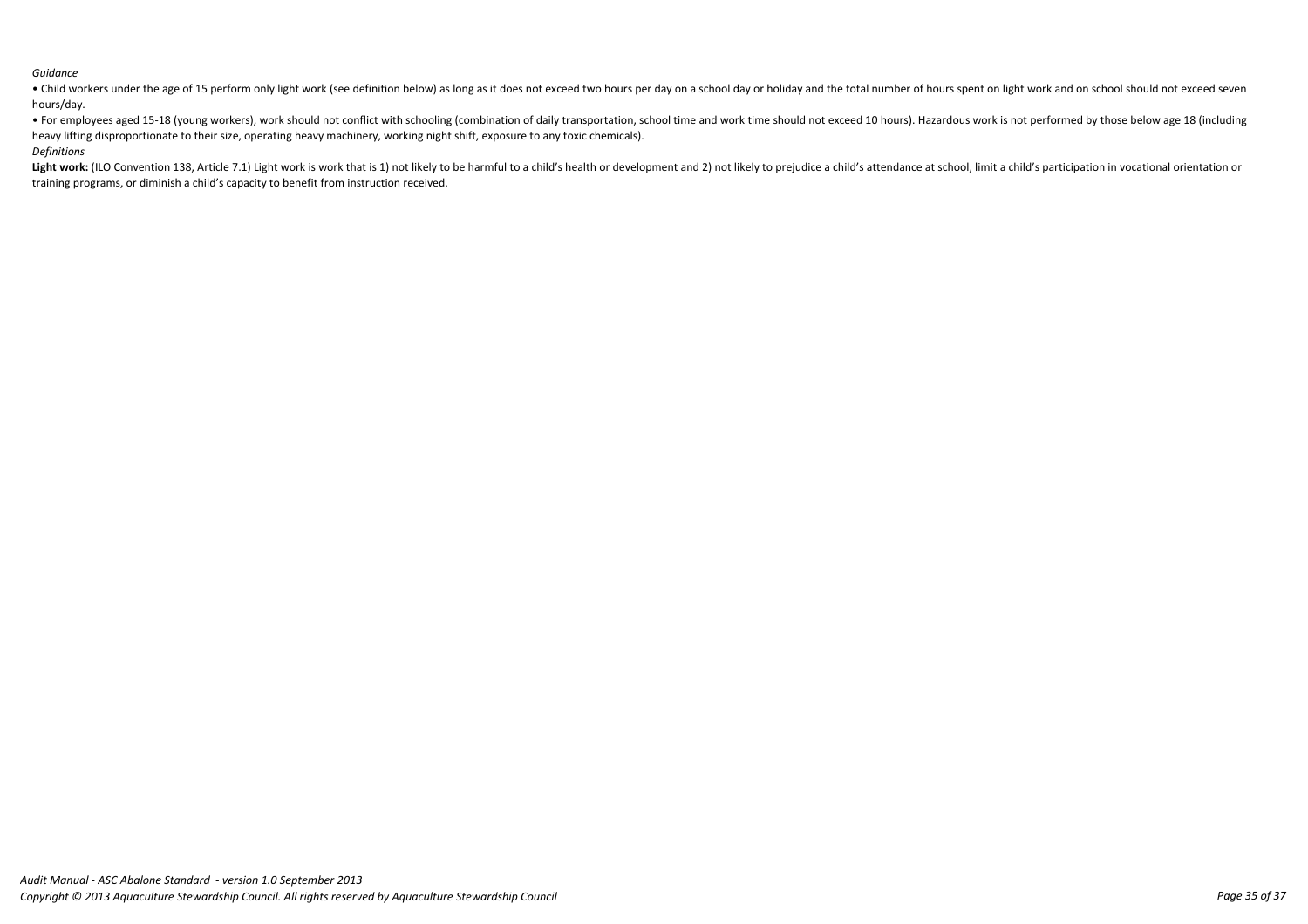# *Guidance*

• Child workers under the age of 15 perform only light work (see definition below) as long as it does not exceed two hours per day on a school day or holiday and the total number of hours spent on light work and on school hours/day. • For employees aged 15-18 (young workers), work should not conflict with schooling (combination of daily transportation, school time and work time should not exceed 10 hours). Hazardous work is not performed by those belo

Light work: (ILO Convention 138, Article 7.1) Light work is work that is 1) not likely to be harmful to a child's health or development and 2) not likely to prejudice a child's attendance at school, limit a child's partici training programs, or diminish a child's capacity to benefit from instruction received.

heavy lifting disproportionate to their size, operating heavy machinery, working night shift, exposure to any toxic chemicals). *Definitions*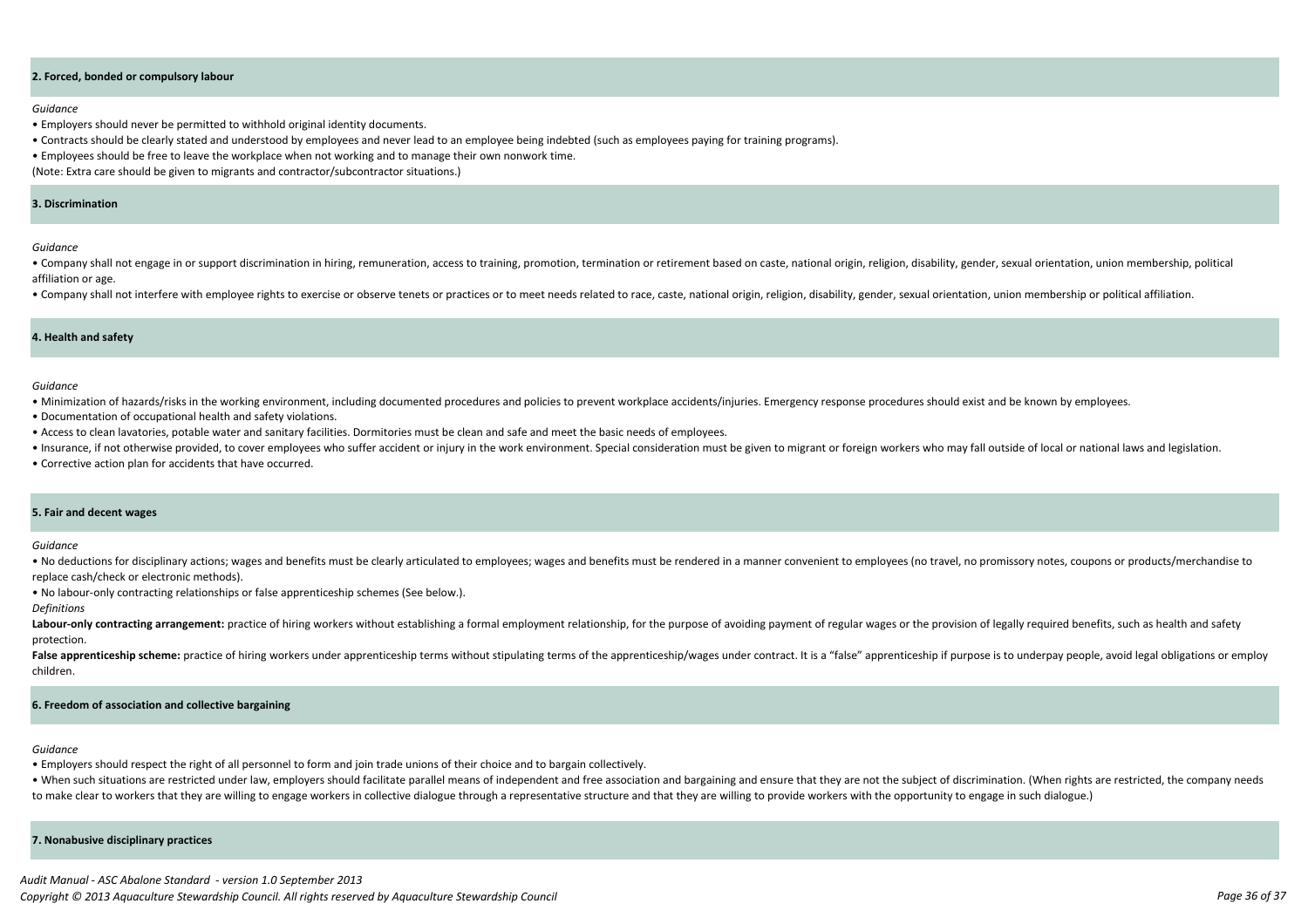#### **2. Forced, bonded or compulsory labour**

#### **7. Nonabusive disciplinary practices**

#### **6. Freedom of association and collective bargaining**

#### **5. Fair and decent wages**

#### **4. Health and safety**

#### *Guidance*

- Employers should never be permitted to withhold original identity documents.
- Contracts should be clearly stated and understood by employees and never lead to an employee being indebted (such as employees paying for training programs).
- Employees should be free to leave the workplace when not working and to manage their own nonwork time.

• Company shall not engage in or support discrimination in hiring, remuneration, access to training, promotion, termination or retirement based on caste, national origin, religion, disability, gender, sexual orientation, u affiliation or age.

• Company shall not interfere with employee rights to exercise or observe tenets or practices or to meet needs related to race, caste, national origin, religion, disability, gender, sexual orientation, union membership or

(Note: Extra care should be given to migrants and contractor/subcontractor situations.)

*Guidance*

. No deductions for disciplinary actions; wages and benefits must be clearly articulated to employees; wages and benefits must be rendered in a manner convenient to employees (no travel, no promissory notes, coupons or pro replace cash/check or electronic methods).

*Guidance*

Labour-only contracting arrangement: practice of hiring workers without establishing a formal employment relationship, for the purpose of avoiding payment of regular wages or the provision of legally required benefits, suc protection.

False apprenticeship scheme: practice of hiring workers under apprenticeship terms without stipulating terms of the apprenticeship/wages under contract. It is a "false" apprenticeship if purpose is to underpay people, avoi children.

- Minimization of hazards/risks in the working environment, including documented procedures and policies to prevent workplace accidents/injuries. Emergency response procedures should exist and be known by employees.
- Documentation of occupational health and safety violations.
- Access to clean lavatories, potable water and sanitary facilities. Dormitories must be clean and safe and meet the basic needs of employees.
- . Insurance, if not otherwise provided, to cover employees who suffer accident or injury in the work environment. Special consideration must be given to migrant or foreign workers who may fall outside of local or national
- Corrective action plan for accidents that have occurred.

. When such situations are restricted under law, employers should facilitate parallel means of independent and free association and bargaining and ensure that they are not the subject of discrimination. (When rights are re to make clear to workers that they are willing to engage workers in collective dialogue through a representative structure and that they are willing to provide workers with the opportunity to engage in such dialogue.)

*Guidance*

• No labour-only contracting relationships or false apprenticeship schemes (See below.).

*Definitions*

#### *Guidance*

• Employers should respect the right of all personnel to form and join trade unions of their choice and to bargain collectively.

#### **3. Discrimination**

*Audit Manual - ASC Abalone Standard - version 1.0 September 2013 Copyright © 2013 Aquaculture Stewardship Council. All rights reserved by Aquaculture Stewardship Council Page 36 of 37*